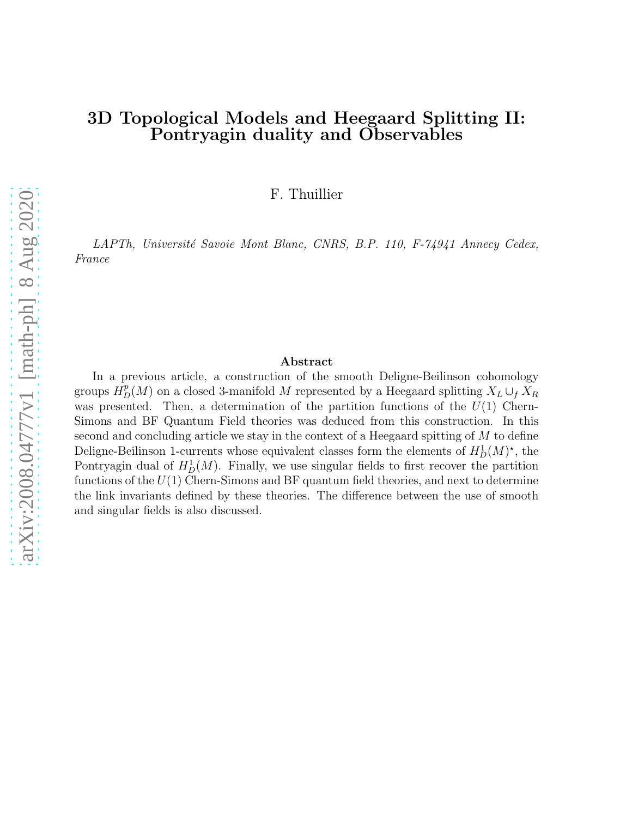## 3D Topological Models and Heegaard Splitting II: Pontryagin duality and Observables

F. Thuillier

LAPTh, Université Savoie Mont Blanc, CNRS, B.P. 110, F-74941 Annecy Cedex, France

#### Abstract

In a previous article, a construction of the smooth Deligne-Beilinson cohomology groups  $H_D^p(M)$  on a closed 3-manifold M represented by a Heegaard splitting  $X_L \cup_f X_R$ was presented. Then, a determination of the partition functions of the  $U(1)$  Chern-Simons and BF Quantum Field theories was deduced from this construction. In this second and concluding article we stay in the context of a Heegaard spitting of M to define Deligne-Beilinson 1-currents whose equivalent classes form the elements of  $H_D^1(M)^*$ , the Pontryagin dual of  $H_D^1(M)$ . Finally, we use singular fields to first recover the partition functions of the  $U(1)$  Chern-Simons and BF quantum field theories, and next to determine the link invariants defined by these theories. The difference between the use of smooth and singular fields is also discussed.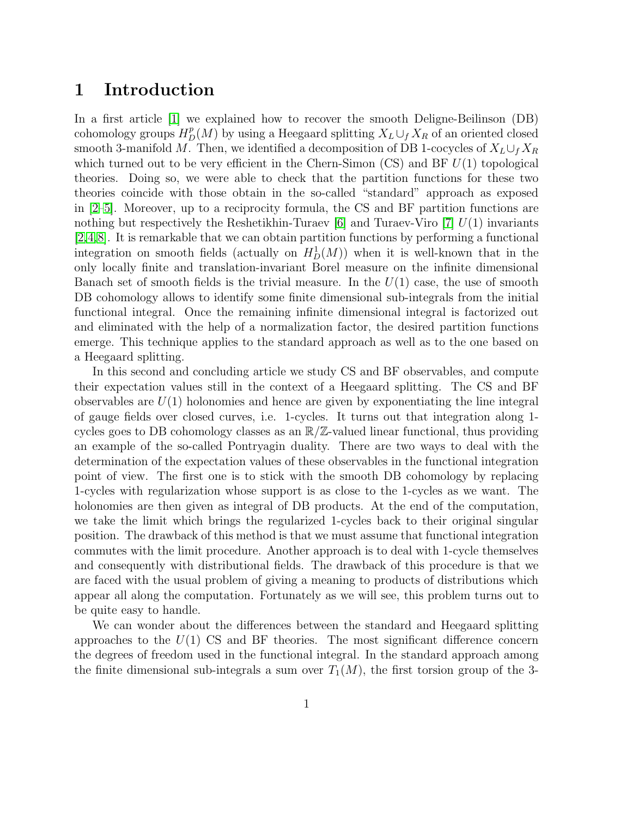## 1 Introduction

In a first article [\[1\]](#page-58-0) we explained how to recover the smooth Deligne-Beilinson (DB) cohomology groups  $H_D^p(M)$  by using a Heegaard splitting  $X_L \cup_f X_R$  of an oriented closed smooth 3-manifold M. Then, we identified a decomposition of DB 1-cocycles of  $X_L \cup_f X_R$ which turned out to be very efficient in the Chern-Simon  $(CS)$  and BF  $U(1)$  topological theories. Doing so, we were able to check that the partition functions for these two theories coincide with those obtain in the so-called "standard" approach as exposed in [\[2](#page-58-1)[–5\]](#page-58-2). Moreover, up to a reciprocity formula, the CS and BF partition functions are nothing but respectively the Reshetikhin-Turaev  $[6]$  and Turaev-Viro  $[7] U(1)$  invariants [\[2,](#page-58-1)[4,](#page-58-5)[8\]](#page-58-6). It is remarkable that we can obtain partition functions by performing a functional integration on smooth fields (actually on  $H_D^1(M)$ ) when it is well-known that in the only locally finite and translation-invariant Borel measure on the infinite dimensional Banach set of smooth fields is the trivial measure. In the  $U(1)$  case, the use of smooth DB cohomology allows to identify some finite dimensional sub-integrals from the initial functional integral. Once the remaining infinite dimensional integral is factorized out and eliminated with the help of a normalization factor, the desired partition functions emerge. This technique applies to the standard approach as well as to the one based on a Heegaard splitting.

In this second and concluding article we study CS and BF observables, and compute their expectation values still in the context of a Heegaard splitting. The CS and BF observables are  $U(1)$  holonomies and hence are given by exponentiating the line integral of gauge fields over closed curves, i.e. 1-cycles. It turns out that integration along 1 cycles goes to DB cohomology classes as an  $\mathbb{R}/\mathbb{Z}$ -valued linear functional, thus providing an example of the so-called Pontryagin duality. There are two ways to deal with the determination of the expectation values of these observables in the functional integration point of view. The first one is to stick with the smooth DB cohomology by replacing 1-cycles with regularization whose support is as close to the 1-cycles as we want. The holonomies are then given as integral of DB products. At the end of the computation, we take the limit which brings the regularized 1-cycles back to their original singular position. The drawback of this method is that we must assume that functional integration commutes with the limit procedure. Another approach is to deal with 1-cycle themselves and consequently with distributional fields. The drawback of this procedure is that we are faced with the usual problem of giving a meaning to products of distributions which appear all along the computation. Fortunately as we will see, this problem turns out to be quite easy to handle.

We can wonder about the differences between the standard and Heegaard splitting approaches to the  $U(1)$  CS and BF theories. The most significant difference concern the degrees of freedom used in the functional integral. In the standard approach among the finite dimensional sub-integrals a sum over  $T_1(M)$ , the first torsion group of the 3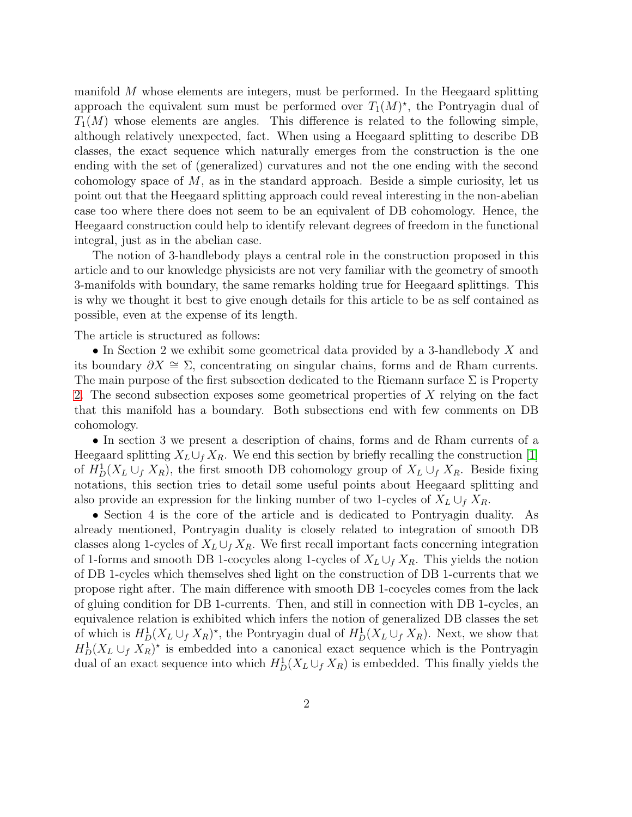manifold  $M$  whose elements are integers, must be performed. In the Heegaard splitting approach the equivalent sum must be performed over  $T_1(M)^*$ , the Pontryagin dual of  $T_1(M)$  whose elements are angles. This difference is related to the following simple, although relatively unexpected, fact. When using a Heegaard splitting to describe DB classes, the exact sequence which naturally emerges from the construction is the one ending with the set of (generalized) curvatures and not the one ending with the second cohomology space of  $M$ , as in the standard approach. Beside a simple curiosity, let us point out that the Heegaard splitting approach could reveal interesting in the non-abelian case too where there does not seem to be an equivalent of DB cohomology. Hence, the Heegaard construction could help to identify relevant degrees of freedom in the functional integral, just as in the abelian case.

The notion of 3-handlebody plays a central role in the construction proposed in this article and to our knowledge physicists are not very familiar with the geometry of smooth 3-manifolds with boundary, the same remarks holding true for Heegaard splittings. This is why we thought it best to give enough details for this article to be as self contained as possible, even at the expense of its length.

The article is structured as follows:

• In Section 2 we exhibit some geometrical data provided by a 3-handlebody X and its boundary  $\partial X \cong \Sigma$ , concentrating on singular chains, forms and de Rham currents. The main purpose of the first subsection dedicated to the Riemann surface  $\Sigma$  is Property [2.](#page-9-0) The second subsection exposes some geometrical properties of X relying on the fact that this manifold has a boundary. Both subsections end with few comments on DB cohomology.

• In section 3 we present a description of chains, forms and de Rham currents of a Heegaard splitting  $X_L \cup_f X_R$ . We end this section by briefly recalling the construction [\[1\]](#page-58-0) of  $H_D^1(X_L \cup_f X_R)$ , the first smooth DB cohomology group of  $X_L \cup_f X_R$ . Beside fixing notations, this section tries to detail some useful points about Heegaard splitting and also provide an expression for the linking number of two 1-cycles of  $X_L \cup_f X_R$ .

• Section 4 is the core of the article and is dedicated to Pontryagin duality. As already mentioned, Pontryagin duality is closely related to integration of smooth DB classes along 1-cycles of  $X_L \cup_f X_R$ . We first recall important facts concerning integration of 1-forms and smooth DB 1-cocycles along 1-cycles of  $X_L \cup_f X_R$ . This yields the notion of DB 1-cycles which themselves shed light on the construction of DB 1-currents that we propose right after. The main difference with smooth DB 1-cocycles comes from the lack of gluing condition for DB 1-currents. Then, and still in connection with DB 1-cycles, an equivalence relation is exhibited which infers the notion of generalized DB classes the set of which is  $H_D^1(X_L \cup_f X_R)^*$ , the Pontryagin dual of  $H_D^1(X_L \cup_f X_R)$ . Next, we show that  $H_D^1(X_L \cup_f X_R)^*$  is embedded into a canonical exact sequence which is the Pontryagin dual of an exact sequence into which  $H_D^1(X_L \cup_f X_R)$  is embedded. This finally yields the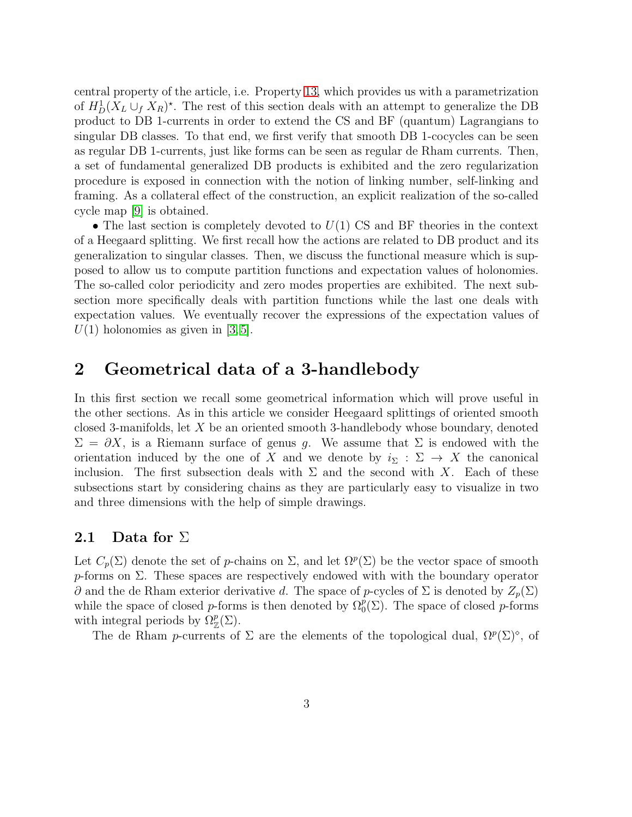central property of the article, i.e. Property [13,](#page-33-0) which provides us with a parametrization of  $H_D^1(X_L \cup_f X_R)^*$ . The rest of this section deals with an attempt to generalize the DB product to DB 1-currents in order to extend the CS and BF (quantum) Lagrangians to singular DB classes. To that end, we first verify that smooth DB 1-cocycles can be seen as regular DB 1-currents, just like forms can be seen as regular de Rham currents. Then, a set of fundamental generalized DB products is exhibited and the zero regularization procedure is exposed in connection with the notion of linking number, self-linking and framing. As a collateral effect of the construction, an explicit realization of the so-called cycle map [\[9\]](#page-58-7) is obtained.

• The last section is completely devoted to  $U(1)$  CS and BF theories in the context of a Heegaard splitting. We first recall how the actions are related to DB product and its generalization to singular classes. Then, we discuss the functional measure which is supposed to allow us to compute partition functions and expectation values of holonomies. The so-called color periodicity and zero modes properties are exhibited. The next subsection more specifically deals with partition functions while the last one deals with expectation values. We eventually recover the expressions of the expectation values of  $U(1)$  holonomies as given in [\[3,](#page-58-8) [5\]](#page-58-2).

## 2 Geometrical data of a 3-handlebody

In this first section we recall some geometrical information which will prove useful in the other sections. As in this article we consider Heegaard splittings of oriented smooth closed 3-manifolds, let  $X$  be an oriented smooth 3-handlebody whose boundary, denoted  $\Sigma = \partial X$ , is a Riemann surface of genus g. We assume that  $\Sigma$  is endowed with the orientation induced by the one of X and we denote by  $i_{\Sigma} : \Sigma \to X$  the canonical inclusion. The first subsection deals with  $\Sigma$  and the second with X. Each of these subsections start by considering chains as they are particularly easy to visualize in two and three dimensions with the help of simple drawings.

## 2.1 Data for  $\Sigma$

Let  $C_p(\Sigma)$  denote the set of p-chains on  $\Sigma$ , and let  $\Omega^p(\Sigma)$  be the vector space of smooth p-forms on  $\Sigma$ . These spaces are respectively endowed with with the boundary operator  $\partial$  and the de Rham exterior derivative d. The space of p-cycles of  $\Sigma$  is denoted by  $Z_p(\Sigma)$ while the space of closed p-forms is then denoted by  $\Omega_0^p(\Sigma)$ . The space of closed p-forms with integral periods by  $\Omega_{\mathbb{Z}}^p(\Sigma)$ .

The de Rham p-currents of  $\Sigma$  are the elements of the topological dual,  $\Omega^p(\Sigma)^\diamond$ , of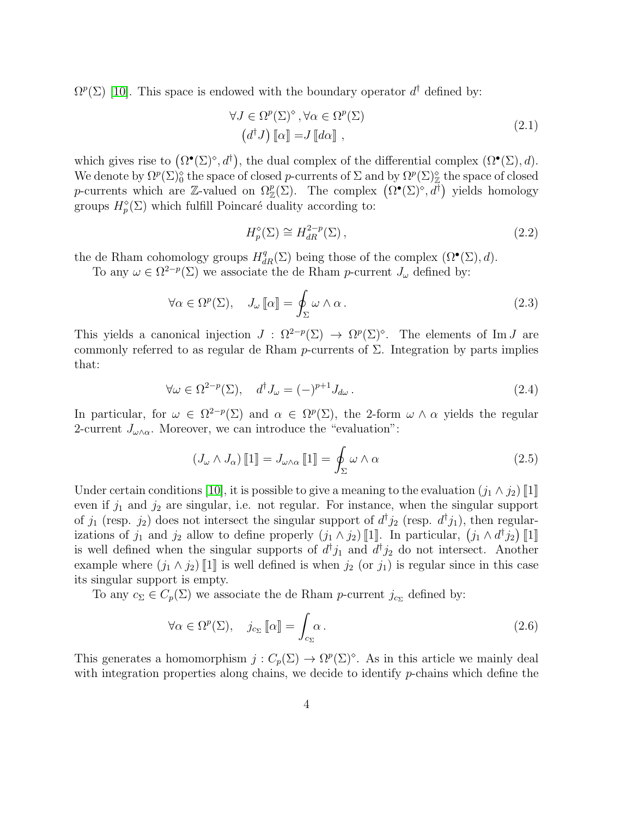$\Omega^p(\Sigma)$  [\[10\]](#page-58-9). This space is endowed with the boundary operator  $d^{\dagger}$  defined by:

$$
\forall J \in \Omega^p(\Sigma)^\diamond, \forall \alpha \in \Omega^p(\Sigma)
$$
  

$$
(d^\dagger J) [\![\alpha]\!] = J [\![d\alpha]\!],
$$
 (2.1)

which gives rise to  $(\Omega^{\bullet}(\Sigma)^{\diamond}, d^{\dagger})$ , the dual complex of the differential complex  $(\Omega^{\bullet}(\Sigma), d)$ . We denote by  $\Omega^p(\Sigma)_0^{\diamond}$  the space of closed p-currents of  $\Sigma$  and by  $\Omega^p(\Sigma)_{\mathbb{Z}}^{\diamond}$  the space of closed p-currents which are Z-valued on  $\Omega^p_\mathbb{Z}(\Sigma)$ . The complex  $(\Omega^\bullet(\Sigma)^\diamond, d^{\dagger})$  yields homology groups  $H_p^{\diamond}(\Sigma)$  which fulfill Poincaré duality according to:

$$
H_p^{\diamond}(\Sigma) \cong H_{dR}^{2-p}(\Sigma),\tag{2.2}
$$

the de Rham cohomology groups  $H_{dR}^q(\Sigma)$  being those of the complex  $(\Omega^{\bullet}(\Sigma), d)$ .

To any  $\omega \in \Omega^{2-p}(\Sigma)$  we associate the de Rham p-current  $J_{\omega}$  defined by:

$$
\forall \alpha \in \Omega^p(\Sigma), \quad J_\omega \left[ \alpha \right] = \oint_{\Sigma} \omega \wedge \alpha \,. \tag{2.3}
$$

This yields a canonical injection  $J : \Omega^{2-p}(\Sigma) \to \Omega^p(\Sigma)^\circ$ . The elements of Im J are commonly referred to as regular de Rham  $p$ -currents of  $\Sigma$ . Integration by parts implies that:

$$
\forall \omega \in \Omega^{2-p}(\Sigma), \quad d^{\dagger} J_{\omega} = (-)^{p+1} J_{d\omega} \,. \tag{2.4}
$$

In particular, for  $\omega \in \Omega^{2-p}(\Sigma)$  and  $\alpha \in \Omega^p(\Sigma)$ , the 2-form  $\omega \wedge \alpha$  yields the regular 2-current  $J_{\omega\wedge\alpha}$ . Moreover, we can introduce the "evaluation":

$$
(J_{\omega} \wedge J_{\alpha}) \llbracket 1 \rrbracket = J_{\omega \wedge \alpha} \llbracket 1 \rrbracket = \oint_{\Sigma} \omega \wedge \alpha \tag{2.5}
$$

Under certain conditions [\[10\]](#page-58-9), it is possible to give a meaning to the evaluation  $(j_1 \wedge j_2)$  [1] even if  $j_1$  and  $j_2$  are singular, i.e. not regular. For instance, when the singular support of  $j_1$  (resp.  $j_2$ ) does not intersect the singular support of  $d^{\dagger}j_2$  (resp.  $d^{\dagger}j_1$ ), then regularizations of  $j_1$  and  $j_2$  allow to define properly  $(j_1 \wedge j_2)$  [1]. In particular,  $(j_1 \wedge d^{\dagger} j_2)$  [1] is well defined when the singular supports of  $d^{\dagger}j_1$  and  $d^{\dagger}j_2$  do not intersect. Another example where  $(j_1 \wedge j_2)$  [1] is well defined is when  $j_2$  (or  $j_1$ ) is regular since in this case its singular support is empty.

To any  $c_{\Sigma} \in C_p(\Sigma)$  we associate the de Rham p-current  $j_{c_{\Sigma}}$  defined by:

<span id="page-4-0"></span>
$$
\forall \alpha \in \Omega^p(\Sigma), \quad j_{c_{\Sigma}}[\![\alpha]\!] = \int_{c_{\Sigma}} \alpha \,. \tag{2.6}
$$

This generates a homomorphism  $j: C_p(\Sigma) \to \Omega^p(\Sigma)^\circ$ . As in this article we mainly deal with integration properties along chains, we decide to identify  $p$ -chains which define the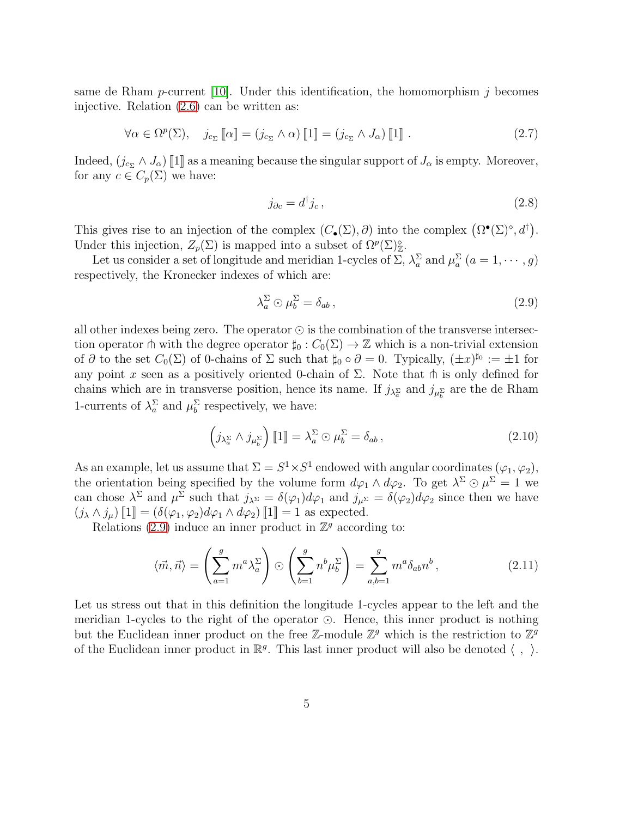same de Rham  $p$ -current [\[10\]](#page-58-9). Under this identification, the homomorphism  $j$  becomes injective. Relation [\(2.6\)](#page-4-0) can be written as:

$$
\forall \alpha \in \Omega^p(\Sigma), \quad j_{c_{\Sigma}}[\![\alpha]\!] = (j_{c_{\Sigma}} \wedge \alpha) [\![1]\!] = (j_{c_{\Sigma}} \wedge J_{\alpha}) [\![1]\!] . \tag{2.7}
$$

Indeed,  $(j_{c_{\Sigma}} \wedge J_{\alpha})$  [1] as a meaning because the singular support of  $J_{\alpha}$  is empty. Moreover, for any  $c \in C_p(\Sigma)$  we have:

$$
j_{\partial c} = d^{\dagger} j_c, \qquad (2.8)
$$

This gives rise to an injection of the complex  $(C_{\bullet}(\Sigma), \partial)$  into the complex  $(\Omega^{\bullet}(\Sigma)^{\circ}, d^{\dagger})$ . Under this injection,  $Z_p(\Sigma)$  is mapped into a subset of  $\Omega^p(\Sigma)_{\mathbb{Z}}^{\diamond}$ .

Let us consider a set of longitude and meridian 1-cycles of  $\Sigma$ ,  $\lambda_a^{\Sigma}$  and  $\mu_a^{\Sigma}$   $(a = 1, \dots, g)$ respectively, the Kronecker indexes of which are:

<span id="page-5-0"></span>
$$
\lambda_a^{\Sigma} \odot \mu_b^{\Sigma} = \delta_{ab} , \qquad (2.9)
$$

all other indexes being zero. The operator ⊙ is the combination of the transverse intersection operator  $\Uparrow$  with the degree operator  $\sharp_0 : C_0(\Sigma) \to \mathbb{Z}$  which is a non-trivial extension of  $\partial$  to the set  $C_0(\Sigma)$  of 0-chains of  $\Sigma$  such that  $\sharp_0 \circ \partial = 0$ . Typically,  $(\pm x)^{\sharp_0} := \pm 1$  for any point x seen as a positively oriented 0-chain of  $\Sigma$ . Note that  $\Uparrow$  is only defined for chains which are in transverse position, hence its name. If  $j_{\lambda_a^{\Sigma}}$  and  $j_{\mu_b^{\Sigma}}$  are the de Rham 1-currents of  $\lambda_a^{\Sigma}$  and  $\mu_b^{\Sigma}$  respectively, we have:

$$
\left(j_{\lambda_a^{\Sigma}} \wedge j_{\mu_b^{\Sigma}}\right) \llbracket 1 \rrbracket = \lambda_a^{\Sigma} \odot \mu_b^{\Sigma} = \delta_{ab},\tag{2.10}
$$

As an example, let us assume that  $\Sigma = S^1 \times S^1$  endowed with angular coordinates  $(\varphi_1, \varphi_2)$ , the orientation being specified by the volume form  $d\varphi_1 \wedge d\varphi_2$ . To get  $\lambda^{\Sigma} \odot \mu^{\Sigma} = 1$  we can chose  $\lambda^{\Sigma}$  and  $\mu^{\Sigma}$  such that  $j_{\lambda^{\Sigma}} = \delta(\varphi_1)d\varphi_1$  and  $j_{\mu^{\Sigma}} = \delta(\varphi_2)d\varphi_2$  since then we have  $(j_{\lambda} \wedge j_{\mu})$   $\llbracket 1 \rrbracket = (\delta(\varphi_1, \varphi_2) d\varphi_1 \wedge d\varphi_2)$   $\llbracket 1 \rrbracket = 1$  as expected.

Relations [\(2.9\)](#page-5-0) induce an inner product in  $\mathbb{Z}^g$  according to:

<span id="page-5-1"></span>
$$
\langle \vec{m}, \vec{n} \rangle = \left( \sum_{a=1}^{g} m^a \lambda_a^{\Sigma} \right) \odot \left( \sum_{b=1}^{g} n^b \mu_b^{\Sigma} \right) = \sum_{a,b=1}^{g} m^a \delta_{ab} n^b, \qquad (2.11)
$$

Let us stress out that in this definition the longitude 1-cycles appear to the left and the meridian 1-cycles to the right of the operator ⊙. Hence, this inner product is nothing but the Euclidean inner product on the free Z-module  $\mathbb{Z}^g$  which is the restriction to  $\mathbb{Z}^g$ of the Euclidean inner product in  $\mathbb{R}^g$ . This last inner product will also be denoted  $\langle , \rangle$ .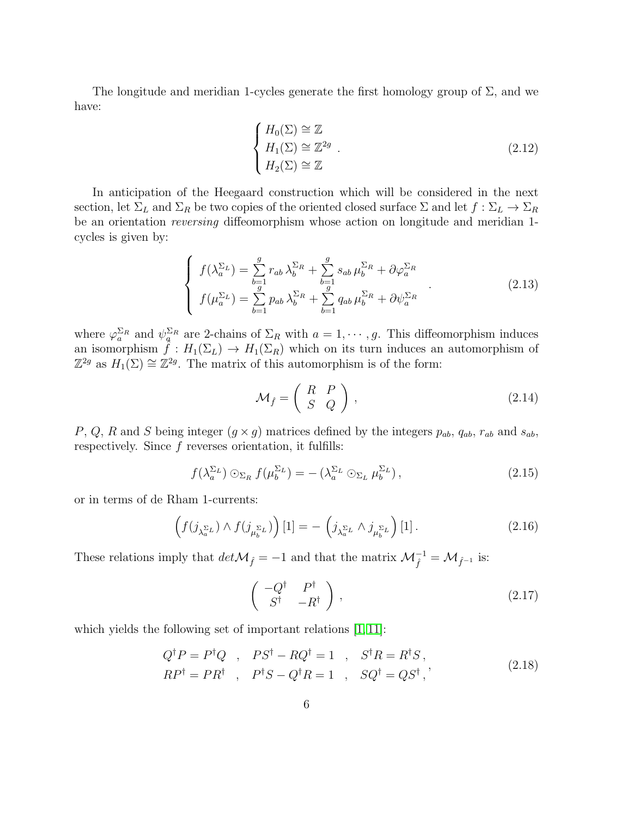The longitude and meridian 1-cycles generate the first homology group of  $\Sigma$ , and we have:

$$
\begin{cases}\nH_0(\Sigma) \cong \mathbb{Z} \\
H_1(\Sigma) \cong \mathbb{Z}^{2g} \\
H_2(\Sigma) \cong \mathbb{Z}\n\end{cases} \tag{2.12}
$$

In anticipation of the Heegaard construction which will be considered in the next section, let  $\Sigma_L$  and  $\Sigma_R$  be two copies of the oriented closed surface  $\Sigma$  and let  $f : \Sigma_L \to \Sigma_R$ be an orientation reversing diffeomorphism whose action on longitude and meridian 1 cycles is given by:

<span id="page-6-1"></span>
$$
\begin{cases}\nf(\lambda_a^{\Sigma_L}) = \sum_{b=1}^g r_{ab} \lambda_b^{\Sigma_R} + \sum_{b=1}^g s_{ab} \mu_b^{\Sigma_R} + \partial \varphi_a^{\Sigma_R} \\
f(\mu_a^{\Sigma_L}) = \sum_{b=1}^g p_{ab} \lambda_b^{\Sigma_R} + \sum_{b=1}^g q_{ab} \mu_b^{\Sigma_R} + \partial \psi_a^{\Sigma_R}\n\end{cases} (2.13)
$$

where  $\varphi_a^{\Sigma_R}$  and  $\psi_q^{\Sigma_R}$  are 2-chains of  $\Sigma_R$  with  $a=1,\cdots,g$ . This diffeomorphism induces an isomorphism  $\tilde{f}: H_1(\Sigma_L) \to H_1(\Sigma_R)$  which on its turn induces an automorphism of  $\mathbb{Z}^{2g}$  as  $H_1(\Sigma) \cong \mathbb{Z}^{2g}$ . The matrix of this automorphism is of the form:

$$
\mathcal{M}_{\hat{f}} = \left(\begin{array}{cc} R & P \\ S & Q \end{array}\right) , \tag{2.14}
$$

P, Q, R and S being integer  $(g \times g)$  matrices defined by the integers  $p_{ab}$ ,  $q_{ab}$ ,  $r_{ab}$  and  $s_{ab}$ , respectively. Since  $f$  reverses orientation, it fulfills:

$$
f(\lambda_a^{\Sigma_L}) \odot_{\Sigma_R} f(\mu_b^{\Sigma_L}) = -(\lambda_a^{\Sigma_L} \odot_{\Sigma_L} \mu_b^{\Sigma_L}), \qquad (2.15)
$$

or in terms of de Rham 1-currents:

$$
\left(f(j_{\lambda_a^{\Sigma_L}}) \wedge f(j_{\mu_b^{\Sigma_L}})\right)[1] = -\left(j_{\lambda_a^{\Sigma_L}} \wedge j_{\mu_b^{\Sigma_L}}\right)[1].\tag{2.16}
$$

These relations imply that  $det \mathcal{M}_{\hat{f}} = -1$  and that the matrix  $\mathcal{M}_{\hat{f}}^{-1} = \mathcal{M}_{\hat{f}^{-1}}$  is:

$$
\left(\begin{array}{cc} -Q^{\dagger} & P^{\dagger} \\ S^{\dagger} & -R^{\dagger} \end{array}\right),\tag{2.17}
$$

which yields the following set of important relations  $[1, 11]$  $[1, 11]$ :

<span id="page-6-0"></span>
$$
Q^{\dagger}P = P^{\dagger}Q \quad , \quad PS^{\dagger} - RQ^{\dagger} = 1 \quad , \quad S^{\dagger}R = R^{\dagger}S \,,
$$
  
\n
$$
RP^{\dagger} = PR^{\dagger} \quad , \quad P^{\dagger}S - Q^{\dagger}R = 1 \quad , \quad SQ^{\dagger} = QS^{\dagger} \,,
$$
\n(2.18)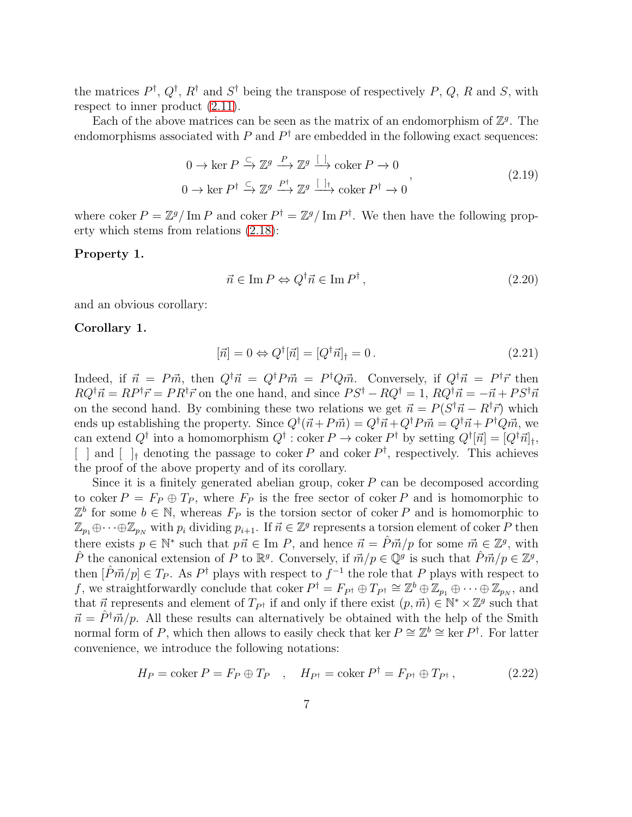the matrices  $P^{\dagger}$ ,  $Q^{\dagger}$ ,  $R^{\dagger}$  and  $S^{\dagger}$  being the transpose of respectively P, Q, R and S, with respect to inner product [\(2.11\)](#page-5-1).

Each of the above matrices can be seen as the matrix of an endomorphism of  $\mathbb{Z}^g$ . The endomorphisms associated with  $P$  and  $P^{\dagger}$  are embedded in the following exact sequences:

<span id="page-7-0"></span>
$$
0 \to \ker P \xrightarrow{\subset} \mathbb{Z}^g \xrightarrow{P} \mathbb{Z}^g \xrightarrow{[ ]}
$$
 coker  $P \to 0$   

$$
0 \to \ker P^{\dagger} \xrightarrow{\subset} \mathbb{Z}^g \xrightarrow{P^{\dagger}} \mathbb{Z}^g \xrightarrow{[ ]_{\dagger}} \operatorname{coker} P^{\dagger} \to 0
$$
 (2.19)

where coker  $P = \mathbb{Z}^g / \text{Im } P$  and coker  $P^{\dagger} = \mathbb{Z}^g / \text{Im } P^{\dagger}$ . We then have the following property which stems from relations [\(2.18\)](#page-6-0):

#### <span id="page-7-1"></span>Property 1.

$$
\vec{n} \in \operatorname{Im} P \Leftrightarrow Q^{\dagger} \vec{n} \in \operatorname{Im} P^{\dagger},\tag{2.20}
$$

and an obvious corollary:

Corollary 1.

$$
[\vec{n}] = 0 \Leftrightarrow Q^{\dagger}[\vec{n}] = [Q^{\dagger}\vec{n}]_{\dagger} = 0. \qquad (2.21)
$$

Indeed, if  $\vec{n} = P\vec{m}$ , then  $Q^{\dagger}\vec{n} = Q^{\dagger}P\vec{m} = P^{\dagger}Q\vec{m}$ . Conversely, if  $Q^{\dagger}\vec{n} = P^{\dagger}\vec{r}$  then  $RQ^{\dagger}\vec{n} = R P^{\dagger}\vec{r} = PR^{\dagger}\vec{r}$  on the one hand, and since  $PS^{\dagger} - RQ^{\dagger} = 1$ ,  $RQ^{\dagger}\vec{n} = -\vec{n} + PS^{\dagger}\vec{n}$ on the second hand. By combining these two relations we get  $\vec{n} = P(S^{\dagger} \vec{n} - R^{\dagger} \vec{r})$  which ends up establishing the property. Since  $Q^{\dagger}(\vec{n}+P\vec{m}) = Q^{\dagger}\vec{n} + Q^{\dagger}P\vec{m} = Q^{\dagger}\vec{n} + P^{\dagger}Q\vec{m}$ , we can extend  $Q^{\dagger}$  into a homomorphism  $Q^{\dagger}$  : coker  $P \to \text{coker } P^{\dagger}$  by setting  $Q^{\dagger}[\vec{n}] = [Q^{\dagger} \vec{n}]_{\dagger}$ ,  $\lbrack \;\; \rbrack$  and  $\lbrack \;\; \rbrack$ <sub>t</sub> denoting the passage to coker P and coker  $P^{\dagger}$ , respectively. This achieves the proof of the above property and of its corollary.

Since it is a finitely generated abelian group, coker  $P$  can be decomposed according to coker  $P = F_P \oplus T_P$ , where  $F_P$  is the free sector of coker P and is homomorphic to  $\mathbb{Z}^b$  for some  $b \in \mathbb{N}$ , whereas  $F_P$  is the torsion sector of coker P and is homomorphic to  $\mathbb{Z}_{p_1}\oplus\cdots\oplus\mathbb{Z}_{p_N}$  with  $p_i$  dividing  $p_{i+1}$ . If  $\vec{n}\in\mathbb{Z}^g$  represents a torsion element of coker P then there exists  $p \in \mathbb{N}^*$  such that  $p\vec{n} \in \text{Im } P$ , and hence  $\vec{n} = \hat{P}\vec{m}/p$  for some  $\vec{m} \in \mathbb{Z}^g$ , with  $\hat{P}$  the canonical extension of P to  $\mathbb{R}^g$ . Conversely, if  $\vec{m}/p \in \mathbb{Q}^g$  is such that  $\hat{P}\vec{m}/p \in \mathbb{Z}^g$ , then  $[\hat{P}\vec{m}/p] \in T_P$ . As  $P^{\dagger}$  plays with respect to  $f^{-1}$  the role that P plays with respect to f, we straightforwardly conclude that coker  $P^{\dagger} = F_{P^{\dagger}} \oplus T_{P^{\dagger}} \cong \mathbb{Z}^b \oplus \mathbb{Z}_{p_1} \oplus \cdots \oplus \mathbb{Z}_{p_N}$ , and that  $\vec{n}$  represents and element of  $T_{P^{\dagger}}$  if and only if there exist  $(p, \vec{m}) \in \mathbb{N}^* \times \mathbb{Z}^g$  such that  $\vec{n} = \hat{P}^{\dagger} \vec{m}/p$ . All these results can alternatively be obtained with the help of the Smith normal form of P, which then allows to easily check that ker  $P \cong \mathbb{Z}^b \cong \ker P^{\dagger}$ . For latter convenience, we introduce the following notations:

$$
H_P = \text{coker } P = F_P \oplus T_P \quad , \quad H_{P^{\dagger}} = \text{coker } P^{\dagger} = F_{P^{\dagger}} \oplus T_{P^{\dagger}}, \tag{2.22}
$$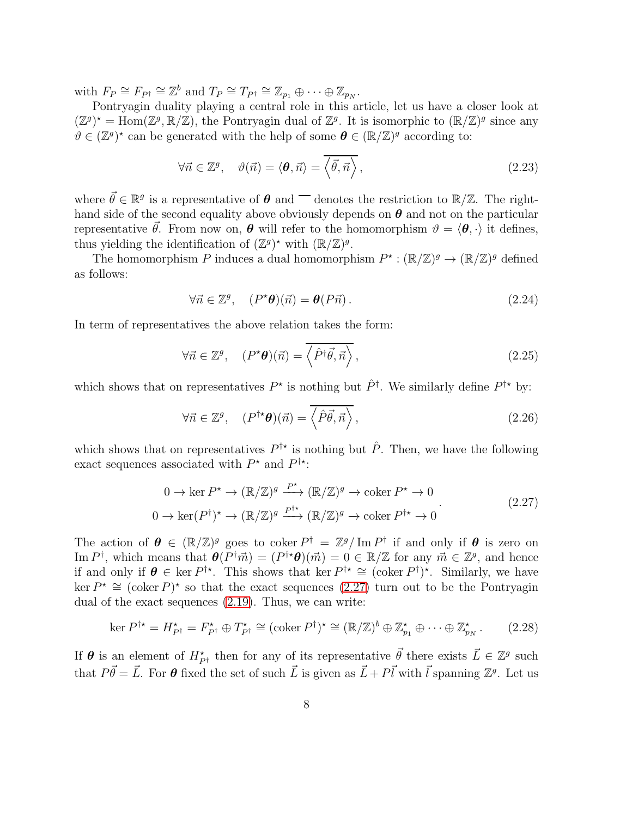with  $F_P \cong F_{P^{\dagger}} \cong \mathbb{Z}^b$  and  $T_P \cong T_{P^{\dagger}} \cong \mathbb{Z}_{p_1} \oplus \cdots \oplus \mathbb{Z}_{p_N}$ .

Pontryagin duality playing a central role in this article, let us have a closer look at  $(\mathbb{Z}^g)^* = \text{Hom}(\mathbb{Z}^g, \mathbb{R}/\mathbb{Z})$ , the Pontryagin dual of  $\mathbb{Z}^g$ . It is isomorphic to  $(\mathbb{R}/\mathbb{Z})^g$  since any  $\vartheta \in (\mathbb{Z}^g)^*$  can be generated with the help of some  $\boldsymbol{\theta} \in (\mathbb{R}/\mathbb{Z})^g$  according to:

$$
\forall \vec{n} \in \mathbb{Z}^g, \quad \vartheta(\vec{n}) = \langle \boldsymbol{\theta}, \vec{n} \rangle = \overline{\langle \vec{\theta}, \vec{n} \rangle}, \tag{2.23}
$$

where  $\vec{\theta} \in \mathbb{R}^g$  is a representative of  $\theta$  and  $\vec{\theta}$  denotes the restriction to  $\mathbb{R}/\mathbb{Z}$ . The righthand side of the second equality above obviously depends on  $\theta$  and not on the particular representative  $\theta$ . From now on,  $\theta$  will refer to the homomorphism  $\vartheta = \langle \theta, \cdot \rangle$  it defines, thus yielding the identification of  $(\mathbb{Z}^g)^*$  with  $(\mathbb{R}/\mathbb{Z})^g$ .

The homomorphism P induces a dual homomorphism  $P^* : (\mathbb{R}/\mathbb{Z})^g \to (\mathbb{R}/\mathbb{Z})^g$  defined as follows:

$$
\forall \vec{n} \in \mathbb{Z}^g, \quad (P^* \theta)(\vec{n}) = \theta(P \vec{n}). \tag{2.24}
$$

In term of representatives the above relation takes the form:

$$
\forall \vec{n} \in \mathbb{Z}^g, \quad (P^{\star}\theta)(\vec{n}) = \overline{\left\langle \hat{P}^{\dagger}\vec{\theta}, \vec{n} \right\rangle}, \tag{2.25}
$$

which shows that on representatives  $P^*$  is nothing but  $\hat{P}^{\dagger}$ . We similarly define  $P^{\dagger*}$  by:

$$
\forall \vec{n} \in \mathbb{Z}^g, \quad (P^{\dagger *}\boldsymbol{\theta})(\vec{n}) = \overline{\left\langle \hat{P}\vec{\theta}, \vec{n} \right\rangle}, \tag{2.26}
$$

which shows that on representatives  $P^{\dagger\star}$  is nothing but  $\hat{P}$ . Then, we have the following exact sequences associated with  $P^*$  and  $P^{\dagger*}$ :

<span id="page-8-0"></span>
$$
0 \to \ker P^* \to (\mathbb{R}/\mathbb{Z})^g \xrightarrow{P^*} (\mathbb{R}/\mathbb{Z})^g \to \text{coker } P^* \to 0
$$
  

$$
0 \to \ker(P^{\dagger})^* \to (\mathbb{R}/\mathbb{Z})^g \xrightarrow{P^{\dagger *}} (\mathbb{R}/\mathbb{Z})^g \to \text{coker } P^{\dagger *} \to 0
$$
 (2.27)

The action of  $\theta \in (\mathbb{R}/\mathbb{Z})^g$  goes to coker  $P^{\dagger} = \mathbb{Z}^g/\mathrm{Im}\,P^{\dagger}$  if and only if  $\theta$  is zero on Im  $P^{\dagger}$ , which means that  $\hat{\theta}(P^{\dagger} \vec{m}) = (P^{\dagger *}\theta)(\vec{m}) = 0 \in \mathbb{R}/\mathbb{Z}$  for any  $\vec{m} \in \mathbb{Z}^g$ , and hence if and only if  $\theta \in \text{ker } P^{\dagger*}$ . This shows that  $\text{ker } P^{\dagger*} \cong (\text{coker } P^{\dagger})^*$ . Similarly, we have ker  $P^* \cong (\text{coker } P)^*$  so that the exact sequences  $(2.27)$  turn out to be the Pontryagin dual of the exact sequences [\(2.19\)](#page-7-0). Thus, we can write:

$$
\ker P^{\dagger \star} = H_{P^{\dagger}}^{\star} = F_{P^{\dagger}}^{\star} \oplus T_{P^{\dagger}}^{\star} \cong (\operatorname{coker} P^{\dagger})^{\star} \cong (\mathbb{R}/\mathbb{Z})^b \oplus \mathbb{Z}_{p_1}^{\star} \oplus \cdots \oplus \mathbb{Z}_{p_N}^{\star}.
$$
 (2.28)

If  $\theta$  is an element of  $H_{P^{\dagger}}^*$  then for any of its representative  $\vec{\theta}$  there exists  $\vec{L} \in \mathbb{Z}^g$  such that  $P\vec{\theta} = \vec{L}$ . For  $\theta$  fixed the set of such  $\vec{L}$  is given as  $\vec{L} + P\vec{l}$  with  $\vec{l}$  spanning  $\mathbb{Z}^g$ . Let us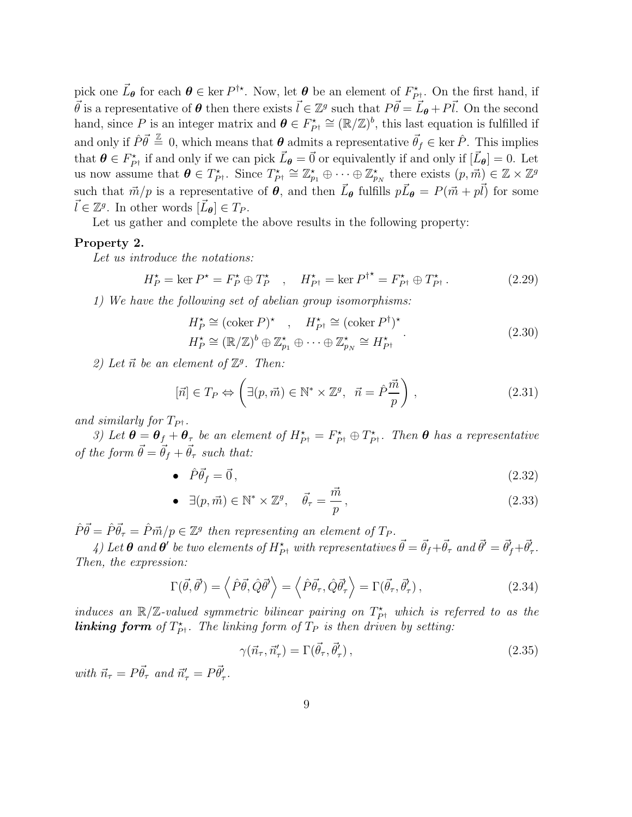pick one  $\vec{L}_{\theta}$  for each  $\theta \in \text{ker } P^{\dagger *}$ . Now, let  $\theta$  be an element of  $F_{P^{\dagger}}^{\star}$ . On the first hand, if  $\vec{\theta}$  is a representative of  $\theta$  then there exists  $\vec{l} \in \mathbb{Z}^g$  such that  $P\vec{\theta} = \vec{L}_{\theta} + P\vec{l}$ . On the second hand, since P is an integer matrix and  $\boldsymbol{\theta} \in F_{P^{\dagger}}^{\star} \cong (\mathbb{R}/\mathbb{Z})^b$ , this last equation is fulfilled if and only if  $\hat{P}\vec{\theta} \stackrel{\mathbb{Z}}{=} 0$ , which means that  $\boldsymbol{\theta}$  admits a representative  $\vec{\theta}_f \in \text{ker } \hat{P}$ . This implies that  $\boldsymbol{\theta} \in F^{\star}_{P^{\dagger}}$  if and only if we can pick  $\vec{L}_{\boldsymbol{\theta}} = \vec{0}$  or equivalently if and only if  $[\vec{L}_{\boldsymbol{\theta}}] = 0$ . Let us now assume that  $\boldsymbol{\theta} \in T^{\star}_{P^{\dagger}}$ . Since  $T^{\star}_{P^{\dagger}} \cong \mathbb{Z}^{\star}_{p_1} \oplus \cdots \oplus \mathbb{Z}^{\star}_{p_N}$  there exists  $(p, \vec{m}) \in \mathbb{Z} \times \mathbb{Z}^g$ such that  $\vec{m}/p$  is a representative of  $\theta$ , and then  $\vec{L}_{\theta}$  fulfills  $p\vec{L}_{\theta} = P(\vec{m} + p\vec{l})$  for some  $\vec{l} \in \mathbb{Z}^g$ . In other words  $[\vec{L}_{\theta}] \in T_P$ .

Let us gather and complete the above results in the following property:

### <span id="page-9-0"></span>Property 2.

Let us introduce the notations:

$$
H_P^* = \ker P^* = F_P^* \oplus T_P^* \quad , \quad H_{P^{\dagger}}^* = \ker P^{\dagger^*} = F_{P^{\dagger}}^* \oplus T_{P^{\dagger}}^* \,. \tag{2.29}
$$

1) We have the following set of abelian group isomorphisms:

$$
H_P^{\star} \cong (\text{coker } P)^{\star} , \quad H_{P^{\dagger}}^{\star} \cong (\text{coker } P^{\dagger})^{\star}
$$
  

$$
H_P^{\star} \cong (\mathbb{R}/\mathbb{Z})^b \oplus \mathbb{Z}_{p_1}^{\star} \oplus \cdots \oplus \mathbb{Z}_{p_N}^{\star} \cong H_{P^{\dagger}}^{\star}
$$
 (2.30)

2) Let  $\vec{n}$  be an element of  $\mathbb{Z}^g$ . Then:

$$
[\vec{n}] \in T_P \Leftrightarrow \left(\exists (p, \vec{m}) \in \mathbb{N}^* \times \mathbb{Z}^g, \ \vec{n} = \hat{P}\frac{\vec{m}}{p}\right),\tag{2.31}
$$

and similarly for  $T_{P^{\dagger}}$ .

3) Let  $\theta = \theta_f + \theta_\tau$  be an element of  $H_{P^{\dagger}}^* = F_{P^{\dagger}}^* \oplus T_{P^{\dagger}}^*$ . Then  $\theta$  has a representative of the form  $\vec{\theta} = \vec{\theta}_f + \vec{\theta}_\tau$  such that:

• 
$$
\hat{P}\vec{\theta}_f = \vec{0},\tag{2.32}
$$

• 
$$
\exists (p, \vec{m}) \in \mathbb{N}^* \times \mathbb{Z}^g, \quad \vec{\theta}_\tau = \frac{\vec{m}}{p},
$$
 (2.33)

 $\hat{P}\vec{\theta} = \hat{P}\vec{\theta}_{\tau} = \hat{P}\vec{m}/p \in \mathbb{Z}^g$  then representing an element of  $T_P$ .

 $\hat{\theta} = \vec{\theta}_f + \vec{\theta}_\tau$  and  $\hat{\theta}'$  be two elements of  $H_{P^{\dagger}}^{\star}$  with representatives  $\vec{\theta} = \vec{\theta}_f + \vec{\theta}_\tau$  and  $\vec{\theta}' = \vec{\theta}'_f + \vec{\theta}'_f$ . Then, the expression:

$$
\Gamma(\vec{\theta}, \vec{\theta}') = \left\langle \hat{P}\vec{\theta}, \hat{Q}\vec{\theta}' \right\rangle = \left\langle \hat{P}\vec{\theta}_{\tau}, \hat{Q}\vec{\theta}_{\tau}' \right\rangle = \Gamma(\vec{\theta}_{\tau}, \vec{\theta}_{\tau}'), \qquad (2.34)
$$

induces an  $\mathbb{R}/\mathbb{Z}$ -valued symmetric bilinear pairing on  $T^{\star}_{P^{\dagger}}$  which is referred to as the **linking form** of  $T_{P^{\dagger}}^{\star}$ . The linking form of  $T_P$  is then driven by setting:

$$
\gamma(\vec{n}_{\tau}, \vec{n}'_{\tau}) = \Gamma(\vec{\theta}_{\tau}, \vec{\theta}'_{\tau}), \qquad (2.35)
$$

with  $\vec{n}_{\tau} = P\vec{\theta}_{\tau}$  and  $\vec{n}'_{\tau} = P\vec{\theta}_{\tau}'$ .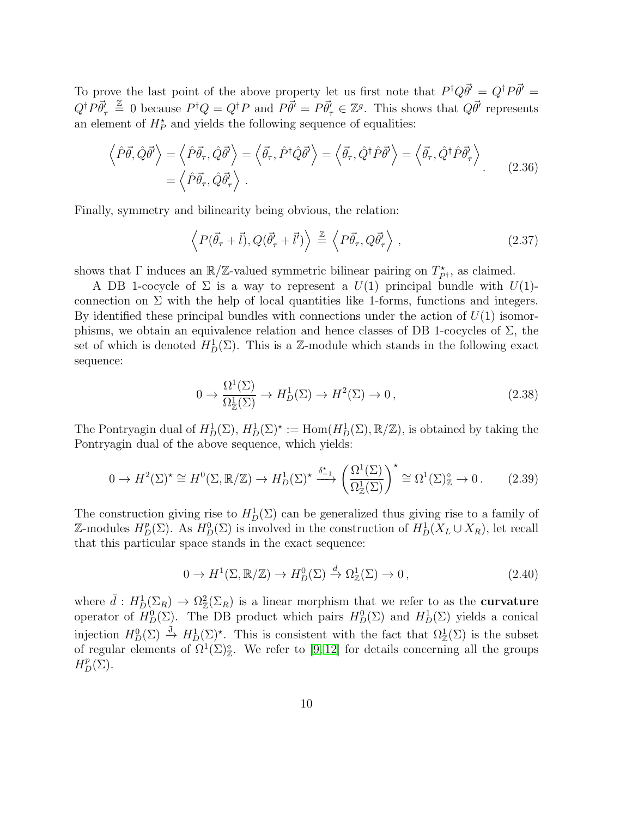To prove the last point of the above property let us first note that  $P^{\dagger}Q\vec{\theta}' = Q^{\dagger}P\vec{\theta}' =$  $Q^{\dagger} P \vec{\theta}'_{\tau} \stackrel{\mathbb{Z}}{=} 0$  because  $P^{\dagger} Q = Q^{\dagger} P$  and  $P \vec{\theta}' = P \vec{\theta}'_{\tau} \in \mathbb{Z}^g$ . This shows that  $Q \vec{\theta}'$  represents an element of  $H_P^{\star}$  and yields the following sequence of equalities:

$$
\left\langle \hat{P}\vec{\theta},\hat{Q}\vec{\theta}'\right\rangle = \left\langle \hat{P}\vec{\theta}_{\tau},\hat{Q}\vec{\theta}'\right\rangle = \left\langle \vec{\theta}_{\tau},\hat{P}^{\dagger}\hat{Q}\vec{\theta}'\right\rangle = \left\langle \vec{\theta}_{\tau},\hat{Q}^{\dagger}\hat{P}\vec{\theta}'\right\rangle = \left\langle \vec{\theta}_{\tau},\hat{Q}^{\dagger}\hat{P}\vec{\theta}'_{\tau}\right\rangle.
$$
\n(2.36)

Finally, symmetry and bilinearity being obvious, the relation:

$$
\left\langle P(\vec{\theta}_{\tau} + \vec{l}), Q(\vec{\theta}_{\tau} + \vec{l}') \right\rangle \stackrel{\mathbb{Z}}{=} \left\langle P\vec{\theta}_{\tau}, Q\vec{\theta}_{\tau}' \right\rangle, \tag{2.37}
$$

shows that  $\Gamma$  induces an  $\mathbb{R}/\mathbb{Z}$ -valued symmetric bilinear pairing on  $T^{\star}_{P^{\dagger}}$ , as claimed.

A DB 1-cocycle of  $\Sigma$  is a way to represent a  $U(1)$  principal bundle with  $U(1)$ connection on  $\Sigma$  with the help of local quantities like 1-forms, functions and integers. By identified these principal bundles with connections under the action of  $U(1)$  isomorphisms, we obtain an equivalence relation and hence classes of DB 1-cocycles of  $\Sigma$ , the set of which is denoted  $H_D^1(\Sigma)$ . This is a Z-module which stands in the following exact sequence:

$$
0 \to \frac{\Omega^1(\Sigma)}{\Omega^1_{\mathbb{Z}}(\Sigma)} \to H^1_D(\Sigma) \to H^2(\Sigma) \to 0, \qquad (2.38)
$$

The Pontryagin dual of  $H_D^1(\Sigma)$ ,  $H_D^1(\Sigma)^* := \text{Hom}(H_D^1(\Sigma), \mathbb{R}/\mathbb{Z})$ , is obtained by taking the Pontryagin dual of the above sequence, which yields:

<span id="page-10-1"></span>
$$
0 \to H^2(\Sigma)^\star \cong H^0(\Sigma, \mathbb{R}/\mathbb{Z}) \to H^1_D(\Sigma)^\star \xrightarrow{\delta_{-1}^\star} \left(\frac{\Omega^1(\Sigma)}{\Omega^1_{\mathbb{Z}}(\Sigma)}\right)^\star \cong \Omega^1(\Sigma)_{\mathbb{Z}}^\diamond \to 0. \tag{2.39}
$$

The construction giving rise to  $H_D^1(\Sigma)$  can be generalized thus giving rise to a family of Z-modules  $H_D^p(\Sigma)$ . As  $H_D^0(\Sigma)$  is involved in the construction of  $H_D^1(X_L \cup X_R)$ , let recall that this particular space stands in the exact sequence:

<span id="page-10-0"></span>
$$
0 \to H^1(\Sigma, \mathbb{R}/\mathbb{Z}) \to H^0_D(\Sigma) \stackrel{\bar{d}}{\to} \Omega^1_{\mathbb{Z}}(\Sigma) \to 0, \qquad (2.40)
$$

where  $\bar{d}: H^1_D(\Sigma_R) \to \Omega^2_{\mathbb{Z}}(\Sigma_R)$  is a linear morphism that we refer to as the **curvature** operator of  $H_D^0(\Sigma)$ . The DB product which pairs  $H_D^0(\Sigma)$  and  $H_D^1(\Sigma)$  yields a conical injection  $H_D^0(\Sigma) \stackrel{\mathfrak{J}}{\to} H_D^1(\Sigma)$ <sup>\*</sup>. This is consistent with the fact that  $\Omega^1_{\mathbb{Z}}(\Sigma)$  is the subset of regular elements of  $\Omega^1(\Sigma)_{\mathbb{Z}}^{\diamond}$ . We refer to [\[9,](#page-58-7) [12\]](#page-58-11) for details concerning all the groups  $H_D^p(\Sigma)$ .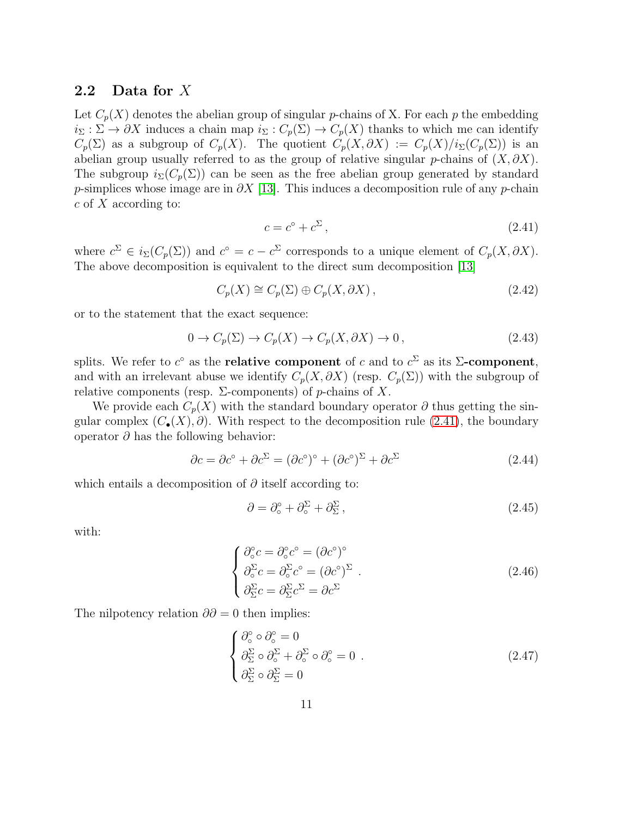## 2.2 Data for  $X$

Let  $C_p(X)$  denotes the abelian group of singular p-chains of X. For each p the embedding  $i_{\Sigma} : \Sigma \to \partial X$  induces a chain map  $i_{\Sigma} : C_p(\Sigma) \to C_p(X)$  thanks to which me can identify  $C_p(\Sigma)$  as a subgroup of  $C_p(X)$ . The quotient  $C_p(X, \partial X) := C_p(X)/i_{\Sigma}(C_p(\Sigma))$  is an abelian group usually referred to as the group of relative singular p-chains of  $(X, \partial X)$ . The subgroup  $i_{\Sigma}(C_p(\Sigma))$  can be seen as the free abelian group generated by standard p-simplices whose image are in  $\partial X$  [\[13\]](#page-58-12). This induces a decomposition rule of any p-chain  $c$  of  $X$  according to:

<span id="page-11-0"></span>
$$
c = c^{\circ} + c^{\Sigma}, \qquad (2.41)
$$

where  $c^{\Sigma} \in i_{\Sigma}(C_p(\Sigma))$  and  $c^{\circ} = c - c^{\Sigma}$  corresponds to a unique element of  $C_p(X, \partial X)$ . The above decomposition is equivalent to the direct sum decomposition [\[13\]](#page-58-12)

$$
C_p(X) \cong C_p(\Sigma) \oplus C_p(X, \partial X), \qquad (2.42)
$$

or to the statement that the exact sequence:

$$
0 \to C_p(\Sigma) \to C_p(X) \to C_p(X, \partial X) \to 0, \tag{2.43}
$$

splits. We refer to  $c^{\circ}$  as the **relative component** of c and to  $c^{\Sigma}$  as its  $\Sigma$ -component, and with an irrelevant abuse we identify  $C_p(X, \partial X)$  (resp.  $C_p(\Sigma)$ ) with the subgroup of relative components (resp.  $\Sigma$ -components) of p-chains of X.

We provide each  $C_p(X)$  with the standard boundary operator  $\partial$  thus getting the singular complex  $(C_{\bullet}(X), \partial)$ . With respect to the decomposition rule [\(2.41\)](#page-11-0), the boundary operator  $\partial$  has the following behavior:

$$
\partial c = \partial c^{\circ} + \partial c^{\Sigma} = (\partial c^{\circ})^{\circ} + (\partial c^{\circ})^{\Sigma} + \partial c^{\Sigma}
$$
 (2.44)

which entails a decomposition of  $\partial$  itself according to:

<span id="page-11-1"></span>
$$
\partial = \partial_{\circ}^{\circ} + \partial_{\circ}^{\Sigma} + \partial_{\Sigma}^{\Sigma},\tag{2.45}
$$

with:

$$
\begin{cases}\n\partial_{\circ}^{\circ}c = \partial_{\circ}^{\circ}c^{\circ} = (\partial c^{\circ})^{\circ} \\
\partial_{\circ}^{\Sigma}c = \partial_{\circ}^{\Sigma}c^{\circ} = (\partial c^{\circ})^{\Sigma} \\
\partial_{\Sigma}^{\Sigma}c = \partial_{\Sigma}^{\Sigma}c^{\Sigma} = \partial c^{\Sigma}\n\end{cases} (2.46)
$$

The nilpotency relation  $\partial \partial = 0$  then implies:

<span id="page-11-2"></span>
$$
\begin{cases}\n\partial_{\circ}^{\circ} \circ \partial_{\circ}^{\circ} = 0 \\
\partial_{\Sigma}^{\Sigma} \circ \partial_{\circ}^{\Sigma} + \partial_{\circ}^{\Sigma} \circ \partial_{\circ}^{\circ} = 0 \\
\partial_{\Sigma}^{\Sigma} \circ \partial_{\Sigma}^{\Sigma} = 0\n\end{cases} (2.47)
$$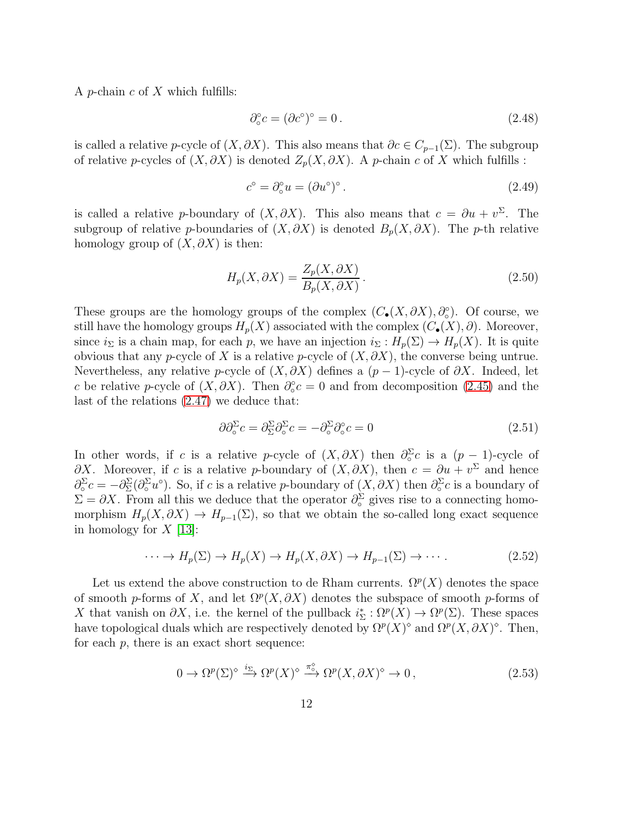A *p*-chain  $c$  of  $X$  which fulfills:

$$
\partial_{\circ}^{\circ}c = (\partial c^{\circ})^{\circ} = 0. \tag{2.48}
$$

is called a relative p-cycle of  $(X, \partial X)$ . This also means that  $\partial c \in C_{p-1}(\Sigma)$ . The subgroup of relative p-cycles of  $(X, \partial X)$  is denoted  $Z_p(X, \partial X)$ . A p-chain c of X which fulfills :

$$
c^{\circ} = \partial_{\circ}^{\circ} u = (\partial u^{\circ})^{\circ} . \tag{2.49}
$$

is called a relative p-boundary of  $(X, \partial X)$ . This also means that  $c = \partial u + v^{\Sigma}$ . The subgroup of relative p-boundaries of  $(X, \partial X)$  is denoted  $B_p(X, \partial X)$ . The p-th relative homology group of  $(X, \partial X)$  is then:

$$
H_p(X, \partial X) = \frac{Z_p(X, \partial X)}{B_p(X, \partial X)}.
$$
\n(2.50)

These groups are the homology groups of the complex  $(C_{\bullet}(X, \partial X), \partial_{\circ}^{\circ})$ . Of course, we still have the homology groups  $H_p(X)$  associated with the complex  $(C_{\bullet}(X), \partial)$ . Moreover, since  $i_{\Sigma}$  is a chain map, for each p, we have an injection  $i_{\Sigma}: H_p(\Sigma) \to H_p(X)$ . It is quite obvious that any p-cycle of X is a relative p-cycle of  $(X, \partial X)$ , the converse being untrue. Nevertheless, any relative p-cycle of  $(X, \partial X)$  defines a  $(p-1)$ -cycle of  $\partial X$ . Indeed, let c be relative p-cycle of  $(X, \partial X)$ . Then  $\partial_{\circ}^{\circ} c = 0$  and from decomposition [\(2.45\)](#page-11-1) and the last of the relations [\(2.47\)](#page-11-2) we deduce that:

$$
\partial \partial_{\circ}^{\Sigma} c = \partial_{\Sigma}^{\Sigma} \partial_{\circ}^{\Sigma} c = -\partial_{\circ}^{\Sigma} \partial_{\circ}^{\circ} c = 0 \tag{2.51}
$$

In other words, if c is a relative p-cycle of  $(X, \partial X)$  then  $\partial_{\circ}^{\Sigma} c$  is a  $(p-1)$ -cycle of  $\partial X$ . Moreover, if c is a relative p-boundary of  $(X, \partial X)$ , then  $c = \partial u + v^{\Sigma}$  and hence  $\partial_{\circ}^{\Sigma}c = -\partial_{\Sigma}^{\Sigma}(\partial_{\circ}^{\Sigma}u^{\circ})$ . So, if c is a relative p-boundary of  $(X, \partial X)$  then  $\partial_{\circ}^{\Sigma}c$  is a boundary of  $\Sigma = \partial X$ . From all this we deduce that the operator  $\partial_{\circ}^{\Sigma}$  gives rise to a connecting homomorphism  $H_p(X, \partial X) \to H_{p-1}(\Sigma)$ , so that we obtain the so-called long exact sequence in homology for  $X$  [\[13\]](#page-58-12):

<span id="page-12-0"></span>
$$
\cdots \to H_p(\Sigma) \to H_p(X) \to H_p(X, \partial X) \to H_{p-1}(\Sigma) \to \cdots. \tag{2.52}
$$

Let us extend the above construction to de Rham currents.  $\Omega^p(X)$  denotes the space of smooth p-forms of X, and let  $\Omega^p(X, \partial X)$  denotes the subspace of smooth p-forms of X that vanish on  $\partial X$ , i.e. the kernel of the pullback  $i_{\Sigma}^* : \Omega^p(X) \to \Omega^p(\Sigma)$ . These spaces have topological duals which are respectively denoted by  $\Omega^p(X)$ <sup>o</sup> and  $\Omega^p(X, \partial X)$ <sup>o</sup>. Then, for each  $p$ , there is an exact short sequence:

$$
0 \to \Omega^p(\Sigma)^\diamond \xrightarrow{i_{\Sigma}} \Omega^p(X)^\diamond \xrightarrow{\pi_\circ^\diamond} \Omega^p(X, \partial X)^\diamond \to 0,
$$
\n(2.53)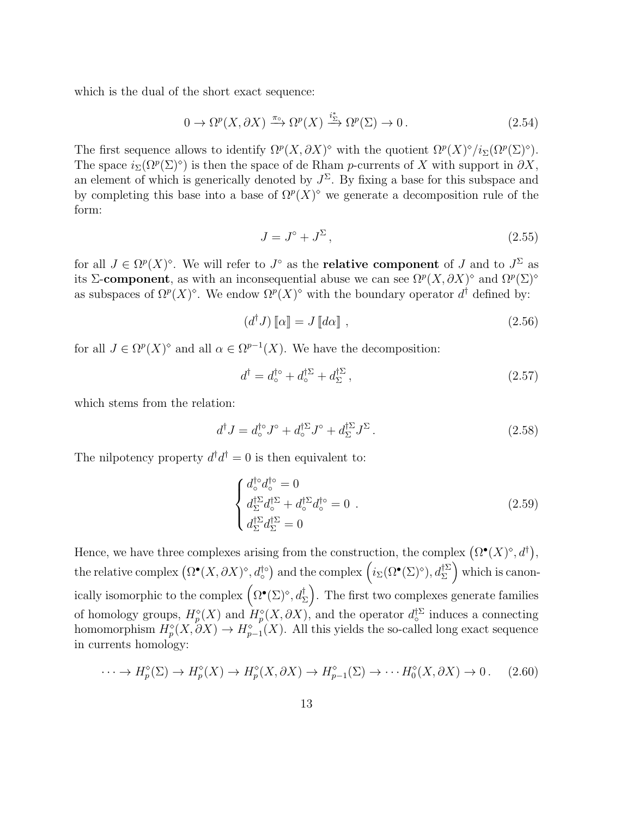which is the dual of the short exact sequence:

$$
0 \to \Omega^p(X, \partial X) \xrightarrow{\pi_{\circ}} \Omega^p(X) \xrightarrow{i_{\Sigma}^*} \Omega^p(\Sigma) \to 0.
$$
 (2.54)

The first sequence allows to identify  $\Omega^p(X, \partial X)^\diamond$  with the quotient  $\Omega^p(X)^\diamond / i_{\Sigma}(\Omega^p(\Sigma)^\diamond)$ . The space  $i_{\Sigma}(\Omega^p(\Sigma)^{\circ})$  is then the space of de Rham p-currents of X with support in  $\partial X$ , an element of which is generically denoted by  $J^{\Sigma}$ . By fixing a base for this subspace and by completing this base into a base of  $\Omega^p(X)$ <sup>o</sup> we generate a decomposition rule of the form:

<span id="page-13-0"></span>
$$
J = J^{\circ} + J^{\Sigma},\tag{2.55}
$$

for all  $J \in \Omega^p(X)^\circ$ . We will refer to  $J^\circ$  as the **relative component** of J and to  $J^\Sigma$  as its  $\Sigma$ -component, as with an inconsequential abuse we can see  $\Omega^p(X, \partial X)$ <sup>°</sup> and  $\Omega^p(\Sigma)$ <sup>°</sup> as subspaces of  $\Omega^p(X)^\diamond$ . We endow  $\Omega^p(X)^\diamond$  with the boundary operator  $d^\dagger$  defined by:

$$
(d\dagger J) [\![\alpha]\!] = J [\![d\alpha]\!], \tag{2.56}
$$

for all  $J \in \Omega^p(X)^\circ$  and all  $\alpha \in \Omega^{p-1}(X)$ . We have the decomposition:

<span id="page-13-2"></span>
$$
d^{\dagger} = d_{\circ}^{\dagger \circ} + d_{\circ}^{\dagger \Sigma} + d_{\Sigma}^{\dagger \Sigma}, \qquad (2.57)
$$

which stems from the relation:

$$
d^{\dagger}J = d_{\circ}^{\dagger \circ} J^{\circ} + d_{\circ}^{\dagger \Sigma} J^{\circ} + d_{\Sigma}^{\dagger \Sigma} J^{\Sigma} . \qquad (2.58)
$$

The nilpotency property  $d^{\dagger} d^{\dagger} = 0$  is then equivalent to:

<span id="page-13-1"></span>
$$
\begin{cases}\nd_{\circ}^{\dagger \circ} d_{\circ}^{\dagger \circ} = 0 \\
d_{\Sigma}^{\dagger \Sigma} d_{\circ}^{\dagger \Sigma} + d_{\circ}^{\dagger \Sigma} d_{\circ}^{\dagger \circ} = 0 \\
d_{\Sigma}^{\dagger \Sigma} d_{\Sigma}^{\dagger \Sigma} = 0\n\end{cases} (2.59)
$$

Hence, we have three complexes arising from the construction, the complex  $(\Omega^{\bullet}(X)^{\diamond}, d^{\dagger})$ , the relative complex  $(\Omega^{\bullet}(X, \partial X)^{\diamond}, d_{\circ}^{\dagger \diamond})$  and the complex  $(\imath_{\Sigma}(\Omega^{\bullet}(\Sigma)^{\diamond}), d_{\Sigma}^{\dagger \Sigma})$  which is canonically isomorphic to the complex  $(\Omega^\bullet(\Sigma)^\diamond,d^\dagger_\Sigma)$ . The first two complexes generate families of homology groups,  $H_p^{\diamond}(X)$  and  $H_p^{\diamond}(X, \partial X)$ , and the operator  $d_0^{\dagger\Sigma}$  induces a connecting homomorphism  $H_p^{\diamond}(X, \partial X) \to H_{p-1}^{\diamond}(X)$ . All this yields the so-called long exact sequence in currents homology:

$$
\cdots \to H_p^{\diamond}(\Sigma) \to H_p^{\diamond}(X) \to H_p^{\diamond}(X, \partial X) \to H_{p-1}^{\diamond}(\Sigma) \to \cdots H_0^{\diamond}(X, \partial X) \to 0. \tag{2.60}
$$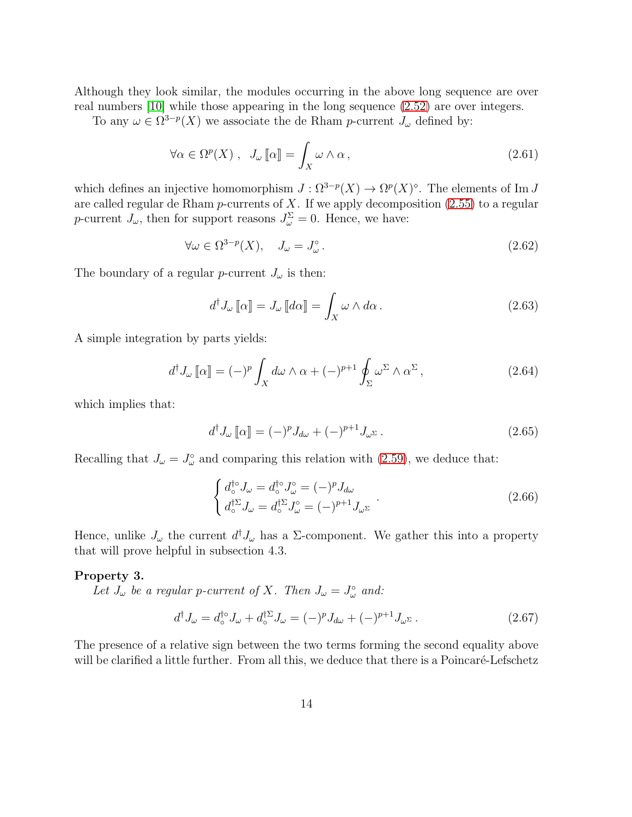Although they look similar, the modules occurring in the above long sequence are over real numbers [\[10\]](#page-58-9) while those appearing in the long sequence [\(2.52\)](#page-12-0) are over integers.

To any  $\omega \in \Omega^{3-p}(X)$  we associate the de Rham p-current  $J_{\omega}$  defined by:

$$
\forall \alpha \in \Omega^p(X) , J_\omega[\![\alpha]\!] = \int_X \omega \wedge \alpha , \qquad (2.61)
$$

which defines an injective homomorphism  $J : \Omega^{3-p}(X) \to \Omega^p(X)$ <sup>o</sup>. The elements of Im J are called regular de Rham  $p$ -currents of X. If we apply decomposition  $(2.55)$  to a regular p-current  $J_{\omega}$ , then for support reasons  $J_{\omega}^{\Sigma} = 0$ . Hence, we have:

$$
\forall \omega \in \Omega^{3-p}(X), \quad J_{\omega} = J_{\omega}^{\circ}.
$$
\n(2.62)

The boundary of a regular p-current  $J_{\omega}$  is then:

$$
d^{\dagger} J_{\omega} [\![\alpha]\!] = J_{\omega} [\![d\alpha]\!] = \int_X \omega \wedge d\alpha \,. \tag{2.63}
$$

A simple integration by parts yields:

$$
d^{\dagger} J_{\omega} [\![\alpha]\!] = (-)^p \int_X d\omega \wedge \alpha + (-)^{p+1} \oint_{\Sigma} \omega^{\Sigma} \wedge \alpha^{\Sigma} , \qquad (2.64)
$$

which implies that:

$$
d^{\dagger} J_{\omega} \left[ \alpha \right] = (-)^p J_{d\omega} + (-)^{p+1} J_{\omega^{\Sigma}}.
$$
 (2.65)

Recalling that  $J_{\omega} = J_{\omega}^{\circ}$  and comparing this relation with [\(2.59\)](#page-13-1), we deduce that:

$$
\begin{cases} d_{\circ}^{\dagger \circ} J_{\omega} = d_{\circ}^{\dagger \circ} J_{\omega}^{\circ} = (-)^{p} J_{d\omega} \\ d_{\circ}^{\dagger \Sigma} J_{\omega} = d_{\circ}^{\dagger \Sigma} J_{\omega}^{\circ} = (-)^{p+1} J_{\omega^{\Sigma}} \end{cases}.
$$
\n(2.66)

Hence, unlike  $J_{\omega}$  the current  $d^{\dagger} J_{\omega}$  has a  $\Sigma$ -component. We gather this into a property that will prove helpful in subsection 4.3.

### <span id="page-14-0"></span>Property 3.

Let  $J_{\omega}$  be a regular p-current of X. Then  $J_{\omega} = J_{\omega}^{\circ}$  and:

$$
d^{\dagger} J_{\omega} = d_{\circ}^{\dagger \circ} J_{\omega} + d_{\circ}^{\dagger \Sigma} J_{\omega} = (-)^p J_{d\omega} + (-)^{p+1} J_{\omega^{\Sigma}}.
$$
\n(2.67)

The presence of a relative sign between the two terms forming the second equality above will be clarified a little further. From all this, we deduce that there is a Poincaré-Lefschetz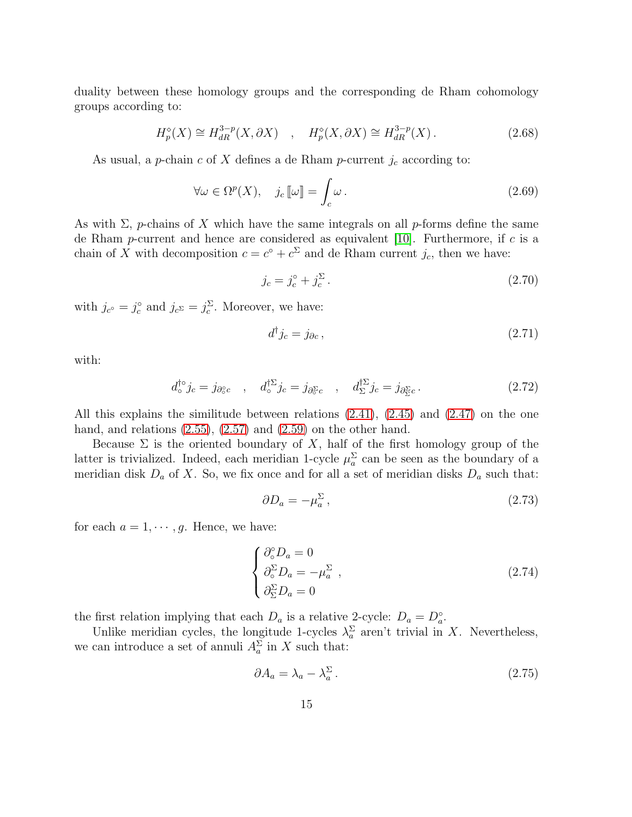duality between these homology groups and the corresponding de Rham cohomology groups according to:

$$
H_p^{\diamond}(X) \cong H_{dR}^{3-p}(X, \partial X) \quad , \quad H_p^{\diamond}(X, \partial X) \cong H_{dR}^{3-p}(X) \,. \tag{2.68}
$$

As usual, a *p*-chain c of X defines a de Rham *p*-current  $j_c$  according to:

$$
\forall \omega \in \Omega^p(X), \quad j_c[\![\omega]\!] = \int_c \omega \,. \tag{2.69}
$$

As with  $\Sigma$ , *p*-chains of X which have the same integrals on all *p*-forms define the same de Rham p-current and hence are considered as equivalent  $[10]$ . Furthermore, if c is a chain of X with decomposition  $c = c^{\circ} + c^{\Sigma}$  and de Rham current  $j_c$ , then we have:

$$
j_c = j_c^{\circ} + j_c^{\Sigma} \,. \tag{2.70}
$$

with  $j_{c^{\circ}} = j_c^{\circ}$  and  $j_{c^{\Sigma}} = j_c^{\Sigma}$ . Moreover, we have:

$$
d^{\dagger}j_c = j_{\partial c},\tag{2.71}
$$

with:

$$
d_{\circ}^{\dagger \circ} j_c = j_{\partial_{\circ}^{\circ} c} \quad , \quad d_{\circ}^{\dagger \Sigma} j_c = j_{\partial_{\circ}^{\Sigma} c} \quad , \quad d_{\Sigma}^{\dagger \Sigma} j_c = j_{\partial_{\Sigma}^{\Sigma} c} \,. \tag{2.72}
$$

All this explains the similitude between relations [\(2.41\)](#page-11-0), [\(2.45\)](#page-11-1) and [\(2.47\)](#page-11-2) on the one hand, and relations  $(2.55)$ ,  $(2.57)$  and  $(2.59)$  on the other hand.

Because  $\Sigma$  is the oriented boundary of X, half of the first homology group of the latter is trivialized. Indeed, each meridian 1-cycle  $\mu_a^{\Sigma}$  can be seen as the boundary of a meridian disk  $D_a$  of X. So, we fix once and for all a set of meridian disks  $D_a$  such that:

$$
\partial D_a = -\mu_a^{\Sigma} \,,\tag{2.73}
$$

for each  $a = 1, \dots, g$ . Hence, we have:

$$
\begin{cases}\n\partial_{\circ}^{\circ} D_a = 0 \\
\partial_{\circ}^{\Sigma} D_a = -\mu_a^{\Sigma} \\
\partial_{\Sigma}^{\Sigma} D_a = 0\n\end{cases}
$$
\n(2.74)

the first relation implying that each  $D_a$  is a relative 2-cycle:  $D_a = D_a^{\circ}$ .

Unlike meridian cycles, the longitude 1-cycles  $\lambda_a^{\Sigma}$  aren't trivial in X. Nevertheless, we can introduce a set of annuli  $A_a^{\Sigma}$  in X such that:

<span id="page-15-0"></span>
$$
\partial A_a = \lambda_a - \lambda_a^{\Sigma} \,. \tag{2.75}
$$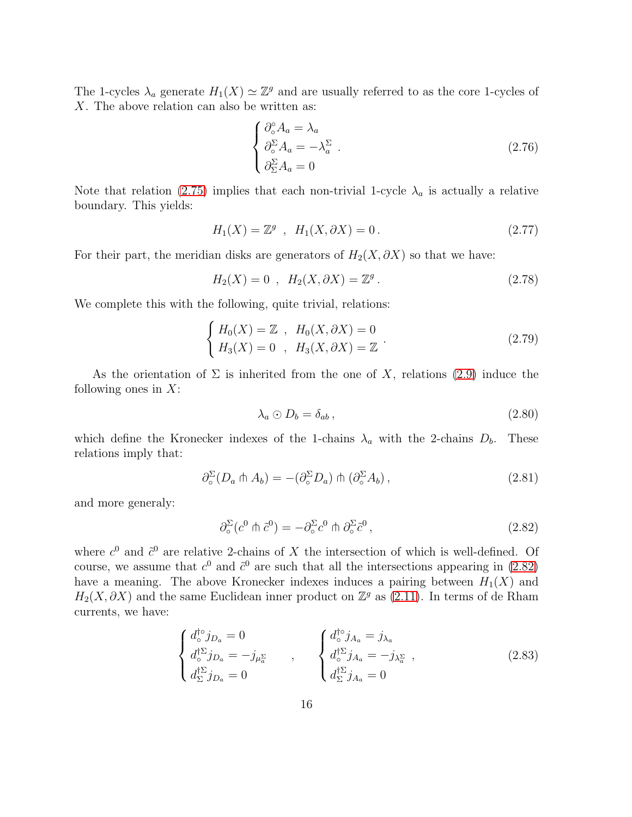The 1-cycles  $\lambda_a$  generate  $H_1(X) \simeq \mathbb{Z}^g$  and are usually referred to as the core 1-cycles of X. The above relation can also be written as:

$$
\begin{cases}\n\partial_{\circ}^{\circ} A_{a} = \lambda_{a} \\
\partial_{\circ}^{\Sigma} A_{a} = -\lambda_{a}^{\Sigma} \\
\partial_{\Sigma}^{\Sigma} A_{a} = 0\n\end{cases} (2.76)
$$

Note that relation [\(2.75\)](#page-15-0) implies that each non-trivial 1-cycle  $\lambda_a$  is actually a relative boundary. This yields:

$$
H_1(X) = \mathbb{Z}^g \ , \ H_1(X, \partial X) = 0 \,. \tag{2.77}
$$

For their part, the meridian disks are generators of  $H_2(X, \partial X)$  so that we have:

$$
H_2(X) = 0 \, , \, H_2(X, \partial X) = \mathbb{Z}^g \, . \tag{2.78}
$$

We complete this with the following, quite trivial, relations:

$$
\begin{cases}\nH_0(X) = \mathbb{Z} , H_0(X, \partial X) = 0 \\
H_3(X) = 0 , H_3(X, \partial X) = \mathbb{Z}\n\end{cases}
$$
\n(2.79)

As the orientation of  $\Sigma$  is inherited from the one of X, relations [\(2.9\)](#page-5-0) induce the following ones in  $X$ :

<span id="page-16-1"></span>
$$
\lambda_a \odot D_b = \delta_{ab} \,, \tag{2.80}
$$

which define the Kronecker indexes of the 1-chains  $\lambda_a$  with the 2-chains  $D_b$ . These relations imply that:

$$
\partial_{\circ}^{\Sigma} (D_a \pitchfork A_b) = -(\partial_{\circ}^{\Sigma} D_a) \pitchfork (\partial_{\circ}^{\Sigma} A_b), \qquad (2.81)
$$

and more generaly:

<span id="page-16-0"></span>
$$
\partial_{\circ}^{\Sigma}(c^0 \wedge \tilde{c}^0) = -\partial_{\circ}^{\Sigma}c^0 \wedge \partial_{\circ}^{\Sigma}\tilde{c}^0 , \qquad (2.82)
$$

where  $c^0$  and  $\tilde{c}^0$  are relative 2-chains of X the intersection of which is well-defined. Of course, we assume that  $c^0$  and  $\tilde{c}^0$  are such that all the intersections appearing in [\(2.82\)](#page-16-0) have a meaning. The above Kronecker indexes induces a pairing between  $H_1(X)$  and  $H_2(X, \partial X)$  and the same Euclidean inner product on  $\mathbb{Z}^g$  as [\(2.11\)](#page-5-1). In terms of de Rham currents, we have:

<span id="page-16-2"></span>
$$
\begin{cases}\nd_{\circ}^{\dagger \circ} j_{D_a} = 0 \\
d_{\circ}^{\dagger \Sigma} j_{D_a} = -j_{\mu_a^{\Sigma}} \\
d_{\Sigma}^{\dagger \Sigma} j_{D_a} = 0\n\end{cases},\n\begin{cases}\nd_{\circ}^{\dagger \circ} j_{A_a} = j_{\lambda_a} \\
d_{\circ}^{\dagger \Sigma} j_{A_a} = -j_{\lambda_a^{\Sigma}} \\
d_{\Sigma}^{\dagger \Sigma} j_{A_a} = 0\n\end{cases},
$$
\n(2.83)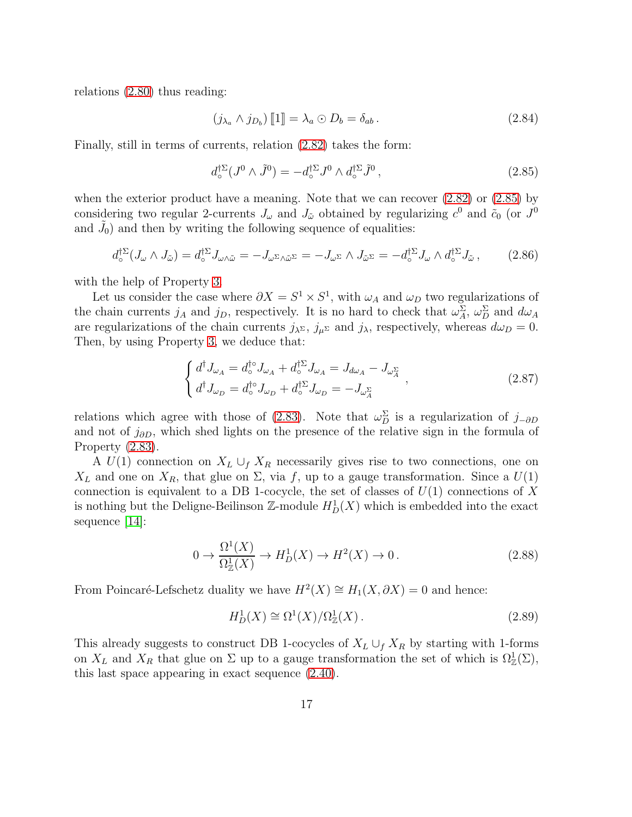relations [\(2.80\)](#page-16-1) thus reading:

$$
(j_{\lambda_a} \wedge j_{D_b}) \llbracket 1 \rrbracket = \lambda_a \odot D_b = \delta_{ab} \,. \tag{2.84}
$$

Finally, still in terms of currents, relation [\(2.82\)](#page-16-0) takes the form:

<span id="page-17-0"></span>
$$
d_{\circ}^{\dagger \Sigma} (J^0 \wedge \tilde{J}^0) = -d_{\circ}^{\dagger \Sigma} J^0 \wedge d_{\circ}^{\dagger \Sigma} \tilde{J}^0 , \qquad (2.85)
$$

when the exterior product have a meaning. Note that we can recover [\(2.82\)](#page-16-0) or [\(2.85\)](#page-17-0) by considering two regular 2-currents  $J_{\omega}$  and  $J_{\tilde{\omega}}$  obtained by regularizing  $c^0$  and  $\tilde{c}_0$  (or  $J^0$ and  $\tilde{J}_0$  and then by writing the following sequence of equalities:

$$
d_{\circ}^{\dagger \Sigma} (J_{\omega} \wedge J_{\tilde{\omega}}) = d_{\circ}^{\dagger \Sigma} J_{\omega \wedge \tilde{\omega}} = -J_{\omega^{\Sigma} \wedge \tilde{\omega}^{\Sigma}} = -J_{\omega^{\Sigma}} \wedge J_{\tilde{\omega}^{\Sigma}} = -d_{\circ}^{\dagger \Sigma} J_{\omega} \wedge d_{\circ}^{\dagger \Sigma} J_{\tilde{\omega}} , \qquad (2.86)
$$

with the help of Property [3.](#page-14-0)

Let us consider the case where  $\partial X = S^1 \times S^1$ , with  $\omega_A$  and  $\omega_D$  two regularizations of the chain currents  $j_A$  and  $j_D$ , respectively. It is no hard to check that  $\omega_A^{\Sigma}$ ,  $\omega_D^{\Sigma}$  and  $d\omega_A$ are regularizations of the chain currents  $j_{\lambda} \Sigma$ ,  $j_{\mu} \Sigma$  and  $j_{\lambda}$ , respectively, whereas  $d\omega_D = 0$ . Then, by using Property [3,](#page-14-0) we deduce that:

$$
\begin{cases} d^{\dagger} J_{\omega_A} = d^{\dagger \circ}_\circ J_{\omega_A} + d^{\dagger \Sigma}_\circ J_{\omega_A} = J_{d\omega_A} - J_{\omega_A^{\Sigma}} \\ d^{\dagger} J_{\omega_D} = d^{\dagger \circ}_\circ J_{\omega_D} + d^{\dagger \Sigma}_\circ J_{\omega_D} = -J_{\omega_A^{\Sigma}} \end{cases} ,
$$
\n(2.87)

relations which agree with those of [\(2.83\)](#page-16-2). Note that  $\omega_D^{\Sigma}$  is a regularization of  $j_{-\partial D}$ and not of  $j_{\partial D}$ , which shed lights on the presence of the relative sign in the formula of Property [\(2.83\)](#page-16-2).

A  $U(1)$  connection on  $X_L \cup_f X_R$  necessarily gives rise to two connections, one on  $X_L$  and one on  $X_R$ , that glue on  $\Sigma$ , via f, up to a gauge transformation. Since a  $U(1)$ connection is equivalent to a DB 1-cocycle, the set of classes of  $U(1)$  connections of X is nothing but the Deligne-Beilinson  $\mathbb{Z}$ -module  $H^1_D(X)$  which is embedded into the exact sequence [\[14\]](#page-58-13):

$$
0 \to \frac{\Omega^1(X)}{\Omega^1_Z(X)} \to H^1_D(X) \to H^2(X) \to 0.
$$
\n(2.88)

From Poincaré-Lefschetz duality we have  $H^2(X) \cong H_1(X, \partial X) = 0$  and hence:

$$
H_D^1(X) \cong \Omega^1(X)/\Omega^1_Z(X). \tag{2.89}
$$

This already suggests to construct DB 1-cocycles of  $X_L \cup_f X_R$  by starting with 1-forms on  $X_L$  and  $X_R$  that glue on  $\Sigma$  up to a gauge transformation the set of which is  $\Omega^1_{\mathbb{Z}}(\Sigma)$ , this last space appearing in exact sequence [\(2.40\)](#page-10-0).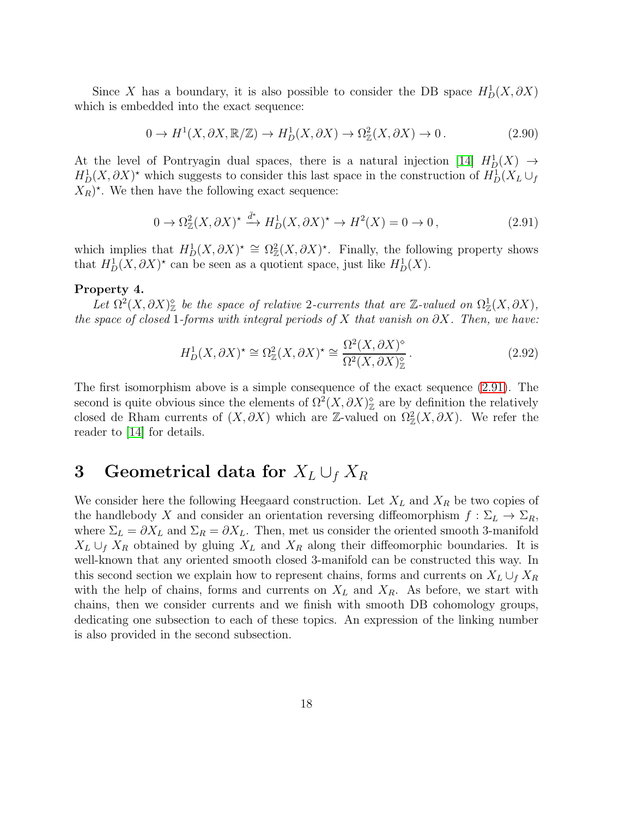Since X has a boundary, it is also possible to consider the DB space  $H_D^1(X, \partial X)$ which is embedded into the exact sequence:

$$
0 \to H^1(X, \partial X, \mathbb{R}/\mathbb{Z}) \to H^1_D(X, \partial X) \to \Omega^2_{\mathbb{Z}}(X, \partial X) \to 0.
$$
 (2.90)

At the level of Pontryagin dual spaces, there is a natural injection [\[14\]](#page-58-13)  $H_D^1(X) \to$  $H_D^1(X, \partial X)^*$  which suggests to consider this last space in the construction of  $H_D^1(X_L \cup_f$  $(X_R)^*$ . We then have the following exact sequence:

<span id="page-18-0"></span>
$$
0 \to \Omega^2(\mathcal{X}, \partial \mathcal{X})^* \xrightarrow{\bar{d}^*} H^1_D(\mathcal{X}, \partial \mathcal{X})^* \to H^2(\mathcal{X}) = 0 \to 0, \tag{2.91}
$$

which implies that  $H_D^1(X, \partial X)^* \cong \Omega^2_{\mathbb{Z}}(X, \partial X)^*$ . Finally, the following property shows that  $H_D^1(X, \partial X)^*$  can be seen as a quotient space, just like  $H_D^1(X)$ .

#### <span id="page-18-1"></span>Property 4.

Let  $\Omega^2(X, \partial X)^{\circ}_{\mathbb{Z}}$  be the space of relative 2-currents that are Z-valued on  $\Omega^1_{\mathbb{Z}}(X, \partial X)$ , the space of closed 1-forms with integral periods of X that vanish on  $\partial X$ . Then, we have:

$$
H_D^1(X, \partial X)^\star \cong \Omega_\mathbb{Z}^2(X, \partial X)^\star \cong \frac{\Omega^2(X, \partial X)^\diamond}{\Omega^2(X, \partial X)^\diamond_\mathbb{Z}}.
$$
\n(2.92)

The first isomorphism above is a simple consequence of the exact sequence [\(2.91\)](#page-18-0). The second is quite obvious since the elements of  $\Omega^2(X, \partial X)^{\diamond}_{\mathbb{Z}}$  are by definition the relatively closed de Rham currents of  $(X, \partial X)$  which are Z-valued on  $\Omega^2_{\mathbb{Z}}(X, \partial X)$ . We refer the reader to [\[14\]](#page-58-13) for details.

# 3 Geometrical data for  $X_L \cup_f X_R$

We consider here the following Heegaard construction. Let  $X_L$  and  $X_R$  be two copies of the handlebody X and consider an orientation reversing diffeomorphism  $f: \Sigma_L \to \Sigma_R$ , where  $\Sigma_L = \partial X_L$  and  $\Sigma_R = \partial X_L$ . Then, met us consider the oriented smooth 3-manifold  $X_L \cup_f X_R$  obtained by gluing  $X_L$  and  $X_R$  along their diffeomorphic boundaries. It is well-known that any oriented smooth closed 3-manifold can be constructed this way. In this second section we explain how to represent chains, forms and currents on  $X_L \cup_f X_R$ with the help of chains, forms and currents on  $X_L$  and  $X_R$ . As before, we start with chains, then we consider currents and we finish with smooth DB cohomology groups, dedicating one subsection to each of these topics. An expression of the linking number is also provided in the second subsection.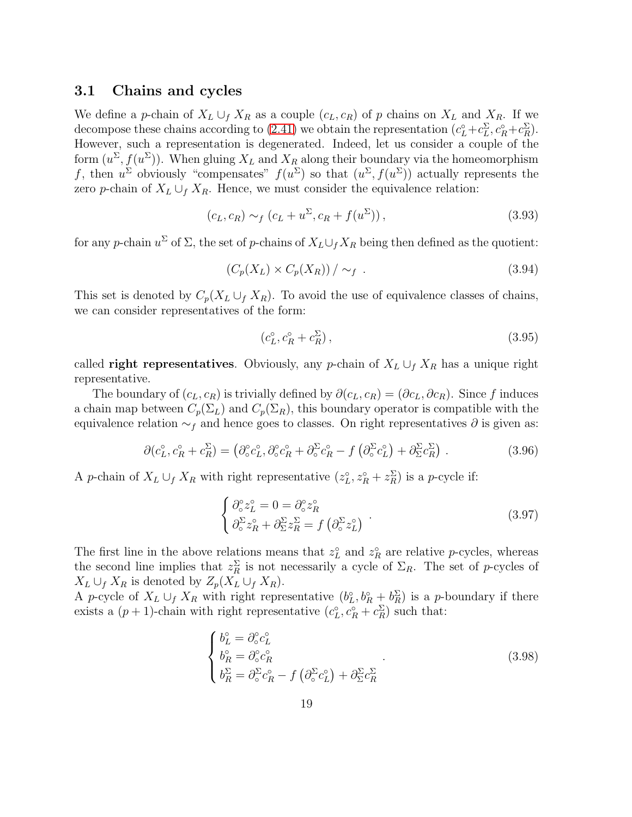## 3.1 Chains and cycles

We define a p-chain of  $X_L \cup_f X_R$  as a couple  $(c_L, c_R)$  of p chains on  $X_L$  and  $X_R$ . If we decompose these chains according to [\(2.41\)](#page-11-0) we obtain the representation  $(c_L^{\circ} + c_L^{\Sigma}, c_R^{\circ} + c_R^{\Sigma})$ . However, such a representation is degenerated. Indeed, let us consider a couple of the form  $(u^{\Sigma}, f(u^{\Sigma}))$ . When gluing  $X_L$  and  $X_R$  along their boundary via the homeomorphism f, then  $u^{\Sigma}$  obviously "compensates"  $f(u^{\Sigma})$  so that  $(u^{\Sigma}, f(u^{\Sigma}))$  actually represents the zero p-chain of  $X_L \cup_f X_R$ . Hence, we must consider the equivalence relation:

$$
(cL, cR) \sim_f (cL + u\Sigma, cR + f(u\Sigma)),
$$
\n(3.93)

for any p-chain  $u^{\Sigma}$  of  $\Sigma$ , the set of p-chains of  $X_L\cup_f X_R$  being then defined as the quotient:

$$
(C_p(X_L) \times C_p(X_R)) / \sim_f . \tag{3.94}
$$

This set is denoted by  $C_p(X_L \cup_f X_R)$ . To avoid the use of equivalence classes of chains, we can consider representatives of the form:

$$
(c_L^{\circ}, c_R^{\circ} + c_R^{\Sigma}), \qquad (3.95)
$$

called **right representatives**. Obviously, any p-chain of  $X_L \cup_f X_R$  has a unique right representative.

The boundary of  $(c_L, c_R)$  is trivially defined by  $\partial(c_L, c_R) = (\partial c_L, \partial c_R)$ . Since f induces a chain map between  $C_p(\Sigma_L)$  and  $C_p(\Sigma_R)$ , this boundary operator is compatible with the equivalence relation  $\sim_f$  and hence goes to classes. On right representatives  $\partial$  is given as:

$$
\partial(c_L^{\circ}, c_R^{\circ} + c_R^{\Sigma}) = (\partial_{\circ}^{\circ} c_L^{\circ}, \partial_{\circ}^{\circ} c_R^{\circ} + \partial_{\circ}^{\Sigma} c_R^{\circ} - f(\partial_{\circ}^{\Sigma} c_L^{\circ}) + \partial_{\Sigma}^{\Sigma} c_R^{\Sigma}). \tag{3.96}
$$

A p-chain of  $X_L \cup_f X_R$  with right representative  $(z_L^{\circ}, z_R^{\circ} + z_R^{\Sigma})$  is a p-cycle if:

<span id="page-19-0"></span>
$$
\begin{cases}\n\partial_{\circ}^{\circ} z_{L}^{\circ} = 0 = \partial_{\circ}^{\circ} z_{R}^{\circ} \\
\partial_{\circ}^{\Sigma} z_{R}^{\circ} + \partial_{\Sigma}^{\Sigma} z_{R}^{\Sigma} = f\left(\partial_{\circ}^{\Sigma} z_{L}^{\circ}\right)\n\end{cases}.
$$
\n(3.97)

The first line in the above relations means that  $z<sub>L</sub><sup>o</sup>$  and  $z<sub>R</sub><sup>o</sup>$  are relative p-cycles, whereas the second line implies that  $z_R^{\Sigma}$  is not necessarily a cycle of  $\Sigma_R$ . The set of p-cycles of  $X_L \cup_f X_R$  is denoted by  $Z_p(X_L \cup_f X_R)$ .

A p-cycle of  $X_L \cup_f X_R$  with right representative  $(b_L^{\circ}, b_R^{\circ} + b_R^{\Sigma})$  is a p-boundary if there exists a  $(p+1)$ -chain with right representative  $(c<sub>L</sub><sup>\circ</sup>, c<sub>R</sub><sup>\circ</sup> + c<sub>R</sub><sup>\circ</sup>)$  such that:

<span id="page-19-1"></span>
$$
\begin{cases}\n b_L^{\circ} = \partial_{\circ}^{\circ} c_L^{\circ} \\
 b_R^{\circ} = \partial_{\circ}^{\circ} c_R^{\circ} \\
 b_R^{\Sigma} = \partial_{\circ}^{\Sigma} c_R^{\circ} - f \left( \partial_{\circ}^{\Sigma} c_L^{\circ} \right) + \partial_{\Sigma}^{\Sigma} c_R^{\Sigma}\n\end{cases} \tag{3.98}
$$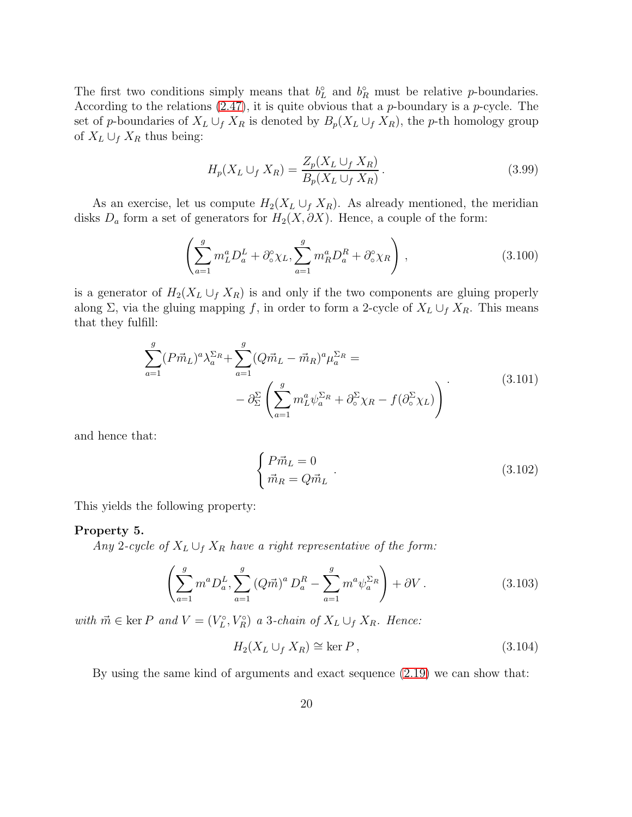The first two conditions simply means that  $b<sub>L</sub><sup>o</sup>$  and  $b<sub>R</sub><sup>o</sup>$  must be relative *p*-boundaries. According to the relations  $(2.47)$ , it is quite obvious that a p-boundary is a p-cycle. The set of p-boundaries of  $X_L \cup_f X_R$  is denoted by  $B_p(X_L \cup_f X_R)$ , the p-th homology group of  $X_L \cup_f X_R$  thus being:

$$
H_p(X_L \cup_f X_R) = \frac{Z_p(X_L \cup_f X_R)}{B_p(X_L \cup_f X_R)}.
$$
\n(3.99)

As an exercise, let us compute  $H_2(X_L \cup_f X_R)$ . As already mentioned, the meridian disks  $D_a$  form a set of generators for  $H_2(X, \partial X)$ . Hence, a couple of the form:

$$
\left(\sum_{a=1}^{g} m_{L}^{a} D_{a}^{L} + \partial_{\circ}^{o} \chi_{L}, \sum_{a=1}^{g} m_{R}^{a} D_{a}^{R} + \partial_{\circ}^{o} \chi_{R}\right), \qquad (3.100)
$$

is a generator of  $H_2(X_L \cup_f X_R)$  is and only if the two components are gluing properly along  $\Sigma$ , via the gluing mapping f, in order to form a 2-cycle of  $X_L \cup_f X_R$ . This means that they fulfill:

$$
\sum_{a=1}^{g} (P\vec{m}_L)^a \lambda_a^{\Sigma_R} + \sum_{a=1}^{g} (Q\vec{m}_L - \vec{m}_R)^a \mu_a^{\Sigma_R} =
$$
\n
$$
- \partial_{\Sigma}^{\Sigma} \left( \sum_{a=1}^{g} m_L^a \psi_a^{\Sigma_R} + \partial_{\circ}^{\Sigma} \chi_R - f(\partial_{\circ}^{\Sigma} \chi_L) \right)
$$
\n(3.101)

and hence that:

$$
\begin{cases}\nP\vec{m}_L = 0 \\
\vec{m}_R = Q\vec{m}_L\n\end{cases} \tag{3.102}
$$

This yields the following property:

#### <span id="page-20-0"></span>Property 5.

Any 2-cycle of  $X_L \cup_f X_R$  have a right representative of the form:

$$
\left(\sum_{a=1}^{g} m^{a} D_{a}^{L}, \sum_{a=1}^{g} (Q \vec{m})^{a} D_{a}^{R} - \sum_{a=1}^{g} m^{a} \psi_{a}^{\Sigma_{R}}\right) + \partial V.
$$
 (3.103)

with  $\vec{m} \in \text{ker } P$  and  $V = (V_L^{\circ}, V_R^{\circ})$  a 3-chain of  $X_L \cup_f X_R$ . Hence:

$$
H_2(X_L \cup_f X_R) \cong \ker P, \tag{3.104}
$$

By using the same kind of arguments and exact sequence [\(2.19\)](#page-7-0) we can show that: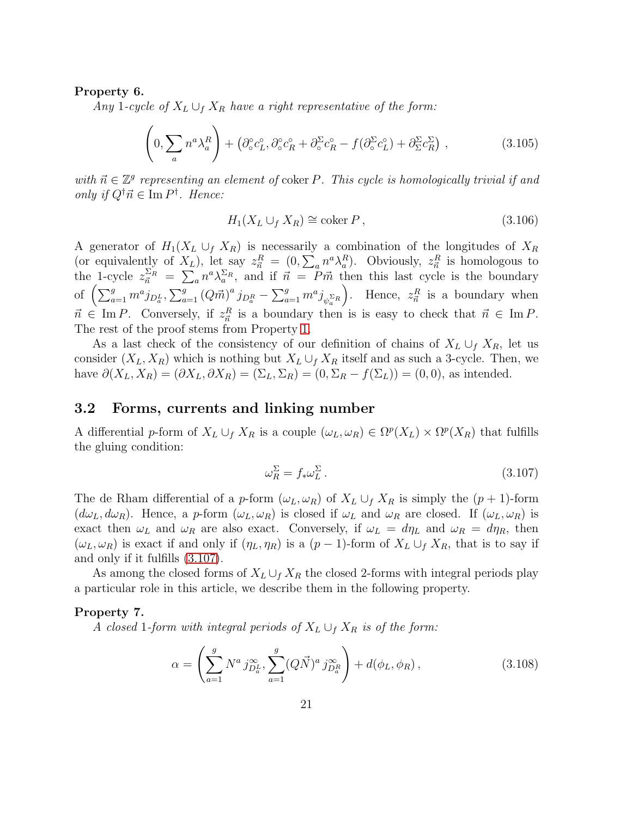### Property 6.

Any 1-cycle of  $X_L \cup_f X_R$  have a right representative of the form:

$$
\left(0, \sum_{a} n^{a} \lambda_{a}^{R}\right) + \left(\partial_{\circ}^{\circ} c_{L}^{\circ}, \partial_{\circ}^{\circ} c_{R}^{\circ} + \partial_{\circ}^{\Sigma} c_{R}^{\circ} - f(\partial_{\circ}^{\Sigma} c_{L}^{\circ}) + \partial_{\Sigma}^{\Sigma} c_{R}^{\Sigma}\right),\tag{3.105}
$$

with  $\vec{n} \in \mathbb{Z}^g$  representing an element of coker P. This cycle is homologically trivial if and only if  $Q^{\dagger} \vec{n} \in \text{Im } P^{\dagger}$ . Hence:

$$
H_1(X_L \cup_f X_R) \cong \text{coker } P\,,\tag{3.106}
$$

A generator of  $H_1(X_L \cup_f X_R)$  is necessarily a combination of the longitudes of  $X_R$ (or equivalently of  $X_L$ ), let say  $z_{\vec{n}}^R = (0, \sum_a n^a \lambda_a^R)$ . Obviously,  $z_{\vec{n}}^R$  is homologous to the 1-cycle  $z_{\vec{n}}^{\Sigma_R} = \sum_a n^a \lambda_a^{\Sigma_R}$ , and if  $\vec{n} = \vec{P}\vec{m}$  then this last cycle is the boundary of  $\left(\sum_{a=1}^g m^a j_{D_a^L}, \sum_{a=1}^g (Q\vec{m})^a j_{D_a^R} - \sum_{a=1}^g m^a j_{\psi_a^{\Sigma_R}}\right)$ . Hence,  $z_{\vec{n}}^R$  is a boundary when  $\vec{n} \in \text{Im } P$ . Conversely, if  $z_{\vec{n}}^R$  is a boundary then is is easy to check that  $\vec{n} \in \text{Im } P$ . The rest of the proof stems from Property [1.](#page-7-1)

As a last check of the consistency of our definition of chains of  $X_L \cup_f X_R$ , let us consider  $(X_L, X_R)$  which is nothing but  $X_L \cup_f X_R$  itself and as such a 3-cycle. Then, we have  $\partial(X_L, X_R) = (\partial X_L, \partial X_R) = (\Sigma_L, \Sigma_R) = (0, \Sigma_R - f(\Sigma_L)) = (0, 0)$ , as intended.

## 3.2 Forms, currents and linking number

A differential p-form of  $X_L \cup_f X_R$  is a couple  $(\omega_L, \omega_R) \in \Omega^p(X_L) \times \Omega^p(X_R)$  that fulfills the gluing condition:

<span id="page-21-0"></span>
$$
\omega_R^{\Sigma} = f_* \omega_L^{\Sigma} \,. \tag{3.107}
$$

The de Rham differential of a p-form  $(\omega_L, \omega_R)$  of  $X_L \cup_f X_R$  is simply the  $(p+1)$ -form  $(d\omega_L, d\omega_R)$ . Hence, a p-form  $(\omega_L, \omega_R)$  is closed if  $\omega_L$  and  $\omega_R$  are closed. If  $(\omega_L, \omega_R)$  is exact then  $\omega_L$  and  $\omega_R$  are also exact. Conversely, if  $\omega_L = d\eta_L$  and  $\omega_R = d\eta_R$ , then  $(\omega_L, \omega_R)$  is exact if and only if  $(\eta_L, \eta_R)$  is a  $(p-1)$ -form of  $X_L \cup_f X_R$ , that is to say if and only if it fulfills [\(3.107\)](#page-21-0).

As among the closed forms of  $X_L \cup_f X_R$  the closed 2-forms with integral periods play a particular role in this article, we describe them in the following property.

#### <span id="page-21-1"></span>Property 7.

A closed 1-form with integral periods of  $X_L \cup_f X_R$  is of the form:

$$
\alpha = \left(\sum_{a=1}^{g} N^a j_{D_a^L}^{\infty}, \sum_{a=1}^{g} (Q\vec{N})^a j_{D_a^R}^{\infty}\right) + d(\phi_L, \phi_R), \qquad (3.108)
$$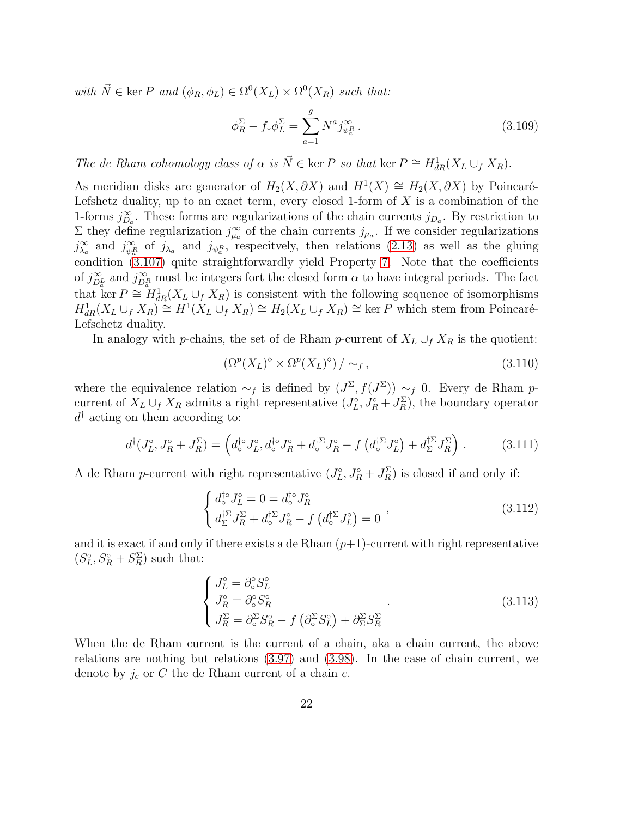with  $\vec{N} \in \text{ker } P$  and  $(\phi_R, \phi_L) \in \Omega^0(X_L) \times \Omega^0(X_R)$  such that:

$$
\phi_R^{\Sigma} - f_* \phi_L^{\Sigma} = \sum_{a=1}^{g} N^a j_{\psi_a^R}^{\infty} . \tag{3.109}
$$

The de Rham cohomology class of  $\alpha$  is  $\overrightarrow{N} \in \text{ker } P$  so that  $\text{ker } P \cong H_{dR}^1(X_L \cup_f X_R)$ .

As meridian disks are generator of  $H_2(X, \partial X)$  and  $H^1(X) \cong H_2(X, \partial X)$  by Poincaré-Lefshetz duality, up to an exact term, every closed 1-form of  $X$  is a combination of the 1-forms  $j_{D_a}^{\infty}$ . These forms are regularizations of the chain currents  $j_{D_a}$ . By restriction to  $\Sigma$  they define regularization  $j_{\mu_a}^{\infty}$  of the chain currents  $j_{\mu_a}$ . If we consider regularizations  $j_{\lambda_a}^{\infty}$  and  $j_{\psi_a^R}$  of  $j_{\lambda_a}$  and  $j_{\psi_a^R}$ , respecitvely, then relations [\(2.13\)](#page-6-1) as well as the gluing condition [\(3.107\)](#page-21-0) quite straightforwardly yield Property [7.](#page-21-1) Note that the coefficients of  $j_{D_a^L}^{\infty}$  and  $j_{D_a^R}^{\infty}$  must be integers fort the closed form  $\alpha$  to have integral periods. The fact that ker  $P \cong H_{dR}^1(X_L \cup_f X_R)$  is consistent with the following sequence of isomorphisms  $H_{dR}^1(X_L \cup_f X_R) \cong H^1(X_L \cup_f X_R) \cong H_2(X_L \cup_f X_R) \cong \text{ker } P$  which stem from Poincaré-Lefschetz duality.

In analogy with p-chains, the set of de Rham p-current of  $X_L \cup_f X_R$  is the quotient:

$$
\left(\Omega^p(X_L)^\diamond \times \Omega^p(X_L)^\diamond\right) / \sim_f,\tag{3.110}
$$

where the equivalence relation  $\sim_f$  is defined by  $(J^{\Sigma}, f(J^{\Sigma})) \sim_f 0$ . Every de Rham pcurrent of  $X_L \cup_f X_R$  admits a right representative  $(J_L^{\circ}, J_R^{\circ} + J_R^{\Sigma})$ , the boundary operator  $d^{\dagger}$  acting on them according to:

$$
d^{\dagger}(J_L^{\circ}, J_R^{\circ} + J_R^{\Sigma}) = \left( d_{\circ}^{\dagger \circ} J_L^{\circ}, d_{\circ}^{\dagger \circ} J_R^{\circ} + d_{\circ}^{\dagger \Sigma} J_R^{\circ} - f \left( d_{\circ}^{\dagger \Sigma} J_L^{\circ} \right) + d_{\Sigma}^{\dagger \Sigma} J_R^{\Sigma} \right) . \tag{3.111}
$$

A de Rham p-current with right representative  $(J_L^{\circ}, J_R^{\circ} + J_R^{\Sigma})$  is closed if and only if:

<span id="page-22-0"></span>
$$
\begin{cases} d_{\circ}^{\dagger \circ} J_L^{\circ} = 0 = d_{\circ}^{\dagger \circ} J_R^{\circ} \\ d_{\Sigma}^{\dagger \Sigma} J_R^{\Sigma} + d_{\circ}^{\dagger \Sigma} J_R^{\circ} - f \left( d_{\circ}^{\dagger \Sigma} J_L^{\circ} \right) = 0 \end{cases} , \tag{3.112}
$$

and it is exact if and only if there exists a de Rham  $(p+1)$ -current with right representative  $(S_L^{\circ}, S_R^{\circ} + S_R^{\Sigma})$  such that:

$$
\begin{cases}\nJ_L^{\circ} = \partial_{\circ}^{\circ} S_L^{\circ} \\
J_R^{\circ} = \partial_{\circ}^{\circ} S_R^{\circ} \\
J_R^{\Sigma} = \partial_{\circ}^{\Sigma} S_R^{\circ} - f \left(\partial_{\circ}^{\Sigma} S_L^{\circ}\right) + \partial_{\Sigma}^{\Sigma} S_R^{\Sigma}\n\end{cases} \tag{3.113}
$$

When the de Rham current is the current of a chain, aka a chain current, the above relations are nothing but relations [\(3.97\)](#page-19-0) and [\(3.98\)](#page-19-1). In the case of chain current, we denote by  $j_c$  or C the de Rham current of a chain c.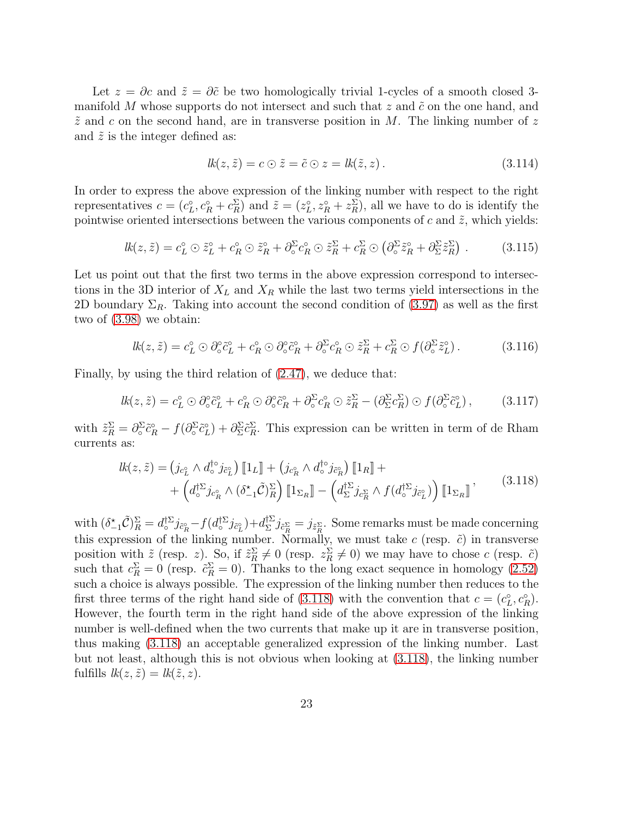Let  $z = \partial c$  and  $\tilde{z} = \partial \tilde{c}$  be two homologically trivial 1-cycles of a smooth closed 3manifold M whose supports do not intersect and such that  $z$  and  $\tilde{c}$  on the one hand, and  $\tilde{z}$  and c on the second hand, are in transverse position in M. The linking number of z and  $\tilde{z}$  is the integer defined as:

$$
lk(z, \tilde{z}) = c \odot \tilde{z} = \tilde{c} \odot z = lk(\tilde{z}, z).
$$
 (3.114)

In order to express the above expression of the linking number with respect to the right representatives  $c = (c_L^{\circ}, c_R^{\circ} + c_R^{\Sigma})$  and  $\tilde{z} = (z_L^{\circ}, z_R^{\circ} + z_R^{\Sigma})$ , all we have to do is identify the pointwise oriented intersections between the various components of  $c$  and  $\tilde{z}$ , which yields:

$$
lk(z, \tilde{z}) = c_L^{\circ} \odot \tilde{z}_L^{\circ} + c_R^{\circ} \odot \tilde{z}_R^{\circ} + \partial_{\circ}^{\Sigma} c_R^{\circ} \odot \tilde{z}_R^{\Sigma} + c_R^{\Sigma} \odot (\partial_{\circ}^{\Sigma} \tilde{z}_R^{\circ} + \partial_{\Sigma}^{\Sigma} \tilde{z}_R^{\Sigma}). \tag{3.115}
$$

Let us point out that the first two terms in the above expression correspond to intersections in the 3D interior of  $X_L$  and  $X_R$  while the last two terms yield intersections in the 2D boundary  $\Sigma_R$ . Taking into account the second condition of [\(3.97\)](#page-19-0) as well as the first two of [\(3.98\)](#page-19-1) we obtain:

$$
lk(z, \tilde{z}) = c_L^{\circ} \odot \partial_{\circ}^{\circ} \tilde{c}_L^{\circ} + c_R^{\circ} \odot \partial_{\circ}^{\circ} \tilde{c}_R^{\circ} + \partial_{\circ}^{\Sigma} c_R^{\circ} \odot \tilde{z}_R^{\Sigma} + c_R^{\Sigma} \odot f(\partial_{\circ}^{\Sigma} \tilde{z}_L^{\circ}). \tag{3.116}
$$

Finally, by using the third relation of [\(2.47\)](#page-11-2), we deduce that:

$$
lk(z, \tilde{z}) = c_L^{\circ} \odot \partial_{\circ}^{\circ} \tilde{c}_L^{\circ} + c_R^{\circ} \odot \partial_{\circ}^{\circ} \tilde{c}_R^{\circ} + \partial_{\circ}^{\Sigma} c_R^{\circ} \odot \tilde{z}_R^{\Sigma} - (\partial_{\Sigma}^{\Sigma} c_R^{\Sigma}) \odot f(\partial_{\circ}^{\Sigma} \tilde{c}_L^{\circ}), \tag{3.117}
$$

with  $\tilde{z}_R^{\Sigma} = \partial_{\circ}^{\Sigma} \tilde{c}_R^{\circ} - f(\partial_{\circ}^{\Sigma} \tilde{c}_L^{\Sigma}) + \partial_{\Sigma}^{\Sigma} \tilde{c}_R^{\Sigma}$ . This expression can be written in term of de Rham currents as:

<span id="page-23-0"></span>
$$
lk(z, \tilde{z}) = (j_{c_L^{\circ}} \wedge d_{\circ}^{\dagger \circ} j_{\tilde{c}_L^{\circ}}) \llbracket 1_L \rrbracket + (j_{c_R^{\circ}} \wedge d_{\circ}^{\dagger \circ} j_{\tilde{c}_R^{\circ}}) \llbracket 1_R \rrbracket + (d_{\Sigma}^{\dagger \Sigma} j_{c_R^{\circ}} \wedge (\delta_{-1}^{\star} \tilde{C})_R^{\Sigma}) \llbracket 1_{\Sigma_R} \rrbracket - (d_{\Sigma}^{\dagger \Sigma} j_{c_R^{\Sigma}} \wedge f(d_{\circ}^{\dagger \Sigma} j_{\tilde{c}_L^{\circ}})) \llbracket 1_{\Sigma_R} \rrbracket , \tag{3.118}
$$

with  $(\delta_{-1}^{\star}\tilde{\mathcal{C}})_{R}^{\Sigma}=d_{\circ}^{\dagger\Sigma}j_{\tilde{c}_{R}^{\circ}}-f(d_{\circ}^{\dagger\Sigma}j_{\tilde{c}_{L}^{\circ}})+d_{\Sigma}^{\dagger\Sigma}$  $\sum_{\Sigma}^{T^{\Sigma}} j_{\tilde{c}_{R}^{\Sigma}} = j_{\tilde{z}_{R}^{\Sigma}}$ . Some remarks must be made concerning this expression of the linking number. Normally, we must take  $c$  (resp.  $\tilde{c}$ ) in transverse position with  $\tilde{z}$  (resp. z). So, if  $\tilde{z}_R^{\Sigma} \neq 0$  (resp.  $z_R^{\Sigma} \neq 0$ ) we may have to chose c (resp.  $\tilde{c}$ ) such that  $c_R^{\Sigma} = 0$  (resp.  $\tilde{c}_R^{\Sigma} = 0$ ). Thanks to the long exact sequence in homology [\(2.52\)](#page-12-0) such a choice is always possible. The expression of the linking number then reduces to the first three terms of the right hand side of [\(3.118\)](#page-23-0) with the convention that  $c = (c_L^{\circ}, c_R^{\circ})$ . However, the fourth term in the right hand side of the above expression of the linking number is well-defined when the two currents that make up it are in transverse position, thus making [\(3.118\)](#page-23-0) an acceptable generalized expression of the linking number. Last but not least, although this is not obvious when looking at [\(3.118\)](#page-23-0), the linking number fulfills  $lk(z, \tilde{z}) = lk(\tilde{z}, z)$ .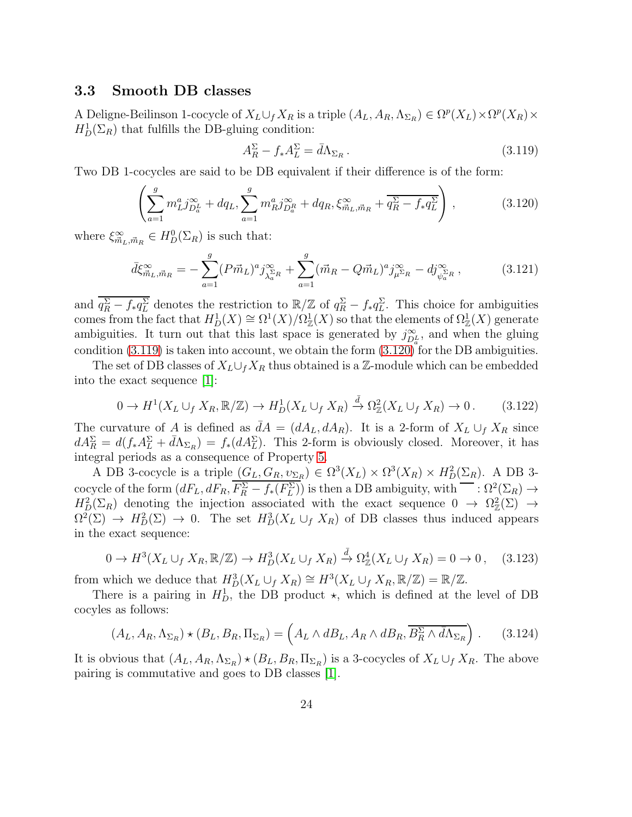## 3.3 Smooth DB classes

A Deligne-Beilinson 1-cocycle of  $X_L \cup_f X_R$  is a triple  $(A_L, A_R, \Lambda_{\Sigma_R}) \in \Omega^p(X_L) \times \Omega^p(X_R) \times$  $H_D^1(\Sigma_R)$  that fulfills the DB-gluing condition:

<span id="page-24-0"></span>
$$
A_R^{\Sigma} - f_* A_L^{\Sigma} = \bar{d} \Lambda_{\Sigma_R} \,. \tag{3.119}
$$

Two DB 1-cocycles are said to be DB equivalent if their difference is of the form:

<span id="page-24-1"></span>
$$
\left(\sum_{a=1}^{g} m_L^a j_{D_a^L}^{\infty} + dq_L, \sum_{a=1}^{g} m_R^a j_{D_a^R}^{\infty} + dq_R, \xi_{\vec{m}_L, \vec{m}_R}^{\infty} + \overline{q_R^{\Sigma} - f_* q_L^{\Sigma}}\right),\tag{3.120}
$$

where  $\xi_{\vec{m}_L, \vec{m}_R}^{\infty} \in H_D^0(\Sigma_R)$  is such that:

$$
\bar{d}\xi_{\vec{m}_L,\vec{m}_R}^{\infty} = -\sum_{a=1}^{g} (P\vec{m}_L)^a j_{\lambda_a^{\Sigma_R}}^{\infty} + \sum_{a=1}^{g} (\vec{m}_R - Q\vec{m}_L)^a j_{\mu^{\Sigma_R}}^{\infty} - dj_{\psi_a^{\Sigma_R}}^{\infty},
$$
(3.121)

and  $q_R^{\Sigma} - f_* q_L^{\Sigma}$  denotes the restriction to  $\mathbb{R}/\mathbb{Z}$  of  $q_R^{\Sigma} - f_* q_L^{\Sigma}$ . This choice for ambiguities comes from the fact that  $H_D^1(X) \cong \Omega^1(X)/\Omega^1_{\mathbb{Z}}(X)$  so that the elements of  $\Omega^1_{\mathbb{Z}}(X)$  generate ambiguities. It turn out that this last space is generated by  $j_{D_q^L}^{\infty}$ , and when the gluing condition [\(3.119\)](#page-24-0) is taken into account, we obtain the form [\(3.120\)](#page-24-1) for the DB ambiguities.

The set of DB classes of  $X_L\cup_f X_R$  thus obtained is a Z-module which can be embedded into the exact sequence [\[1\]](#page-58-0):

<span id="page-24-2"></span>
$$
0 \to H^1(X_L \cup_f X_R, \mathbb{R}/\mathbb{Z}) \to H^1_D(X_L \cup_f X_R) \xrightarrow{\bar{d}} \Omega_{\mathbb{Z}}^2(X_L \cup_f X_R) \to 0. \tag{3.122}
$$

The curvature of A is defined as  $\bar{d}A = (dA_L, dA_R)$ . It is a 2-form of  $X_L \cup_f X_R$  since  $dA_R^{\Sigma} = d(f_*A_L^{\Sigma} + \bar{d}\Lambda_{\Sigma_R}) = f_*(dA_L^{\Sigma}).$  This 2-form is obviously closed. Moreover, it has integral periods as a consequence of Property [5.](#page-20-0)

A DB 3-cocycle is a triple  $(G_L, G_R, \nu_{\Sigma_R}) \in \Omega^3(X_L) \times \Omega^3(X_R) \times H_D^2(\Sigma_R)$ . A DB 3cocycle of the form  $(dF_L, dF_R, F_R^{\Sigma} - f_*(F_L^{\Sigma}))$  is then a DB ambiguity, with  $\overline{\phantom{C}} : \Omega^2(\Sigma_R) \to$  $H_D^2(\Sigma_R)$  denoting the injection associated with the exact sequence  $0 \to \Omega_{\mathbb{Z}}^2(\Sigma) \to$  $\Omega^2(\Sigma) \to H_D^2(\Sigma) \to 0$ . The set  $H_D^3(X_L \cup_f X_R)$  of DB classes thus induced appears in the exact sequence:

$$
0 \to H^3(X_L \cup_f X_R, \mathbb{R}/\mathbb{Z}) \to H^3_D(X_L \cup_f X_R) \xrightarrow{\bar{d}} \Omega^4_{\mathbb{Z}}(X_L \cup_f X_R) = 0 \to 0, \quad (3.123)
$$

from which we deduce that  $H_D^3(X_L \cup_f X_R) \cong H^3(X_L \cup_f X_R, \mathbb{R}/\mathbb{Z}) = \mathbb{R}/\mathbb{Z}$ .

There is a pairing in  $H_D^1$ , the DB product  $\star$ , which is defined at the level of DB cocyles as follows:

$$
(A_L, A_R, \Lambda_{\Sigma_R}) \star (B_L, B_R, \Pi_{\Sigma_R}) = \left(A_L \wedge dB_L, A_R \wedge dB_R, \overline{B_R^{\Sigma} \wedge d\Lambda_{\Sigma_R}}\right). \tag{3.124}
$$

It is obvious that  $(A_L, A_R, \Lambda_{\Sigma_R}) \star (B_L, B_R, \Pi_{\Sigma_R})$  is a 3-cocycles of  $X_L \cup_f X_R$ . The above pairing is commutative and goes to DB classes [\[1\]](#page-58-0).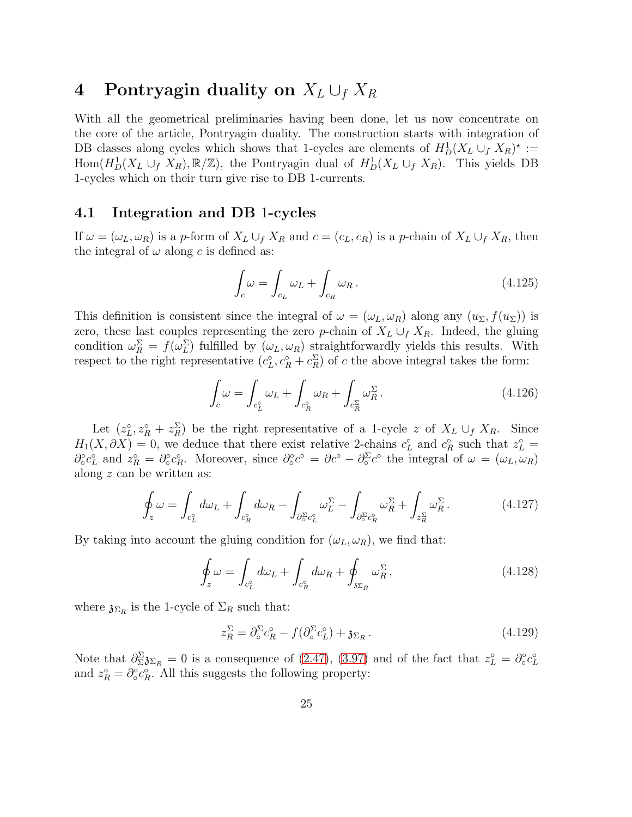## 4 Pontryagin duality on  $X_L \cup_f X_R$

With all the geometrical preliminaries having been done, let us now concentrate on the core of the article, Pontryagin duality. The construction starts with integration of DB classes along cycles which shows that 1-cycles are elements of  $H_D^1(X_L \cup_f X_R)^* :=$ Hom $(H_D^1(X_L \cup_f X_R), \mathbb{R}/\mathbb{Z})$ , the Pontryagin dual of  $H_D^1(X_L \cup_f X_R)$ . This yields DB 1-cycles which on their turn give rise to DB 1-currents.

## 4.1 Integration and DB 1-cycles

If  $\omega = (\omega_L, \omega_R)$  is a p-form of  $X_L \cup_f X_R$  and  $c = (c_L, c_R)$  is a p-chain of  $X_L \cup_f X_R$ , then the integral of  $\omega$  along c is defined as:

$$
\int_{c} \omega = \int_{c_L} \omega_L + \int_{c_R} \omega_R. \tag{4.125}
$$

This definition is consistent since the integral of  $\omega = (\omega_L, \omega_R)$  along any  $(u_\Sigma, f(u_\Sigma))$  is zero, these last couples representing the zero p-chain of  $X_L \cup_f X_R$ . Indeed, the gluing condition  $\omega_R^{\Sigma} = f(\omega_L^{\Sigma})$  fulfilled by  $(\omega_L, \omega_R)$  straightforwardly yields this results. With respect to the right representative  $(c_L^{\circ}, c_R^{\circ} + c_R^{\Sigma})$  of c the above integral takes the form:

$$
\int_c \omega = \int_{c_L^2} \omega_L + \int_{c_R^2} \omega_R + \int_{c_R^2} \omega_R^{\Sigma}.
$$
\n(4.126)

Let  $(z_L^{\circ}, z_R^{\circ} + z_R^{\Sigma})$  be the right representative of a 1-cycle z of  $X_L \cup_f X_R$ . Since  $H_1(X, \partial X) = 0$ , we deduce that there exist relative 2-chains  $c_L^{\circ}$  and  $c_R^{\circ}$  such that  $z_L^{\circ} =$  $\partial_{\circ}^{\circ} c_L^{\circ}$  and  $z_R^{\circ} = \partial_{\circ}^{\circ} c_R^{\circ}$ . Moreover, since  $\partial_{\circ}^{\circ} c^{\circ} = \partial c^{\circ} - \partial_{\circ}^{\Sigma} c^{\circ}$  the integral of  $\omega = (\omega_L, \omega_R)$ along z can be written as:

$$
\oint_z \omega = \int_{c_L^{\circ}} d\omega_L + \int_{c_R^{\circ}} d\omega_R - \int_{\partial_{\circ}^{\Sigma} c_L^{\circ}} \omega_L^{\Sigma} - \int_{\partial_{\circ}^{\Sigma} c_R^{\circ}} \omega_R^{\Sigma} + \int_{z_R^{\Sigma}} \omega_R^{\Sigma}.
$$
\n(4.127)

By taking into account the gluing condition for  $(\omega_L, \omega_R)$ , we find that:

$$
\oint_{z} \omega = \int_{c_{L}^{2}} d\omega_{L} + \int_{c_{R}^{2}} d\omega_{R} + \oint_{3\Sigma_{R}} \omega_{R}^{\Sigma},
$$
\n(4.128)

where  $\mathfrak{z}_{\Sigma_R}$  is the 1-cycle of  $\Sigma_R$  such that:

$$
z_R^{\Sigma} = \partial_{\circ}^{\Sigma} c_R^{\circ} - f(\partial_{\circ}^{\Sigma} c_L^{\circ}) + \mathfrak{z}_{\Sigma_R} \,. \tag{4.129}
$$

Note that  $\partial_{\Sigma}^{\Sigma} \mathfrak{z}_{R} = 0$  is a consequence of [\(2.47\)](#page-11-2), [\(3.97\)](#page-19-0) and of the fact that  $z_{L}^{\circ} = \partial_{\circ}^{\circ} c_{L}^{\circ}$ and  $z_R^{\circ} = \partial_{\circ}^{\circ} c_R^{\circ}$ . All this suggests the following property: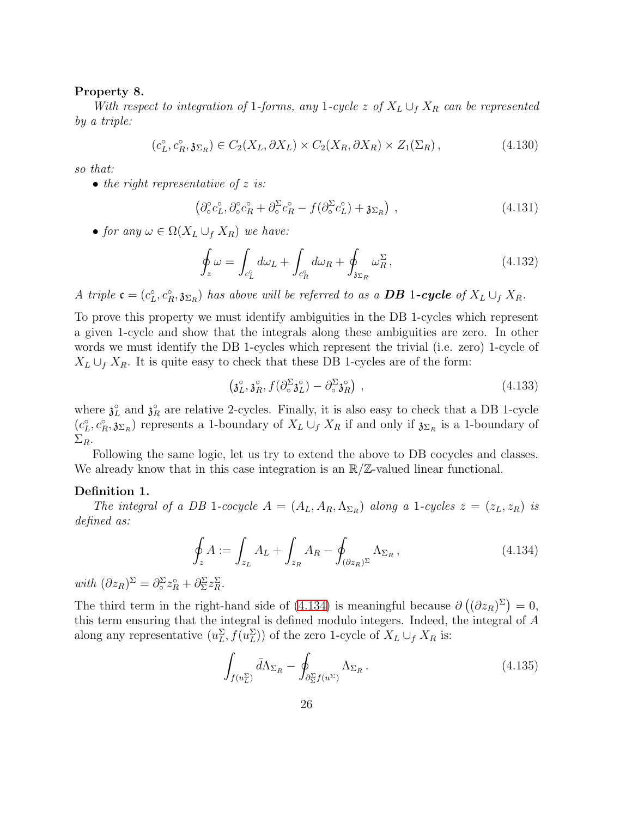### <span id="page-26-1"></span>Property 8.

With respect to integration of 1-forms, any 1-cycle z of  $X_L \cup_f X_R$  can be represented by a triple:

$$
(c_L^{\circ}, c_R^{\circ}, \mathfrak{z}_{\Sigma_R}) \in C_2(X_L, \partial X_L) \times C_2(X_R, \partial X_R) \times Z_1(\Sigma_R), \tag{4.130}
$$

so that:

• the right representative of  $z$  is:

$$
\left(\partial_{\circ}^{\circ}c_{L}^{\circ},\partial_{\circ}^{\circ}c_{R}^{\circ}+\partial_{\circ}^{\Sigma}c_{R}^{\circ}-f(\partial_{\circ}^{\Sigma}c_{L}^{\circ})+\mathfrak{z}_{\Sigma_{R}}\right),\tag{4.131}
$$

• for any  $\omega \in \Omega(X_L \cup_f X_R)$  we have:

$$
\oint_{z} \omega = \int_{c_{L}^{2}} d\omega_{L} + \int_{c_{R}^{2}} d\omega_{R} + \oint_{3\Sigma_{R}} \omega_{R}^{\Sigma},
$$
\n(4.132)

A triple  $\mathfrak{c} = (c_L^{\circ}, c_R^{\circ}, \mathfrak{z}_{\Sigma_R})$  has above will be referred to as a **DB** 1-cycle of  $X_L \cup_f X_R$ .

To prove this property we must identify ambiguities in the DB 1-cycles which represent a given 1-cycle and show that the integrals along these ambiguities are zero. In other words we must identify the DB 1-cycles which represent the trivial (i.e. zero) 1-cycle of  $X_L \cup_f X_R$ . It is quite easy to check that these DB 1-cycles are of the form:

$$
\left(\mathfrak{z}_L^{\circ}, \mathfrak{z}_R^{\circ}, f(\partial_{\circ}^{\Sigma} \mathfrak{z}_L^{\circ}) - \partial_{\circ}^{\Sigma} \mathfrak{z}_R^{\circ}\right) ,\tag{4.133}
$$

where  $\mathfrak{z}_L^{\circ}$  and  $\mathfrak{z}_R^{\circ}$  are relative 2-cycles. Finally, it is also easy to check that a DB 1-cycle  $(c_L^{\circ}, c_R^{\circ}, \mathfrak{z}_{\Sigma_R})$  represents a 1-boundary of  $X_L \cup_f X_R$  if and only if  $\mathfrak{z}_{\Sigma_R}$  is a 1-boundary of  $\Sigma_R$ .

Following the same logic, let us try to extend the above to DB cocycles and classes. We already know that in this case integration is an  $\mathbb{R}/\mathbb{Z}$ -valued linear functional.

### Definition 1.

The integral of a DB 1-cocycle  $A = (A_L, A_R, \Lambda_{\Sigma_R})$  along a 1-cycles  $z = (z_L, z_R)$  is defined as:

<span id="page-26-0"></span>
$$
\oint_z A := \int_{z_L} A_L + \int_{z_R} A_R - \oint_{(\partial z_R)^\Sigma} \Lambda_{\Sigma_R},
$$
\n(4.134)

with  $(\partial z_R)^{\Sigma} = \partial_{\circ}^{\Sigma} z_R^{\circ} + \partial_{\Sigma}^{\Sigma} z_R^{\Sigma}$ .

The third term in the right-hand side of [\(4.134\)](#page-26-0) is meaningful because  $\partial ((\partial z_R)^{\Sigma}) = 0$ , this term ensuring that the integral is defined modulo integers. Indeed, the integral of A along any representative  $(u_L^{\Sigma}, f(u_L^{\Sigma}))$  of the zero 1-cycle of  $X_L \cup_f X_R$  is:

$$
\int_{f(u_L^{\Sigma})} \bar{d} \Lambda_{\Sigma_R} - \oint_{\partial_{\Sigma}^{\Sigma} f(u^{\Sigma})} \Lambda_{\Sigma_R} .
$$
\n(4.135)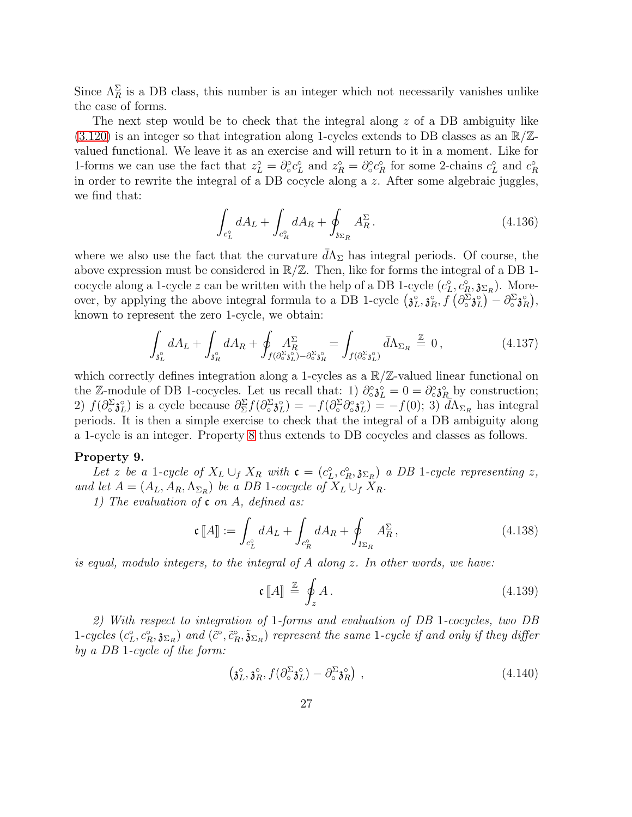Since  $\Lambda_R^{\Sigma}$  is a DB class, this number is an integer which not necessarily vanishes unlike the case of forms.

The next step would be to check that the integral along z of a DB ambiguity like  $(3.120)$  is an integer so that integration along 1-cycles extends to DB classes as an  $\mathbb{R}/\mathbb{Z}$ valued functional. We leave it as an exercise and will return to it in a moment. Like for 1-forms we can use the fact that  $z_L^{\circ} = \partial_{\circ}^{\circ} c_L^{\circ}$  and  $z_R^{\circ} = \partial_{\circ}^{\circ} c_R^{\circ}$  for some 2-chains  $c_L^{\circ}$  and  $c_R^{\circ}$ in order to rewrite the integral of a DB cocycle along a z. After some algebraic juggles, we find that:

$$
\int_{c_L^{\circ}} dA_L + \int_{c_R^{\circ}} dA_R + \oint_{3\Sigma_R} A_R^{\Sigma} . \tag{4.136}
$$

where we also use the fact that the curvature  $\bar{d}\Lambda_{\Sigma}$  has integral periods. Of course, the above expression must be considered in  $\mathbb{R}/\mathbb{Z}$ . Then, like for forms the integral of a DB 1cocycle along a 1-cycle z can be written with the help of a DB 1-cycle  $(c<sub>L</sub><sup>\circ</sup>, c<sub>R</sub><sup>\circ</sup>,  $\mathfrak{z}_{\Sigma_R}$ ). More$ over, by applying the above integral formula to a DB 1-cycle  $(\mathfrak{z}_L^{\circ}, \mathfrak{z}_R^{\circ}, f (\partial_{\circ}^{\Sigma} \mathfrak{z}_L^{\circ}) - \partial_{\circ}^{\Sigma} \mathfrak{z}_R^{\circ}),$ known to represent the zero 1-cycle, we obtain:

$$
\int_{\mathfrak{z}_L^{\circ}} dA_L + \int_{\mathfrak{z}_R^{\circ}} dA_R + \oint_{f(\partial_{\circ}^{\Sigma}\mathfrak{z}_L^{\circ}) - \partial_{\circ}^{\Sigma}\mathfrak{z}_R^{\circ}} = \int_{f(\partial_{\circ}^{\Sigma}\mathfrak{z}_L^{\circ})} \bar{d} \Lambda_{\Sigma_R} \stackrel{\mathbb{Z}}{=} 0,
$$
\n(4.137)

which correctly defines integration along a 1-cycles as a  $\mathbb{R}/\mathbb{Z}$ -valued linear functional on the Z-module of DB 1-cocycles. Let us recall that: 1)  $\partial_{\phi}^{\circ} \mathfrak{z}_L^{\circ} = 0 = \partial_{\phi}^{\circ} \mathfrak{z}_R^{\circ}$  by construction; 2)  $f(\partial_{\circ}^{\Sigma}\mathfrak{z}_{L}^{\circ})$  is a cycle because  $\partial_{\Sigma}^{\Sigma}f(\partial_{\circ}^{\Sigma}\mathfrak{z}_{L}^{\circ}) = -f(\partial_{\circ}^{\Sigma}\partial_{\circ}^{\circ}\mathfrak{z}_{L}^{\circ}) = -f(0);$  3)  $d\Lambda_{\Sigma_{R}}$  has integral periods. It is then a simple exercise to check that the integral of a DB ambiguity along a 1-cycle is an integer. Property [8](#page-26-1) thus extends to DB cocycles and classes as follows.

#### Property 9.

Let z be a 1-cycle of  $X_L \cup_f X_R$  with  $\mathfrak{c} = (c_L^{\circ}, c_R^{\circ}, \mathfrak{z}_{\Sigma_R})$  a DB 1-cycle representing z, and let  $A = (A_L, A_R, \Lambda_{\Sigma_R})$  be a DB 1-cocycle of  $X_L \cup_f X_R$ .

1) The evaluation of  $\mathfrak c$  on A, defined as:

<span id="page-27-0"></span>
$$
\mathfrak{c}\left[\!\left[A\right]\!\right] := \int_{c_L^{\circ}} dA_L + \int_{c_R^{\circ}} dA_R + \oint_{\mathfrak{z}_{\Sigma_R}} A_R^{\Sigma},\tag{4.138}
$$

is equal, modulo integers, to the integral of A along  $z$ . In other words, we have:

$$
\mathfrak{c}\left[\!\left[ A\right]\!\right] \stackrel{\mathbb{Z}}{=} \oint_{z} A. \tag{4.139}
$$

2) With respect to integration of 1-forms and evaluation of DB 1-cocycles, two DB 1-cycles  $(c_L^{\circ}, c_R^{\circ}, \mathfrak{z}_{\Sigma_R})$  and  $(\tilde{c}^{\circ}, \tilde{c}_R^{\circ}, \tilde{\mathfrak{z}}_{\Sigma_R})$  represent the same 1-cycle if and only if they differ by a DB 1-cycle of the form:

$$
\left(\mathfrak{z}_L^{\circ}, \mathfrak{z}_R^{\circ}, f(\partial_{\circ}^{\Sigma} \mathfrak{z}_L^{\circ}) - \partial_{\circ}^{\Sigma} \mathfrak{z}_R^{\circ}\right) ,\tag{4.140}
$$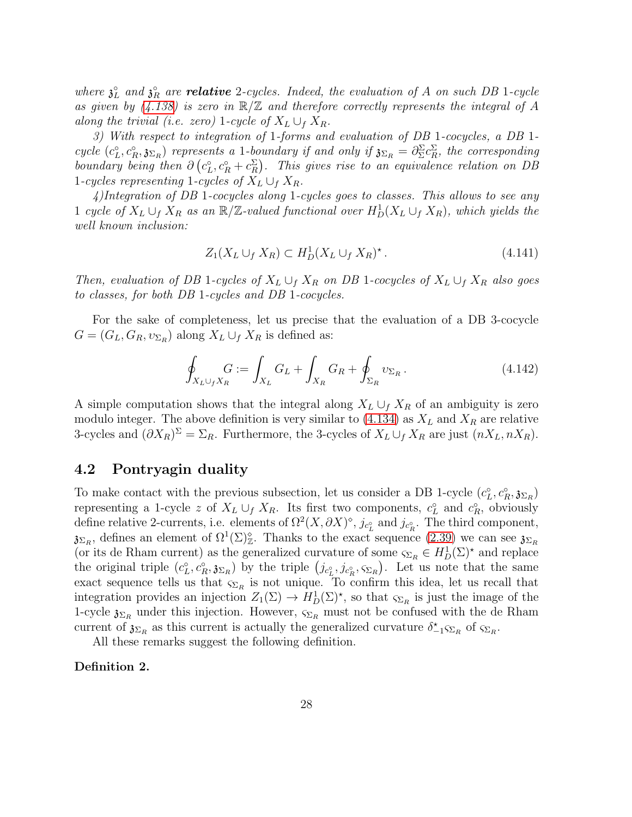where  $\mathfrak{z}_L^{\circ}$  and  $\mathfrak{z}_R^{\circ}$  are **relative** 2-cycles. Indeed, the evaluation of A on such DB 1-cycle as given by  $(4.138)$  is zero in  $\mathbb{R}/\mathbb{Z}$  and therefore correctly represents the integral of A along the trivial (i.e. zero) 1-cycle of  $X_L \cup_f X_R$ .

3) With respect to integration of 1-forms and evaluation of DB 1-cocycles, a DB 1 cycle  $(c_L^{\circ}, c_R^{\circ}, \mathbf{3}_{\Sigma_R})$  represents a 1-boundary if and only if  $\mathbf{3}_{\Sigma_R} = \partial_{\Sigma}^{\Sigma} c_R^{\Sigma}$ , the corresponding boundary being then  $\partial(c_L^{\circ}, c_R^{\circ} + c_R^{\Sigma})$ . This gives rise to an equivalence relation on DB 1-cycles representing 1-cycles of  $X_L \cup_f X_R$ .

4)Integration of DB 1-cocycles along 1-cycles goes to classes. This allows to see any 1 cycle of  $X_L \cup_f X_R$  as an  $\mathbb{R}/\mathbb{Z}$ -valued functional over  $H^1_D(X_L \cup_f X_R)$ , which yields the well known inclusion:

$$
Z_1(X_L \cup_f X_R) \subset H^1_D(X_L \cup_f X_R)^*.
$$
\n
$$
(4.141)
$$

Then, evaluation of DB 1-cycles of  $X_L \cup_f X_R$  on DB 1-cocycles of  $X_L \cup_f X_R$  also goes to classes, for both DB 1-cycles and DB 1-cocycles.

For the sake of completeness, let us precise that the evaluation of a DB 3-cocycle  $G = (G_L, G_R, v_{\Sigma_R})$  along  $X_L \cup_f X_R$  is defined as:

$$
\oint_{X_L \cup_f X_R} G := \int_{X_L} G_L + \int_{X_R} G_R + \oint_{\Sigma_R} v_{\Sigma_R} .
$$
\n(4.142)

A simple computation shows that the integral along  $X_L \cup_f X_R$  of an ambiguity is zero modulo integer. The above definition is very similar to  $(4.134)$  as  $X_L$  and  $X_R$  are relative 3-cycles and  $(\partial X_R)^{\Sigma} = \Sigma_R$ . Furthermore, the 3-cycles of  $X_L \cup_f X_R$  are just  $(nX_L, nX_R)$ .

## 4.2 Pontryagin duality

To make contact with the previous subsection, let us consider a DB 1-cycle  $(c_L^{\circ}, c_R^{\circ}, \mathbf{z}_{\Sigma_R})$ representing a 1-cycle z of  $X_L \cup_f X_R$ . Its first two components,  $c_L^{\circ}$  and  $c_R^{\circ}$ , obviously define relative 2-currents, i.e. elements of  $\Omega^2(X, \partial X)^\diamond$ ,  $j_{c_L^{\diamond}}$  and  $j_{c_R^{\diamond}}$ . The third component,  $\mathfrak{z}_{\Sigma_R}$ , defines an element of  $\Omega^1(\Sigma)_{\mathbb{Z}}^{\diamond}$ . Thanks to the exact sequence [\(2.39\)](#page-10-1) we can see  $\mathfrak{z}_{\Sigma_R}$ (or its de Rham current) as the generalized curvature of some  $\varsigma_{\Sigma_R} \in H^1_D(\Sigma)$ <sup>\*</sup> and replace the original triple  $(c_L^{\circ}, c_R^{\circ}, \mathbf{z}_{\Sigma_R})$  by the triple  $(j_{c_L^{\circ}}, j_{c_R^{\circ}}, s_{\Sigma_R})$ . Let us note that the same exact sequence tells us that  $\varsigma_{\Sigma_R}$  is not unique. To confirm this idea, let us recall that integration provides an injection  $Z_1(\Sigma) \to H^1_D(\Sigma)^*$ , so that  $\varsigma_{\Sigma_R}$  is just the image of the 1-cycle  $\mathfrak{z}_{\Sigma_R}$  under this injection. However,  $\varsigma_{\Sigma_R}$  must not be confused with the de Rham current of  $\mathfrak{z}_{\Sigma_R}$  as this current is actually the generalized curvature  $\delta^*_{-1} s_{\Sigma_R}$  of  $s_{\Sigma_R}$ .

All these remarks suggest the following definition.

<span id="page-28-0"></span>Definition 2.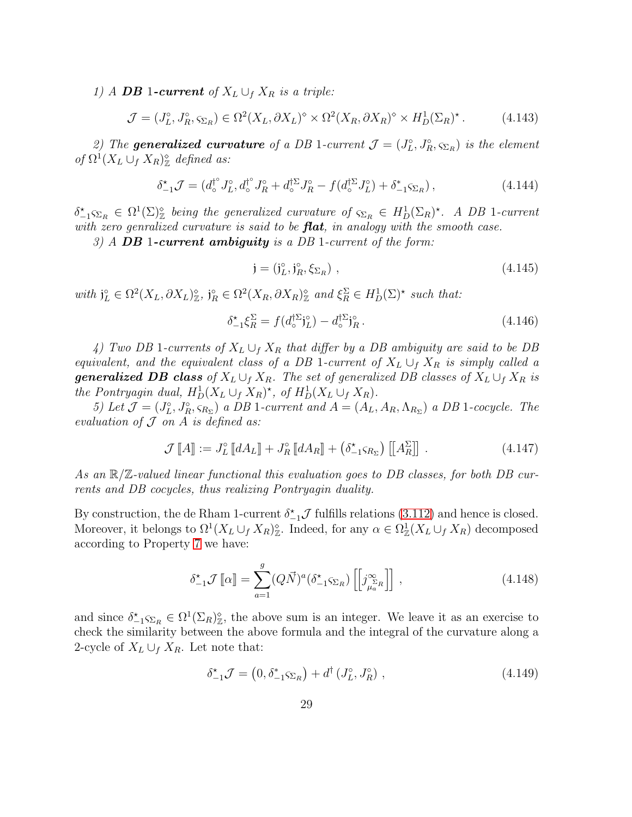1) A **DB** 1-current of  $X_L \cup_f X_R$  is a triple:

$$
\mathcal{J} = (J_L^{\circ}, J_R^{\circ}, \varsigma_{\Sigma_R}) \in \Omega^2(X_L, \partial X_L)^{\circ} \times \Omega^2(X_R, \partial X_R)^{\circ} \times H_D^1(\Sigma_R)^{\star}.
$$
 (4.143)

2) The **generalized curvature** of a DB 1-current  $\mathcal{J} = (J_L^{\circ}, J_R^{\circ}, s_{\Sigma_R})$  is the element of  $\Omega^1(X_L \cup_f X_R)_{\mathbb{Z}}^{\circ}$  defined as:

$$
\delta_{-1}^{\star} \mathcal{J} = (d_{\circ}^{\dagger} J_{L}^{\circ}, d_{\circ}^{\dagger} J_{R}^{\circ} + d_{\circ}^{\dagger \Sigma} J_{R}^{\circ} - f(d_{\circ}^{\dagger \Sigma} J_{L}^{\circ}) + \delta_{-1}^{\star} \varsigma_{\Sigma_{R}}), \tag{4.144}
$$

 $\delta^\star_{-1}$  $\varsigma_{\Sigma_R} \in \Omega^1(\Sigma)^\circ_{\mathbb{Z}}$  being the generalized curvature of  $\varsigma_{\Sigma_R} \in H^1_D(\Sigma_R)^\star$ . A DB 1-current with zero genralized curvature is said to be  $\text{flat},$  in analogy with the smooth case.

3) A **DB** 1-current ambiguity is a DB 1-current of the form:

$$
\mathbf{j} = (\mathbf{j}_L^{\circ}, \mathbf{j}_R^{\circ}, \xi_{\Sigma_R}) \tag{4.145}
$$

with  $j_L^{\circ} \in \Omega^2(X_L, \partial X_L)_{\mathbb{Z}}^{\circ}, j_R^{\circ} \in \Omega^2(X_R, \partial X_R)_{\mathbb{Z}}^{\circ}$  and  $\xi_R^{\Sigma} \in H_D^1(\Sigma)^*$  such that:

<span id="page-29-0"></span>
$$
\delta_{-1}^{\star} \xi_R^{\Sigma} = f(d_o^{\dagger \Sigma})^{\circ}_L - d_o^{\dagger \Sigma})^{\circ}_R. \tag{4.146}
$$

4) Two DB 1-currents of  $X_L \cup_f X_R$  that differ by a DB ambiguity are said to be DB equivalent, and the equivalent class of a DB 1-current of  $X_L \cup_f X_R$  is simply called a **generalized DB class** of  $X_L \cup_f X_R$ . The set of generalized DB classes of  $X_L \cup_f X_R$  is the Pontryagin dual,  $H_D^1(X_L \cup_f X_R)^*$ , of  $H_D^1(X_L \cup_f X_R)$ .

5) Let  $\mathcal{J} = (J_{L}^{\circ}, J_{R}^{\circ}, \varsigma_{R_{\Sigma}})$  a DB 1-current and  $A = (A_{L}, A_{R}, \Lambda_{R_{\Sigma}})$  a DB 1-cocycle. The evaluation of  $J$  on  $A$  is defined as:

<span id="page-29-1"></span>
$$
\mathcal{J}\left[\!\left[A\right]\!\right] := J_L^{\circ}\left[\!\left[dA_L\right]\!\right] + J_R^{\circ}\left[\!\left[dA_R\right]\!\right] + \left(\delta_{-1}^{\star}S_{R_{\Sigma}}\right)\left[\!\left[A_R^{\Sigma}\right]\!\right] \,. \tag{4.147}
$$

As an R/Z-valued linear functional this evaluation goes to DB classes, for both DB currents and DB cocycles, thus realizing Pontryagin duality.

By construction, the de Rham 1-current  $\delta_{-1}^* \mathcal{J}$  fulfills relations [\(3.112\)](#page-22-0) and hence is closed. Moreover, it belongs to  $\Omega^1(X_L \cup_f X_R)_{\mathbb{Z}}^{\circ}$ . Indeed, for any  $\alpha \in \Omega^1_{\mathbb{Z}}(X_L \cup_f X_R)$  decomposed according to Property [7](#page-21-1) we have:

$$
\delta_{-1}^{\star} \mathcal{J} \left[ \alpha \right] = \sum_{a=1}^{g} (Q \vec{N})^a (\delta_{-1}^{\star} \mathfrak{S}_{R}) \left[ \left[ j_{\mu_a}^{\infty} \right] \right] , \qquad (4.148)
$$

and since  $\delta_{-1}^* \varsigma_{\Sigma_R} \in \Omega^1(\Sigma_R)_{\mathbb{Z}}^{\diamond}$ , the above sum is an integer. We leave it as an exercise to check the similarity between the above formula and the integral of the curvature along a 2-cycle of  $X_L \cup_f X_R$ . Let note that:

$$
\delta_{-1}^{\star} \mathcal{J} = \left(0, \delta_{-1}^{\star} \varsigma_{\Sigma_R}\right) + d^{\dagger} \left(J_L^{\circ}, J_R^{\circ}\right) \,,\tag{4.149}
$$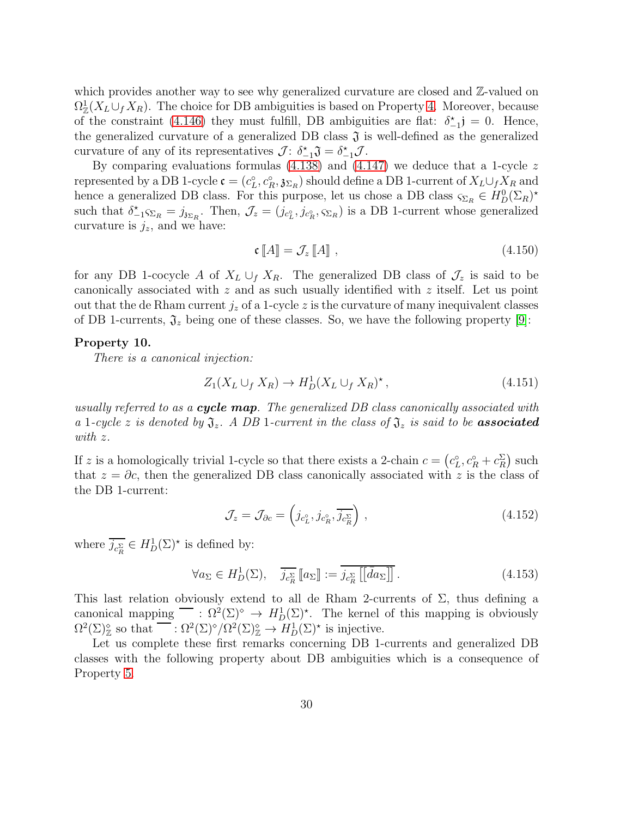which provides another way to see why generalized curvature are closed and  $\mathbb{Z}$ -valued on  $\Omega^1_\mathbb{Z}(X_L \cup_f X_R)$ . The choice for DB ambiguities is based on Property [4.](#page-18-1) Moreover, because of the constraint [\(4.146\)](#page-29-0) they must fulfill, DB ambiguities are flat:  $\delta^*_{-1}$  j = 0. Hence, the generalized curvature of a generalized DB class  $\mathfrak{J}$  is well-defined as the generalized curvature of any of its representatives  $\mathcal{J}$ :  $\delta^*_{-1}\mathfrak{J} = \delta^*_{-1}\mathcal{J}$ .

By comparing evaluations formulas [\(4.138\)](#page-27-0) and [\(4.147\)](#page-29-1) we deduce that a 1-cycle z represented by a DB 1-cycle  $\mathfrak{c} = (c_L^{\circ}, c_R^{\circ}, \mathfrak{z}_{\Sigma_R})$  should define a DB 1-current of  $X_L \cup_f X_R$  and hence a generalized DB class. For this purpose, let us chose a DB class  $\varsigma_{\Sigma_R} \in H_D^0(\Sigma_R)^*$ such that  $\delta^*_{-1} s_{\Sigma_R} = j_{\delta \Sigma_R}$ . Then,  $\mathcal{J}_z = (j_{c_L^{\circ}}, j_{c_R^{\circ}}, s_{\Sigma_R})$  is a DB 1-current whose generalized curvature is  $j_z$ , and we have:

$$
\mathfrak{c}\left[\!\left[ A\right]\!\right] = \mathcal{J}_z\left[\!\left[ A\right]\!\right],\tag{4.150}
$$

for any DB 1-cocycle A of  $X_L \cup_f X_R$ . The generalized DB class of  $\mathcal{J}_z$  is said to be canonically associated with  $z$  and as such usually identified with  $z$  itself. Let us point out that the de Rham current  $j_z$  of a 1-cycle z is the curvature of many inequivalent classes of DB 1-currents,  $\mathfrak{J}_z$  being one of these classes. So, we have the following property [\[9\]](#page-58-7):

#### <span id="page-30-1"></span>Property 10.

There is a canonical injection:

$$
Z_1(X_L \cup_f X_R) \to H^1_D(X_L \cup_f X_R)^{\star},\tag{4.151}
$$

usually referred to as a cycle map. The generalized DB class canonically associated with a 1-cycle z is denoted by  $\mathfrak{J}_z$ . A DB 1-current in the class of  $\mathfrak{J}_z$  is said to be **associated** with z.

If z is a homologically trivial 1-cycle so that there exists a 2-chain  $c = (c_L^{\circ}, c_R^{\circ} + c_R^{\Sigma})$  such that  $z = \partial c$ , then the generalized DB class canonically associated with z is the class of the DB 1-current:

<span id="page-30-0"></span>
$$
\mathcal{J}_z = \mathcal{J}_{\partial c} = \left( j_{c_L^{\circ}}, j_{c_R^{\circ}}, \overline{j_{c_R^{\Sigma}}} \right), \qquad (4.152)
$$

where  $\overline{j_{c_R^{\Sigma}}} \in H_D^1(\Sigma)$ <sup>\*</sup> is defined by:

$$
\forall a_{\Sigma} \in H_D^1(\Sigma), \quad \overline{j_{c_R^{\Sigma}}} [a_{\Sigma}] := \overline{j_{c_R^{\Sigma}}} [[\overline{d} a_{\Sigma}]]. \tag{4.153}
$$

This last relation obviously extend to all de Rham 2-currents of  $\Sigma$ , thus defining a canonical mapping  $\overline{\phantom{C}}$  :  $\Omega^2(\Sigma)^\circ \to H^1_D(\Sigma)^*$ . The kernel of this mapping is obviously  $\Omega^2(\Sigma)_{\mathbb{Z}}^{\diamond}$  so that  $\overline{\phantom{Z}} : \Omega^2(\Sigma)^{\diamond}/\Omega^2(\Sigma)_{\mathbb{Z}}^{\diamond} \to H^1_D(\Sigma)^{\star}$  is injective.

Let us complete these first remarks concerning DB 1-currents and generalized DB classes with the following property about DB ambiguities which is a consequence of Property [5.](#page-20-0)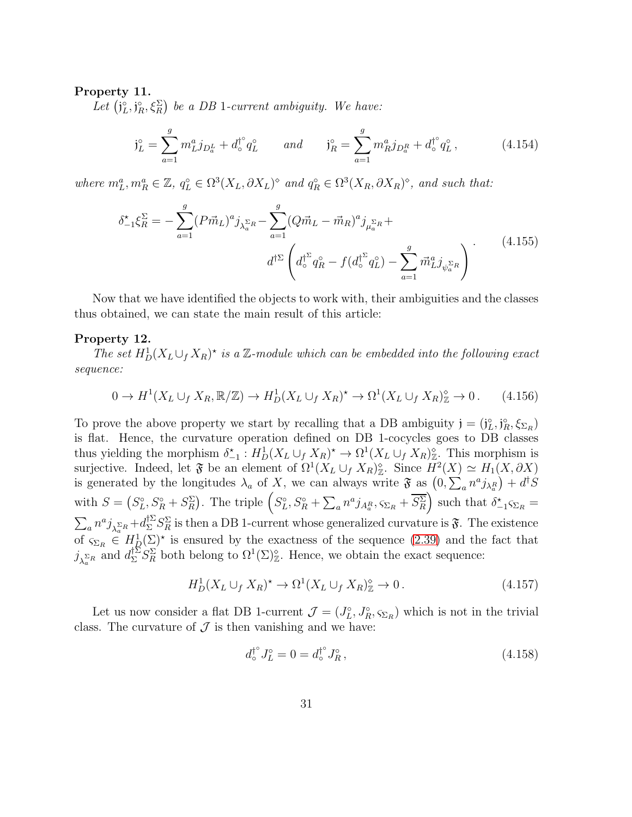## <span id="page-31-0"></span>Property 11.

Let  $(j_L^{\circ}, j_R^{\circ}, \xi_R^{\Sigma})$  be a DB 1-current ambiguity. We have:

$$
\mathfrak{j}_L^\circ = \sum_{a=1}^g m_L^a j_{D_a^L} + d_\circ^{\dagger^\circ} q_L^\circ \qquad and \qquad \mathfrak{j}_R^\circ = \sum_{a=1}^g m_R^a j_{D_a^R} + d_\circ^{\dagger^\circ} q_L^\circ \,, \tag{4.154}
$$

where  $m_L^a, m_R^a \in \mathbb{Z}, q_L^o \in \Omega^3(X_L, \partial X_L)^\circ$  and  $q_R^o \in \Omega^3(X_R, \partial X_R)^\circ$ , and such that:

$$
\delta_{-1}^{\star} \xi_R^{\Sigma} = -\sum_{a=1}^{g} (P \vec{m}_L)^a j_{\lambda_a^{\Sigma_R}} - \sum_{a=1}^{g} (Q \vec{m}_L - \vec{m}_R)^a j_{\mu_a^{\Sigma_R}} +
$$
\n
$$
d^{\dagger \Sigma} \left( d_o^{\dagger \Sigma} q_R^{\circ} - f (d_o^{\dagger \Sigma} q_L^{\circ}) - \sum_{a=1}^{g} \vec{m}_L^a j_{\psi_a^{\Sigma_R}} \right) \tag{4.155}
$$

Now that we have identified the objects to work with, their ambiguities and the classes thus obtained, we can state the main result of this article:

#### <span id="page-31-1"></span>Property 12.

The set  $H_D^1(X_L \cup_f X_R)^*$  is a Z-module which can be embedded into the following exact sequence:

<span id="page-31-2"></span>
$$
0 \to H^1(X_L \cup_f X_R, \mathbb{R}/\mathbb{Z}) \to H^1_D(X_L \cup_f X_R)^{\star} \to \Omega^1(X_L \cup_f X_R)_{\mathbb{Z}}^{\diamond} \to 0. \tag{4.156}
$$

To prove the above property we start by recalling that a DB ambiguity  $\mathbf{j} = (\mathbf{j}_L^{\circ}, \mathbf{j}_R^{\circ}, \xi_{\Sigma_R})$ is flat. Hence, the curvature operation defined on DB 1-cocycles goes to DB classes thus yielding the morphism  $\delta_{-1}^* : H^1_D(X_L \cup_f X_R)^* \to \Omega^1(X_L \cup_f X_R)^*_{\mathbb{Z}}$ . This morphism is surjective. Indeed, let  $\mathfrak{F}$  be an element of  $\Omega^1(X_L \cup_f X_R)_{\mathbb{Z}}^{\circ}$ . Since  $H^2(X) \simeq H_1(X, \partial X)$ is generated by the longitudes  $\lambda_a$  of X, we can always write  $\mathfrak{F}$  as  $(0, \sum_a n^a j_{\lambda_a^R}) + d^{\dagger}S$ with  $S = (S_L^{\circ}, S_R^{\circ} + S_R^{\Sigma})$ . The triple  $(S_L^{\circ}, S_R^{\circ} + \sum_a n^a j_{A_a^R}, \varsigma_{\Sigma_R} + \overline{S_R^{\Sigma}})$  such that  $\delta_{-1}^{\star} \varsigma_{\Sigma_R} =$  $\sum_a n^a j_{\lambda_a^{\Sigma}R} + d_{\Sigma}^{\dagger \Sigma} S_R^{\Sigma}$  is then a DB 1-current whose generalized curvature is  $\mathfrak{F}$ . The existence of  $\varsigma_{\Sigma_R} \in H^1_{\mathcal{Q}}(\Sigma)$ <sup>\*</sup> is ensured by the exactness of the sequence [\(2.39\)](#page-10-1) and the fact that  $j_{\lambda_a^{\Sigma_R}}$  and  $d_{\Sigma}^{\dagger \Sigma} S_R^{\Sigma}$  both belong to  $\Omega^1(\Sigma)_{\mathbb{Z}}^{\circ}$ . Hence, we obtain the exact sequence:

$$
H_D^1(X_L \cup_f X_R)^{\star} \to \Omega^1(X_L \cup_f X_R)^{\circ}_{\mathbb{Z}} \to 0. \tag{4.157}
$$

Let us now consider a flat DB 1-current  $\mathcal{J} = (J_L^{\circ}, J_R^{\circ}, s_{\Sigma_R})$  which is not in the trivial class. The curvature of  $\mathcal J$  is then vanishing and we have:

$$
d_o^{\dagger^{\circ}} J_L^{\circ} = 0 = d_o^{\dagger^{\circ}} J_R^{\circ}, \tag{4.158}
$$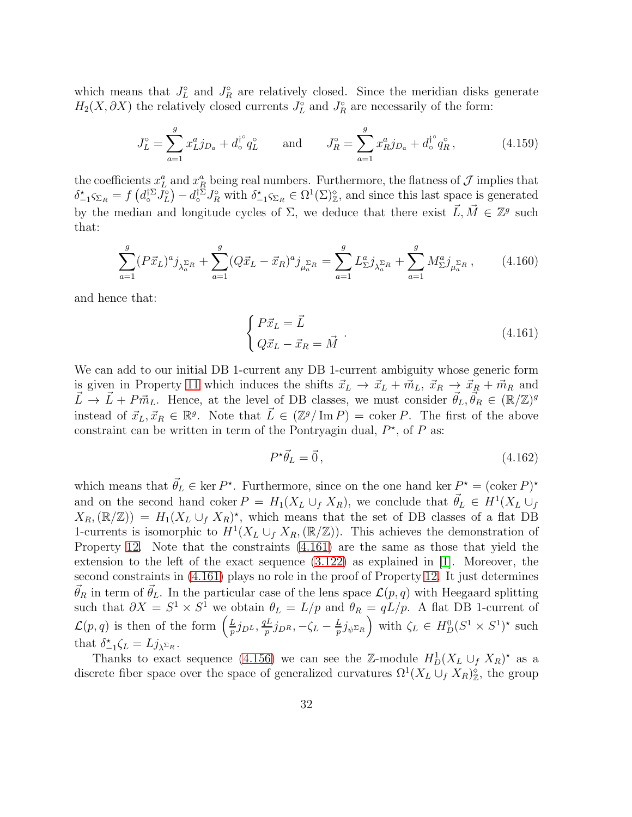which means that  $J_L^{\circ}$  and  $J_R^{\circ}$  are relatively closed. Since the meridian disks generate  $H_2(X, \partial X)$  the relatively closed currents  $J_L^{\circ}$  and  $J_R^{\circ}$  are necessarily of the form:

$$
J_L^{\circ} = \sum_{a=1}^{g} x_L^a j_{D_a} + d_{\circ}^{\dagger^{\circ}} q_L^{\circ} \quad \text{and} \quad J_R^{\circ} = \sum_{a=1}^{g} x_R^a j_{D_a} + d_{\circ}^{\dagger^{\circ}} q_R^{\circ}, \tag{4.159}
$$

the coefficients  $x_L^a$  and  $x_R^a$  being real numbers. Furthermore, the flatness of  $\mathcal J$  implies that  $\delta^*_{-1} \varsigma_{\Sigma_R} = f\left(d_0^{\dagger \Sigma} J_L^{\circ}\right) - d_0^{\dagger \Sigma} J_R^{\circ}$  with  $\delta^*_{-1} \varsigma_{\Sigma_R} \in \Omega^1(\Sigma)_{\mathbb{Z}}^{\circ}$ , and since this last space is generated by the median and longitude cycles of  $\Sigma$ , we deduce that there exist  $\vec{L}, \vec{M} \in \mathbb{Z}^g$  such that:

$$
\sum_{a=1}^{g} (P\vec{x}_L)^a j_{\lambda_a^{\Sigma_R}} + \sum_{a=1}^{g} (Q\vec{x}_L - \vec{x}_R)^a j_{\mu_a^{\Sigma_R}} = \sum_{a=1}^{g} L_{\Sigma}^a j_{\lambda_a^{\Sigma_R}} + \sum_{a=1}^{g} M_{\Sigma}^a j_{\mu_a^{\Sigma_R}} ,\qquad(4.160)
$$

and hence that:

<span id="page-32-0"></span>
$$
\begin{cases}\nP\vec{x}_L = \vec{L} \\
Q\vec{x}_L - \vec{x}_R = \vec{M}\n\end{cases} (4.161)
$$

We can add to our initial DB 1-current any DB 1-current ambiguity whose generic form is given in Property [11](#page-31-0) which induces the shifts  $\vec{x}_L \to \vec{x}_L + \vec{m}_L$ ,  $\vec{x}_R \to \vec{x}_R + \vec{m}_R$  and  $\vec{L} \to \vec{L} + P \vec{m}_L$ . Hence, at the level of DB classes, we must consider  $\vec{\theta}_L, \vec{\theta}_R \in (\mathbb{R}/\mathbb{Z})^g$ instead of  $\vec{x}_L, \vec{x}_R \in \mathbb{R}^g$ . Note that  $\vec{L} \in (\mathbb{Z}^g/\operatorname{Im} P) = \operatorname{coker} P$ . The first of the above constraint can be written in term of the Pontryagin dual,  $P^*$ , of P as:

$$
P^{\star}\vec{\theta}_L = \vec{0},\tag{4.162}
$$

which means that  $\vec{\theta}_L \in \text{ker } P^*$ . Furthermore, since on the one hand ker  $P^* = (\text{coker } P)^*$ and on the second hand coker  $P = H_1(X_L \cup_f X_R)$ , we conclude that  $\vec{\theta}_L \in H^1(X_L \cup_f \mathcal{F})$  $X_{R}(\mathbb{R}/\mathbb{Z}) = H_1(X_L \cup_f X_R)^*$ , which means that the set of DB classes of a flat DB 1-currents is isomorphic to  $H^1(X_L \cup_f X_R, (\mathbb{R}/\mathbb{Z}))$ . This achieves the demonstration of Property [12.](#page-31-1) Note that the constraints [\(4.161\)](#page-32-0) are the same as those that yield the extension to the left of the exact sequence [\(3.122\)](#page-24-2) as explained in [\[1\]](#page-58-0). Moreover, the second constraints in [\(4.161\)](#page-32-0) plays no role in the proof of Property [12.](#page-31-1) It just determines  $\vec{\theta}_R$  in term of  $\vec{\theta}_L$ . In the particular case of the lens space  $\mathcal{L}(p,q)$  with Heegaard splitting such that  $\partial X = S^1 \times S^1$  we obtain  $\theta_L = L/p$  and  $\theta_R = qL/p$ . A flat DB 1-current of  $\mathcal{L}(p,q)$  is then of the form  $\left(\frac{L}{p}\right)$  $\frac{L}{p}j_{D^L}, \frac{qL}{p}$  $\frac{pL}{p}j_{D^R}, -\zeta_L - \frac{L}{p}$  $\left( \frac{L}{p} j_{\psi} \Sigma_R \right)$  with  $\zeta_L \in H_D^0(S^1 \times S^1)^*$  such that  $\delta^*_{-1}\zeta_L = Lj_{\lambda^{\Sigma_R}}$ .

Thanks to exact sequence [\(4.156\)](#page-31-2) we can see the Z-module  $H_D^1(X_L \cup_f X_R)^*$  as a discrete fiber space over the space of generalized curvatures  $\Omega^1(X_L \cup_f X_R)_{\mathbb{Z}}^{\diamond}$ , the group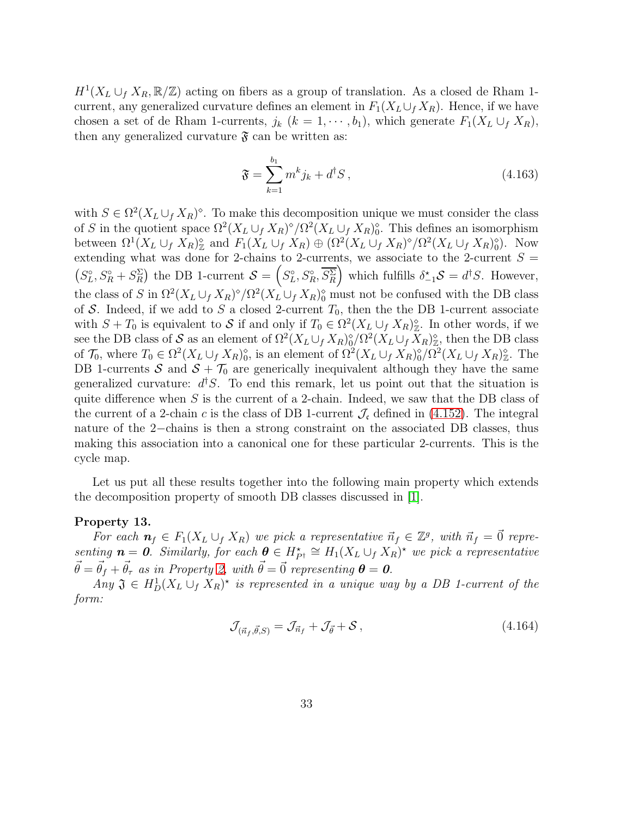$H^1(X_L \cup_f X_R, \mathbb{R}/\mathbb{Z})$  acting on fibers as a group of translation. As a closed de Rham 1current, any generalized curvature defines an element in  $F_1(X_L \cup_f X_R)$ . Hence, if we have chosen a set of de Rham 1-currents,  $j_k$   $(k = 1, \dots, b_1)$ , which generate  $F_1(X_L \cup_f X_R)$ , then any generalized curvature  $\mathfrak{F}$  can be written as:

$$
\mathfrak{F} = \sum_{k=1}^{b_1} m^k j_k + d^\dagger S \,, \tag{4.163}
$$

with  $S \in \Omega^2(X_L \cup_f X_R)^\diamond$ . To make this decomposition unique we must consider the class of S in the quotient space  $\Omega^2(X_L \cup_f X_R)^{\diamond}/\Omega^2(X_L \cup_f X_R)^{\diamond}$ . This defines an isomorphism between  $\Omega^1(X_L \cup_f X_R)_{\mathbb{Z}}^{\circ}$  and  $F_1(X_L \cup_f X_R) \oplus (\Omega^2(X_L \cup_f X_R)^{\circ}/\Omega^2(X_L \cup_f X_R)^{\circ})$ . Now extending what was done for 2-chains to 2-currents, we associate to the 2-current  $S =$  $(S_L^{\circ}, S_R^{\circ} + S_R^{\Sigma})$  the DB 1-current  $S = (S_L^{\circ}, S_R^{\circ}, \overline{S_R^{\Sigma}})$  which fulfills  $\delta_{-1}^* S = d^{\dagger} S$ . However, the class of S in  $\Omega^2(X_L \cup_f X_R)^{\diamond}/\Omega^2(X_L \cup_f X_R)^{\diamond}$  must not be confused with the DB class of S. Indeed, if we add to S a closed 2-current  $T_0$ , then the the DB 1-current associate with  $S + T_0$  is equivalent to S if and only if  $T_0 \in \Omega^2(X_L \cup_f X_R)_{\mathbb{Z}}^{\diamond}$ . In other words, if we see the DB class of S as an element of  $\Omega^2(X_L \cup_f X_R)^{\diamond}_{0}/\Omega^2(X_L \cup_f X_R)^{\diamond}_{\mathbb{Z}}$ , then the DB class of  $\mathcal{T}_0$ , where  $T_0 \in \Omega^2(X_L \cup_f X_R)_0^{\diamond}$ , is an element of  $\Omega^2(X_L \cup_f X_R)_0^{\diamond}/\Omega^2(X_L \cup_f X_R)_\mathbb{Z}^{\diamond}$ . The DB 1-currents S and  $S + T_0$  are generically inequivalent although they have the same generalized curvature:  $d^{\dagger}S$ . To end this remark, let us point out that the situation is quite difference when  $S$  is the current of a 2-chain. Indeed, we saw that the DB class of the current of a 2-chain c is the class of DB 1-current  $\mathcal{J}_{c}$  defined in [\(4.152\)](#page-30-0). The integral nature of the 2−chains is then a strong constraint on the associated DB classes, thus making this association into a canonical one for these particular 2-currents. This is the cycle map.

Let us put all these results together into the following main property which extends the decomposition property of smooth DB classes discussed in [\[1\]](#page-58-0).

#### <span id="page-33-0"></span>Property 13.

For each  $n_f \in F_1(X_L \cup_f X_R)$  we pick a representative  $\vec{n}_f \in \mathbb{Z}^g$ , with  $\vec{n}_f = \vec{0}$  representing  $n = 0$ . Similarly, for each  $\theta \in H_{P^{\dagger}}^* \cong H_1(X_L \cup_f X_R)^*$  we pick a representative  $\vec{\theta} = \vec{\theta}_f + \vec{\theta}_\tau$  as in Property [2,](#page-9-0) with  $\vec{\theta} = \vec{0}$  representing  $\theta = 0$ .

Any  $\mathfrak{J} \in H^1_D(X_L \cup_f X_R)^*$  is represented in a unique way by a DB 1-current of the form:

<span id="page-33-1"></span>
$$
\mathcal{J}_{(\vec{n}_f, \vec{\theta}, S)} = \mathcal{J}_{\vec{n}_f} + \mathcal{J}_{\vec{\theta}} + \mathcal{S},\tag{4.164}
$$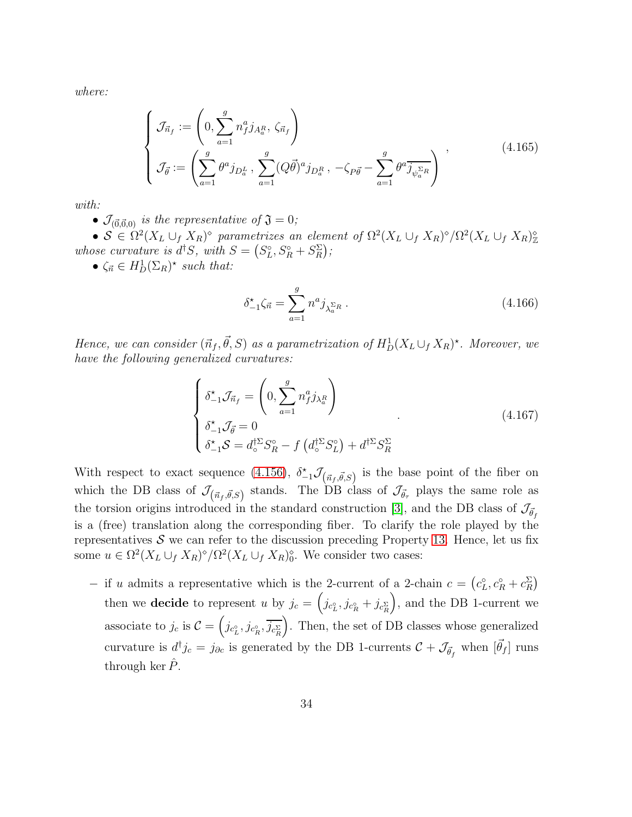where:

$$
\begin{cases}\n\mathcal{J}_{\vec{n}_f} := \left(0, \sum_{a=1}^g n_f^a j_{A_a^R}, \zeta_{\vec{n}_f}\right) \\
\mathcal{J}_{\vec{\theta}} := \left(\sum_{a=1}^g \theta^a j_{D_a^L}, \sum_{a=1}^g (Q\vec{\theta})^a j_{D_a^R}, -\zeta_{P\vec{\theta}} - \sum_{a=1}^g \theta^a \overline{j_{\psi_a^{\Sigma_R}}}\right),\n\end{cases} (4.165)
$$

with:

•  $\mathcal{J}_{(\vec{0},\vec{0},0)}$  is the representative of  $\mathfrak{J} = 0$ ;

•  $S \in \Omega^2(X_L \cup_f X_R)^\diamond$  parametrizes an element of  $\Omega^2(X_L \cup_f X_R)^\diamond/\Omega^2(X_L \cup_f X_R)^\diamond$ whose curvature is  $d^{\dagger}S$ , with  $S = (S_L^{\circ}, S_R^{\circ} + S_R^{\Sigma})$ ;

•  $\zeta_{\vec{n}} \in H_D^1(\Sigma_R)^*$  such that:

$$
\delta_{-1}^{\star}\zeta_{\vec{n}} = \sum_{a=1}^{g} n^a j_{\lambda_a^{\Sigma_R}}.
$$
\n(4.166)

Hence, we can consider  $(\vec{n}_f, \vec{\theta}, S)$  as a parametrization of  $H_D^1(X_L \cup_f X_R)^*$ . Moreover, we have the following generalized curvatures:

$$
\begin{cases}\n\delta_{-1}^{\star} \mathcal{J}_{\vec{n}_f} = \left(0, \sum_{a=1}^g n_f^a j_{\lambda_a^R}\right) \\
\delta_{-1}^{\star} \mathcal{J}_{\vec{\theta}} = 0 \\
\delta_{-1}^{\star} \mathcal{S} = d_o^{\dagger \Sigma} S_R^{\circ} - f\left(d_o^{\dagger \Sigma} S_L^{\circ}\right) + d^{\dagger \Sigma} S_R^{\Sigma}\n\end{cases} \tag{4.167}
$$

With respect to exact sequence [\(4.156\)](#page-31-2),  $\delta^*_{-1} \mathcal{J}_{(\vec{n}_f, \vec{\theta}, S)}$  is the base point of the fiber on which the DB class of  $\mathcal{J}_{(\vec{n}_f, \vec{\theta},S)}$  stands. The DB class of  $\mathcal{J}_{\vec{\theta}_{\tau}}$  plays the same role as the torsion origins introduced in the standard construction [\[3\]](#page-58-8), and the DB class of  $\mathcal{J}_{\vec{\theta}_f}$ is a (free) translation along the corresponding fiber. To clarify the role played by the representatives  $S$  we can refer to the discussion preceding Property [13.](#page-33-0) Hence, let us fix some  $u \in \Omega^2(X_L \cup_f X_R)^{\diamond} / \Omega^2(X_L \cup_f X_R)^{\diamond}_{0}$ . We consider two cases:

− if u admits a representative which is the 2-current of a 2-chain  $c = (c_L^{\circ}, c_R^{\circ} + c_R^{\Sigma})$ then we decide to represent u by  $j_c = \left(j_{c_L^{\circ}}, j_{c_R^{\circ}} + j_{c_R^{\Sigma}}\right)$  , and the DB 1-current we associate to  $j_c$  is  $\mathcal{C} = \left(j_{c_L^{\circ}}, j_{c_R^{\circ}}, \overline{j_{c_R^{\Sigma}}} \right)$  . Then, the set of DB classes whose generalized curvature is  $d^{\dagger}j_c = j_{\partial c}$  is generated by the DB 1-currents  $\mathcal{C} + \mathcal{J}_{\vec{\theta}_f}$  when  $[\vec{\theta}_f]$  runs through ker  $\tilde{P}$ .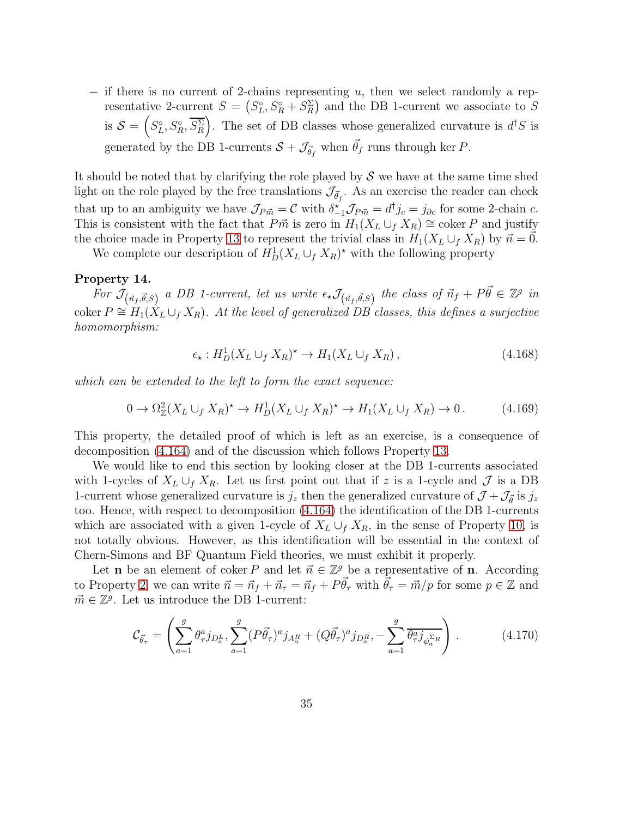$-$  if there is no current of 2-chains representing u, then we select randomly a representative 2-current  $S = (S_L^{\circ}, S_R^{\circ} + S_R^{\Sigma})$  and the DB 1-current we associate to S is  $S = (S_L^{\circ}, S_R^{\circ}, \overline{S_R^{\Sigma}})$ . The set of DB classes whose generalized curvature is  $d^{\dagger}S$  is generated by the DB 1-currents  $S + \mathcal{J}_{\vec{\theta}_f}$  when  $\vec{\theta}_f$  runs through ker P.

It should be noted that by clarifying the role played by  $\mathcal S$  we have at the same time shed light on the role played by the free translations  $\mathcal{J}_{\vec{\theta}_f}$ . As an exercise the reader can check that up to an ambiguity we have  $\mathcal{J}_{P\vec{m}} = \mathcal{C}$  with  $\delta^*_{-1}\mathcal{J}_{P\vec{m}} = d^{\dagger}j_c = j_{\partial c}$  for some 2-chain c. This is consistent with the fact that P $\vec{m}$  is zero in  $H_1(X_L \cup_f X_R) \cong \text{coker } P$  and justify the choice made in Property [13](#page-33-0) to represent the trivial class in  $H_1(X_L \cup_f X_R)$  by  $\vec{n} = 0$ .

We complete our description of  $H_D^1(X_L \cup_f X_R)^*$  with the following property

#### Property 14.

For  $\mathcal{J}_{(\vec{n}_f, \vec{\theta}, S)}$  a DB 1-current, let us write  $\epsilon_{\star} \mathcal{J}_{(\vec{n}_f, \vec{\theta}, S)}$  the class of  $\vec{n}_f + P\vec{\theta} \in \mathbb{Z}^g$  in coker  $P \cong H_1(X_L \cup_f X_R)$ . At the level of generalized DB classes, this defines a surjective homomorphism:

$$
\epsilon_{\star}: H_D^1(X_L \cup_f X_R)^{\star} \to H_1(X_L \cup_f X_R), \tag{4.168}
$$

which can be extended to the left to form the exact sequence:

$$
0 \to \Omega^2_{\mathbb{Z}}(X_L \cup_f X_R)^{\star} \to H^1_D(X_L \cup_f X_R)^{\star} \to H_1(X_L \cup_f X_R) \to 0. \tag{4.169}
$$

This property, the detailed proof of which is left as an exercise, is a consequence of decomposition [\(4.164\)](#page-33-1) and of the discussion which follows Property [13.](#page-33-0)

We would like to end this section by looking closer at the DB 1-currents associated with 1-cycles of  $X_L \cup_f X_R$ . Let us first point out that if z is a 1-cycle and J is a DB 1-current whose generalized curvature is  $j_z$  then the generalized curvature of  $\mathcal{J} + \mathcal{J}_{\vec{\theta}}$  is  $j_z$ too. Hence, with respect to decomposition [\(4.164\)](#page-33-1) the identification of the DB 1-currents which are associated with a given 1-cycle of  $X_L \cup_f X_R$ , in the sense of Property [10,](#page-30-1) is not totally obvious. However, as this identification will be essential in the context of Chern-Simons and BF Quantum Field theories, we must exhibit it properly.

Let **n** be an element of coker P and let  $\vec{n} \in \mathbb{Z}^g$  be a representative of **n**. According to Property [2,](#page-9-0) we can write  $\vec{n} = \vec{n}_f + \vec{n}_\tau = \vec{n}_f + P\vec{\theta}_\tau$  with  $\vec{\theta}_\tau = \vec{m}/p$  for some  $p \in \mathbb{Z}$  and  $\vec{m} \in \mathbb{Z}^g$ . Let us introduce the DB 1-current:

$$
\mathcal{C}_{\vec{\theta}_{\tau}} = \left( \sum_{a=1}^{g} \theta_{\tau}^{a} j_{D_a^L}, \sum_{a=1}^{g} (P \vec{\theta}_{\tau})^a j_{A_a^R} + (Q \vec{\theta}_{\tau})^a j_{D_a^R}, -\sum_{a=1}^{g} \overline{\theta_{\tau}^a j_{\psi_a^{\Sigma_R}}} \right). \tag{4.170}
$$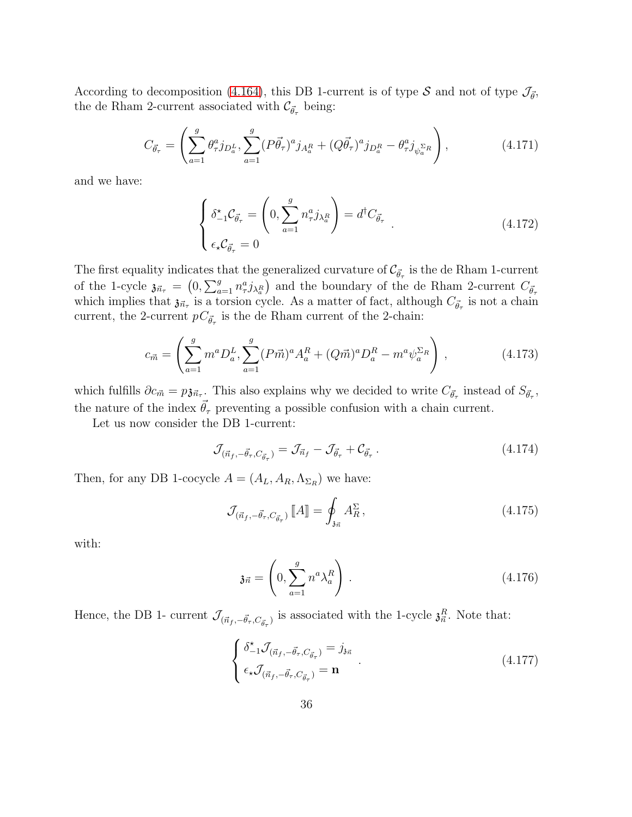According to decomposition [\(4.164\)](#page-33-1), this DB 1-current is of type S and not of type  $\mathcal{J}_{\vec{\theta}}$ , the de Rham 2-current associated with  $\mathcal{C}_{\vec{\theta}_{\tau}}$  being:

$$
C_{\vec{\theta}_{\tau}} = \left(\sum_{a=1}^{g} \theta_{\tau}^{a} j_{D_a^L}, \sum_{a=1}^{g} (P\vec{\theta}_{\tau})^a j_{A_a^R} + (Q\vec{\theta}_{\tau})^a j_{D_a^R} - \theta_{\tau}^a j_{\psi_a^{\Sigma_R}}\right),
$$
(4.171)

and we have:

$$
\begin{cases}\n\delta_{-1}^{\star}\mathcal{C}_{\vec{\theta}_{\tau}} = \left(0, \sum_{a=1}^{g} n_{\tau}^{a} j_{\lambda_{a}^{R}}\right) = d^{\dagger}C_{\vec{\theta}_{\tau}} \\
\epsilon_{\star}\mathcal{C}_{\vec{\theta}_{\tau}} = 0\n\end{cases} (4.172)
$$

The first equality indicates that the generalized curvature of  $\mathcal{C}_{\vec{\theta}_{\tau}}$  is the de Rham 1-current of the 1-cycle  $\mathfrak{z}_{\bar{n}_{\tau}} = (0, \sum_{a=1}^{g} n_{\tau}^{a} j_{\lambda_{a}^{R}})$  and the boundary of the de Rham 2-current  $C_{\vec{\theta}_{\tau}}$ which implies that  $\mathfrak{z}_{\vec{n}_{\tau}}$  is a torsion cycle. As a matter of fact, although  $C_{\vec{\theta}_{\tau}}$  is not a chain current, the 2-current  $pC_{\vec{\theta}_{\tau}}$  is the de Rham current of the 2-chain:

$$
c_{\vec{m}} = \left(\sum_{a=1}^{g} m^a D_a^L, \sum_{a=1}^{g} (P\vec{m})^a A_a^R + (Q\vec{m})^a D_a^R - m^a \psi_a^{\Sigma_R}\right),
$$
(4.173)

which fulfills  $\partial c_{\vec{m}} = p_{\vec{\mathbf{J}}\vec{n}_{\tau}}$ . This also explains why we decided to write  $C_{\vec{\theta}_{\tau}}$  instead of  $S_{\vec{\theta}_{\tau}}$ , the nature of the index  $\vec{\theta}_{\tau}$  preventing a possible confusion with a chain current.

Let us now consider the DB 1-current:

$$
\mathcal{J}_{(\vec{n}_f, -\vec{\theta}_\tau, C_{\vec{\theta}_\tau})} = \mathcal{J}_{\vec{n}_f} - \mathcal{J}_{\vec{\theta}_\tau} + \mathcal{C}_{\vec{\theta}_\tau}.
$$
\n(4.174)

Then, for any DB 1-cocycle  $A = (A_L, A_R, \Lambda_{\Sigma_R})$  we have:

$$
\mathcal{J}_{(\vec{n}_f, -\vec{\theta}_\tau, C_{\vec{\theta}_\tau})} [\![A]\!] = \oint_{\mathfrak{z}_{\vec{n}}} A_R^\Sigma , \qquad (4.175)
$$

with:

$$
\mathfrak{z}_{\vec{n}} = \left(0, \sum_{a=1}^{g} n^a \lambda_a^R\right). \tag{4.176}
$$

Hence, the DB 1- current  $\mathcal{J}_{(\vec{n}_f, -\vec{\theta}_\tau, C_{\vec{\theta}_\tau})}$  is associated with the 1-cycle  $\mathfrak{z}_n^R$ . Note that:

$$
\begin{cases}\n\delta^{\star}_{-1} \mathcal{J}_{(\vec{n}_f, -\vec{\theta}_\tau, C_{\vec{\theta}_\tau})} = j_{\mathfrak{z}_{\vec{n}}}\\
\epsilon_{\star} \mathcal{J}_{(\vec{n}_f, -\vec{\theta}_\tau, C_{\vec{\theta}_\tau})} = \mathbf{n}\n\end{cases} \tag{4.177}
$$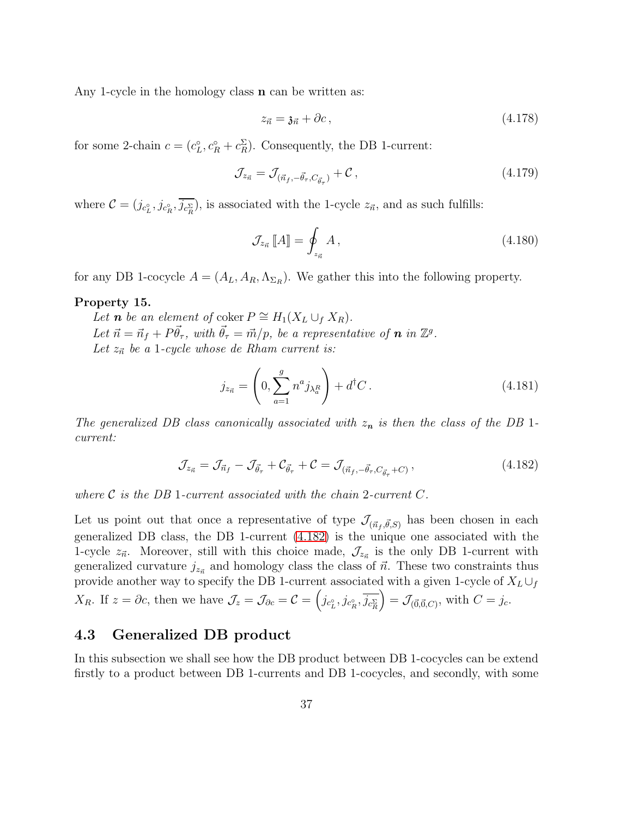Any 1-cycle in the homology class **n** can be written as:

$$
z_{\vec{n}} = \mathfrak{z}_{\vec{n}} + \partial c, \qquad (4.178)
$$

for some 2-chain  $c = (c_L^{\circ}, c_R^{\circ} + c_R^{\Sigma})$ . Consequently, the DB 1-current:

$$
\mathcal{J}_{z_{\vec{n}}} = \mathcal{J}_{(\vec{n}_f, -\vec{\theta}_\tau, C_{\vec{\theta}_\tau})} + \mathcal{C},\tag{4.179}
$$

where  $\mathcal{C} = (j_{c_L^{\circ}}, j_{c_R^{\circ}}, \overline{j_{c_R^{\circ}}})$ , is associated with the 1-cycle  $z_{\vec{n}}$ , and as such fulfills:

$$
\mathcal{J}_{z_{\vec{n}}} [A] = \oint_{z_{\vec{n}}} A , \qquad (4.180)
$$

for any DB 1-cocycle  $A = (A_L, A_R, \Lambda_{\Sigma_R})$ . We gather this into the following property.

### <span id="page-37-1"></span>Property 15.

Let **n** be an element of coker  $P \cong H_1(X_L \cup_f X_R)$ . Let  $\vec{n} = \vec{n}_f + P\vec{\theta}_\tau$ , with  $\vec{\theta}_\tau = \vec{m}/p$ , be a representative of **n** in  $\mathbb{Z}^g$ . Let  $z_{\vec{n}}$  be a 1-cycle whose de Rham current is:

$$
j_{z_{\vec{n}}} = \left(0, \sum_{a=1}^{g} n^a j_{\lambda_a^R}\right) + d^\dagger C. \tag{4.181}
$$

The generalized DB class canonically associated with  $z_n$  is then the class of the DB 1current:

<span id="page-37-0"></span>
$$
\mathcal{J}_{z_{\vec{n}}} = \mathcal{J}_{\vec{n}_f} - \mathcal{J}_{\vec{\theta}_\tau} + \mathcal{C}_{\vec{\theta}_\tau} + \mathcal{C} = \mathcal{J}_{(\vec{n}_f, -\vec{\theta}_\tau, C_{\vec{\theta}_\tau} + C)},\tag{4.182}
$$

where  $\mathcal C$  is the DB 1-current associated with the chain 2-current  $C$ .

Let us point out that once a representative of type  $\mathcal{J}_{(\vec{n}_f, \vec{\theta}, S)}$  has been chosen in each generalized DB class, the DB 1-current [\(4.182\)](#page-37-0) is the unique one associated with the 1-cycle  $z_{\vec{n}}$ . Moreover, still with this choice made,  $\mathcal{J}_{z_{\vec{n}}}$  is the only DB 1-current with generalized curvature  $j_{z\vec{n}}$  and homology class the class of  $\vec{n}$ . These two constraints thus provide another way to specify the DB 1-current associated with a given 1-cycle of  $X_L \cup_f$  $X_R$ . If  $z = \partial c$ , then we have  $\mathcal{J}_z = \mathcal{J}_{\partial c} = \mathcal{C} = \left(j_{c_L^o}, j_{c_R^o}, \overline{j_{c_R^o}}\right)$  $\left( \int_{\vec{0},\vec{0},C} \delta(x) \, dx \right) = \mathcal{J}_{\vec{0},\vec{0},C}$ , with  $C = j_c$ .

## 4.3 Generalized DB product

In this subsection we shall see how the DB product between DB 1-cocycles can be extend firstly to a product between DB 1-currents and DB 1-cocycles, and secondly, with some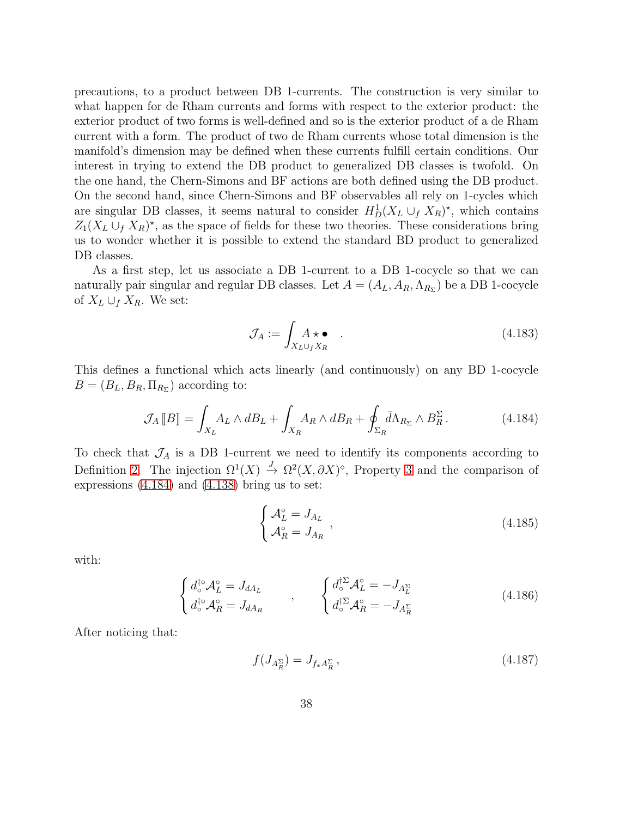precautions, to a product between DB 1-currents. The construction is very similar to what happen for de Rham currents and forms with respect to the exterior product: the exterior product of two forms is well-defined and so is the exterior product of a de Rham current with a form. The product of two de Rham currents whose total dimension is the manifold's dimension may be defined when these currents fulfill certain conditions. Our interest in trying to extend the DB product to generalized DB classes is twofold. On the one hand, the Chern-Simons and BF actions are both defined using the DB product. On the second hand, since Chern-Simons and BF observables all rely on 1-cycles which are singular DB classes, it seems natural to consider  $H_D^1(X_L \cup_f X_R)^*$ , which contains  $Z_1(X_L \cup_f X_R)^*$ , as the space of fields for these two theories. These considerations bring us to wonder whether it is possible to extend the standard BD product to generalized DB classes.

As a first step, let us associate a DB 1-current to a DB 1-cocycle so that we can naturally pair singular and regular DB classes. Let  $A = (A_L, A_R, \Lambda_{R_{\Sigma}})$  be a DB 1-cocycle of  $X_L \cup_f X_R$ . We set:

$$
\mathcal{J}_A := \int_{X_L \cup fX_R} \mathcal{A} \star \bullet \qquad (4.183)
$$

This defines a functional which acts linearly (and continuously) on any BD 1-cocycle  $B = (B_L, B_R, \Pi_{R_{\Sigma}})$  according to:

<span id="page-38-0"></span>
$$
\mathcal{J}_A \left[ B \right] = \int_{X_L} A_L \wedge dB_L + \int_{X_R} A_R \wedge dB_R + \oint_{\Sigma_R} \bar{d} \Lambda_{R_\Sigma} \wedge B_R^\Sigma. \tag{4.184}
$$

To check that  $\mathcal{J}_A$  is a DB 1-current we need to identify its components according to Definition [2.](#page-28-0) The injection  $\Omega^1(X) \stackrel{J}{\to} \Omega^2(X, \partial X)$ <sup>o</sup>, Property [3](#page-14-0) and the comparison of expressions [\(4.184\)](#page-38-0) and [\(4.138\)](#page-27-0) bring us to set:

$$
\begin{cases}\n\mathcal{A}_L^\circ = J_{A_L} \\
\mathcal{A}_R^\circ = J_{A_R}\n\end{cases},\n\tag{4.185}
$$

with:

<span id="page-38-1"></span>
$$
\begin{cases}\nd_{\circ}^{\dagger \circ} \mathcal{A}_{L}^{\circ} = J_{dA_{L}} \\
d_{\circ}^{\dagger \circ} \mathcal{A}_{R}^{\circ} = J_{dA_{R}}\n\end{cases},\n\qquad\n\begin{cases}\nd_{\circ}^{\dagger \Sigma} \mathcal{A}_{L}^{\circ} = -J_{A_{L}^{\Sigma}} \\
d_{\circ}^{\dagger \Sigma} \mathcal{A}_{R}^{\circ} = -J_{A_{R}^{\Sigma}}\n\end{cases}
$$
\n(4.186)

After noticing that:

$$
f(J_{A_R^{\Sigma}}) = J_{f_*A_R^{\Sigma}},
$$
\n(4.187)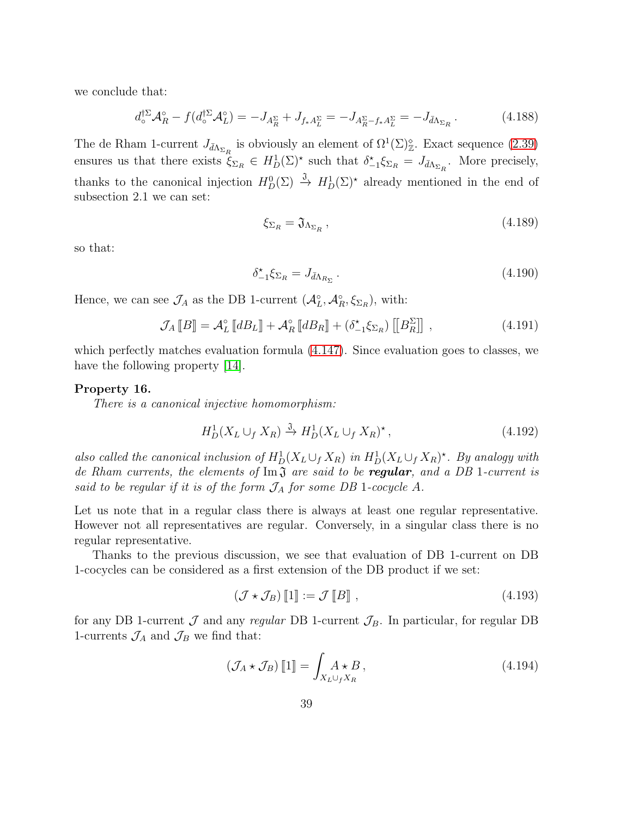we conclude that:

$$
d_{\circ}^{\dagger \Sigma} \mathcal{A}_{R}^{\circ} - f(d_{\circ}^{\dagger \Sigma} \mathcal{A}_{L}^{\circ}) = -J_{A_{R}^{\Sigma}} + J_{f_{*} A_{L}^{\Sigma}} = -J_{A_{R}^{\Sigma} - f_{*} A_{L}^{\Sigma}} = -J_{\bar{d} \Lambda_{\Sigma_{R}}}.
$$
\n(4.188)

The de Rham 1-current  $J_{\bar{d}\Lambda_{\Sigma_R}}$  is obviously an element of  $\Omega^1(\Sigma)_{\mathbb{Z}}^{\circ}$ . Exact sequence [\(2.39\)](#page-10-1) ensures us that there exists  $\tilde{\xi}_{\Sigma_R} \in H_D^1(\Sigma)$ <sup>\*</sup> such that  $\delta_{-1}^* \xi_{\Sigma_R} = J_{\bar{d} \Lambda_{\Sigma_R}}$ . More precisely, thanks to the canonical injection  $H_D^0(\Sigma) \stackrel{\mathfrak{J}}{\to} H_D^1(\Sigma)$ <sup>\*</sup> already mentioned in the end of subsection 2.1 we can set:

$$
\xi_{\Sigma_R} = \mathfrak{J}_{\Lambda_{\Sigma_R}}\,,\tag{4.189}
$$

so that:

<span id="page-39-1"></span>
$$
\delta_{-1}^* \xi_{\Sigma_R} = J_{\bar{d}\Lambda_{R_\Sigma}}.\tag{4.190}
$$

Hence, we can see  $\mathcal{J}_A$  as the DB 1-current  $(\mathcal{A}_L^{\circ}, \mathcal{A}_R^{\circ}, \xi_{\Sigma_R})$ , with:

$$
\mathcal{J}_A \left[ B \right] = \mathcal{A}_L^\circ \left[ d B_L \right] + \mathcal{A}_R^\circ \left[ d B_R \right] + \left( \delta_{-1}^* \xi_{\Sigma_R} \right) \left[ \left[ B_R^\Sigma \right] \right],\tag{4.191}
$$

which perfectly matches evaluation formula  $(4.147)$ . Since evaluation goes to classes, we have the following property [\[14\]](#page-58-13).

#### Property 16.

There is a canonical injective homomorphism:

$$
H_D^1(X_L \cup_f X_R) \xrightarrow{\mathfrak{J}} H_D^1(X_L \cup_f X_R)^{\star},\tag{4.192}
$$

also called the canonical inclusion of  $H_D^1(X_L \cup_f X_R)$  in  $H_D^1(X_L \cup_f X_R)^*$ . By analogy with de Rham currents, the elements of  $\text{Im } \mathfrak{J}$  are said to be regular, and a DB 1-current is said to be regular if it is of the form  $\mathcal{J}_A$  for some DB 1-cocycle A.

Let us note that in a regular class there is always at least one regular representative. However not all representatives are regular. Conversely, in a singular class there is no regular representative.

Thanks to the previous discussion, we see that evaluation of DB 1-current on DB 1-cocycles can be considered as a first extension of the DB product if we set:

<span id="page-39-0"></span>
$$
\left(\mathcal{J} \star \mathcal{J}_B\right) [\![1]\!] := \mathcal{J} [\![B]\!],\tag{4.193}
$$

for any DB 1-current  $\mathcal J$  and any regular DB 1-current  $\mathcal J_B$ . In particular, for regular DB 1-currents  $\mathcal{J}_A$  and  $\mathcal{J}_B$  we find that:

$$
\left(\mathcal{J}_A \star \mathcal{J}_B\right) [\![1]\!] = \int_{X_L \cup_f X_R} A \star B \,, \tag{4.194}
$$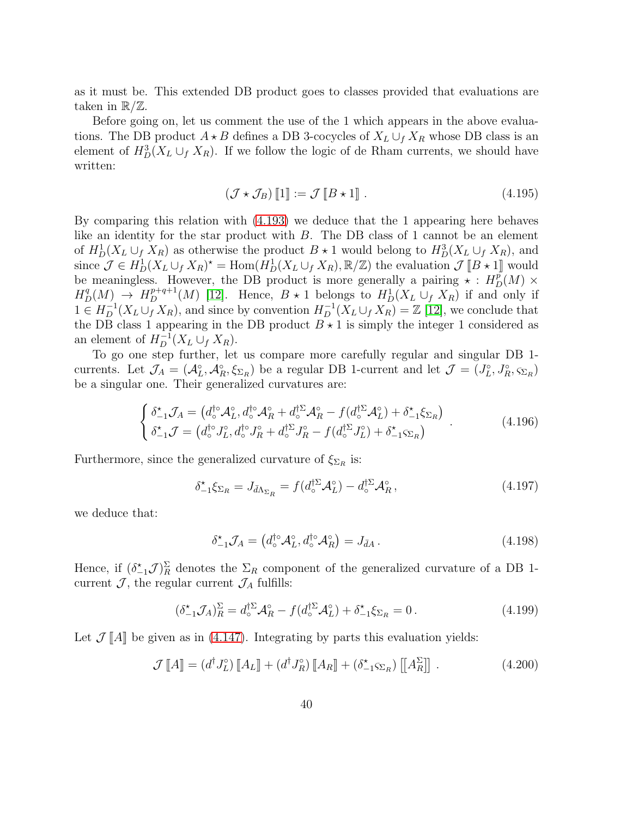as it must be. This extended DB product goes to classes provided that evaluations are taken in  $\mathbb{R}/\mathbb{Z}$ .

Before going on, let us comment the use of the 1 which appears in the above evaluations. The DB product  $A \star B$  defines a DB 3-cocycles of  $X_L \cup_f X_R$  whose DB class is an element of  $H_D^3(X_L \cup_f X_R)$ . If we follow the logic of de Rham currents, we should have written:

$$
\left(\mathcal{J} \star \mathcal{J}_B\right)[1] := \mathcal{J}\left[\!\left[B \star 1\right]\!\right].\tag{4.195}
$$

By comparing this relation with [\(4.193\)](#page-39-0) we deduce that the 1 appearing here behaves like an identity for the star product with B. The DB class of 1 cannot be an element of  $H_D^1(X_L \cup_f X_R)$  as otherwise the product  $B \star 1$  would belong to  $H_D^3(X_L \cup_f X_R)$ , and since  $\mathcal{J} \in H^1_D(X_L \cup_f X_R)^* = \text{Hom}(H^1_D(X_L \cup_f X_R), \mathbb{R}/\mathbb{Z})$  the evaluation  $\mathcal{J} [B \star 1]$  would be meaningless. However, the DB product is more generally a pairing  $\star : H_D^p(M) \times$  $H_D^q(M) \to H_D^{p+q+1}(M)$  [\[12\]](#page-58-11). Hence,  $B \star 1$  belongs to  $H_D^1(X_L \cup_f X_R)$  if and only if  $1 \in H_D^{-1}(X_L \cup_f X_R)$ , and since by convention  $H_D^{-1}(X_L \cup_f X_R) = \mathbb{Z}$  [\[12\]](#page-58-11), we conclude that the DB class 1 appearing in the DB product  $B \star 1$  is simply the integer 1 considered as an element of  $H_D^{-1}(X_L \cup_f X_R)$ .

To go one step further, let us compare more carefully regular and singular DB 1 currents. Let  $\mathcal{J}_A = (\mathcal{A}_L^{\circ}, \mathcal{A}_R^{\circ}, \xi_{\Sigma_R})$  be a regular DB 1-current and let  $\mathcal{J} = (J_L^{\circ}, J_R^{\circ}, \varsigma_{\Sigma_R})$ be a singular one. Their generalized curvatures are:

$$
\begin{cases}\n\delta_{-1}^{\star} \mathcal{J}_A = \left( d_{\circ}^{\dagger \circ} \mathcal{A}_L^{\circ}, d_{\circ}^{\dagger \circ} \mathcal{A}_R^{\circ} + d_{\circ}^{\dagger \Sigma} \mathcal{A}_R^{\circ} - f(d_{\circ}^{\dagger \Sigma} \mathcal{A}_L^{\circ}) + \delta_{-1}^{\star} \xi_{\Sigma_R} \right) \\
\delta_{-1}^{\star} \mathcal{J} = \left( d_{\circ}^{\dagger \circ} J_L^{\circ}, d_{\circ}^{\dagger \circ} J_R^{\circ} + d_{\circ}^{\dagger \Sigma} J_R^{\circ} - f(d_{\circ}^{\dagger \Sigma} J_L^{\circ}) + \delta_{-1}^{\star} \xi_{\Sigma_R} \right)\n\end{cases} (4.196)
$$

Furthermore, since the generalized curvature of  $\xi_{\Sigma_R}$  is:

$$
\delta_{-1}^{\star} \xi_{\Sigma_R} = J_{\bar{d}\Lambda_{\Sigma_R}} = f(d_{\circ}^{\dagger \Sigma} \mathcal{A}_L^{\circ}) - d_{\circ}^{\dagger \Sigma} \mathcal{A}_R^{\circ}, \tag{4.197}
$$

we deduce that:

$$
\delta_{-1}^* \mathcal{J}_A = \left( d_\circ^{\dagger \circ} \mathcal{A}_L^\circ, d_\circ^{\dagger \circ} \mathcal{A}_R^\circ \right) = J_{\bar{d}A} \,. \tag{4.198}
$$

Hence, if  $(\delta_{-1}^*\mathcal{J})_R^{\Sigma}$  denotes the  $\Sigma_R$  component of the generalized curvature of a DB 1current  $\mathcal{J}$ , the regular current  $\mathcal{J}_A$  fulfills:

$$
(\delta_{-1}^{\star} \mathcal{J}_A)_{R}^{\Sigma} = d_{\circ}^{\dagger \Sigma} \mathcal{A}_{R}^{\circ} - f(d_{\circ}^{\dagger \Sigma} \mathcal{A}_{L}^{\circ}) + \delta_{-1}^{\star} \xi_{\Sigma_R} = 0. \qquad (4.199)
$$

Let  $\mathcal{J}[\![A]\!]$  be given as in [\(4.147\)](#page-29-1). Integrating by parts this evaluation yields:

$$
\mathcal{J}\left[\!\left[A\right]\!\right] = \left(d^\dagger J_L^\circ\right)\left[\!\left[A_L\right]\!\right] + \left(d^\dagger J_R^\circ\right)\left[\!\left[A_R\right]\!\right] + \left(\delta_{-1}^\star \varsigma_{\Sigma_R}\right)\left[\!\left[A_R^\Sigma\right]\!\right] \,. \tag{4.200}
$$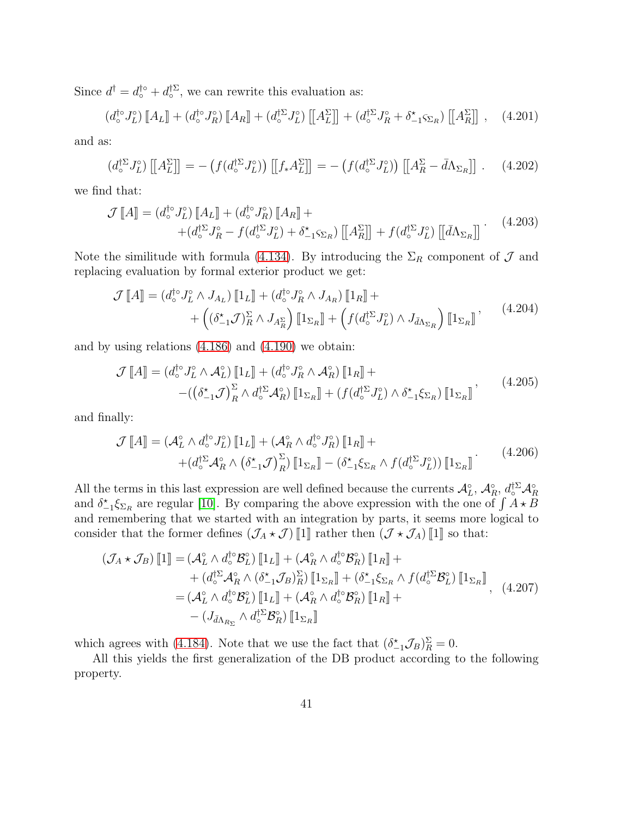Since  $d^{\dagger} = d_{\circ}^{\dagger \circ} + d_{\circ}^{\dagger \Sigma}$ , we can rewrite this evaluation as:

$$
\left(d_{\circ}^{\dagger\circ}J_{L}^{\circ}\right)\left[A_{L}\right] + \left(d_{\circ}^{\dagger\circ}J_{R}^{\circ}\right)\left[A_{R}\right] + \left(d_{\circ}^{\dagger\Sigma}J_{L}^{\circ}\right)\left[\left[A_{L}^{\Sigma}\right]\right] + \left(d_{\circ}^{\dagger\Sigma}J_{R}^{\circ} + \delta_{-1}^{\star}\varsigma_{\Sigma_{R}}\right)\left[\left[A_{R}^{\Sigma}\right]\right],\tag{4.201}
$$

and as:

$$
\left(d_{\circ}^{\dagger \Sigma} J_{L}^{\circ}\right) \left[\left[A_{L}^{\Sigma}\right]\right] = -\left(f(d_{\circ}^{\dagger \Sigma} J_{L}^{\circ})\right) \left[\left[f_{*} A_{L}^{\Sigma}\right]\right] = -\left(f(d_{\circ}^{\dagger \Sigma} J_{L}^{\circ})\right) \left[\left[A_{R}^{\Sigma} - \bar{d} \Lambda_{\Sigma_{R}}\right]\right]. \tag{4.202}
$$

we find that:

$$
\mathcal{J}\left[\!\left[A\right]\!\right] = \left(d_{\circ}^{\dagger\circ}J_{L}^{\circ}\right)\left[\!\left[A_{L}\right]\!\right] + \left(d_{\circ}^{\dagger\circ}J_{R}^{\circ}\right)\left[\!\left[A_{R}\right]\!\right] + \left(d_{\circ}^{\dagger\Sigma}J_{L}^{\circ} - f\left(d_{\circ}^{\dagger\Sigma}J_{L}^{\circ}\right) + \delta_{-1}^{\star}\mathcal{F}_{R}\right)\left[\!\left[A_{R}^{\Sigma}\right]\!\right] + f\left(d_{\circ}^{\dagger\Sigma}J_{L}^{\circ}\right)\left[\!\left[\bar{d}\Lambda_{\Sigma_{R}}\right]\!\right] \tag{4.203}
$$

Note the similitude with formula [\(4.134\)](#page-26-0). By introducing the  $\Sigma_R$  component of  $\mathcal J$  and replacing evaluation by formal exterior product we get:

$$
\mathcal{J}\left[\!\left[A\right]\!\right] = \left(d_{\circ}^{\dagger\circ}J_{L}^{\circ} \wedge J_{A_{L}}\right)\left[\!\left[1_{L}\right]\!\right] + \left(d_{\circ}^{\dagger\circ}J_{R}^{\circ} \wedge J_{A_{R}}\right)\left[\!\left[1_{R}\right]\!\right] + \left(f\left(d_{\circ}^{\dagger\circ}J_{L}^{\circ}\right) \wedge J_{\bar{d}\Lambda_{\Sigma_{R}}}\right)\left[\!\left[1_{\Sigma_{R}}\right]\!\right] + \left(f\left(d_{\circ}^{\dagger\circ}J_{L}^{\circ}\right) \wedge J_{\bar{d}\Lambda_{\Sigma_{R}}}\right)\left[\!\left[1_{\Sigma_{R}}\right]\!\right] \tag{4.204}
$$

and by using relations [\(4.186\)](#page-38-1) and [\(4.190\)](#page-39-1) we obtain:

$$
\mathcal{J}\left[\!\left[A\right]\!\right] = \left(d_{\circ}^{\dagger\circ}J_{L}^{\circ} \wedge \mathcal{A}_{L}^{\circ}\right)\left[\!\left[1_{L}\right]\!\right] + \left(d_{\circ}^{\dagger\circ}J_{R}^{\circ} \wedge \mathcal{A}_{R}^{\circ}\right)\left[\!\left[1_{R}\right]\!\right] + - \left(\left(\delta_{-1}^{\star}\mathcal{J}\right)_{R}^{\Sigma} \wedge d_{\circ}^{\dagger\Sigma}\mathcal{A}_{R}^{\circ}\right)\left[\!\left[1_{\Sigma_{R}}\right]\!\right] + \left(f\left(d_{\circ}^{\dagger\Sigma}J_{L}^{\circ}\right) \wedge \delta_{-1}^{\star}\xi_{\Sigma_{R}}\right)\left[\!\left[1_{\Sigma_{R}}\right]\!\right],
$$
(4.205)

and finally:

$$
\mathcal{J}\left[\left[A\right]\right] = \left(\mathcal{A}_{L}^{\circ} \wedge d_{\circ}^{\dagger \circ} J_{L}^{\circ}\right)\left[\left[1_{L}\right]\right] + \left(\mathcal{A}_{R}^{\circ} \wedge d_{\circ}^{\dagger \circ} J_{R}^{\circ}\right)\left[\left[1_{R}\right]\right] + \left(d_{\circ}^{\dagger \Sigma} \mathcal{A}_{R}^{\circ} \wedge \left(\delta_{-1}^{\star} \mathcal{J}\right)_{R}^{\Sigma}\right)\left[\left[1_{\Sigma_{R}}\right]\right] - \left(\delta_{-1}^{\star} \xi_{\Sigma_{R}} \wedge f\left(d_{\circ}^{\dagger \Sigma} J_{L}^{\circ}\right)\right)\left[\left[1_{\Sigma_{R}}\right]\right] \tag{4.206}
$$

All the terms in this last expression are well defined because the currents  $\mathcal{A}_{L}^{\circ}, \mathcal{A}_{R}^{\circ}, d_{\circ}^{\dagger\Sigma}\mathcal{A}_{R}^{\circ}$ and  $\delta^*_{-1}\xi_{\Sigma_R}$  are regular [\[10\]](#page-58-9). By comparing the above expression with the one of  $\int A \star B$ and remembering that we started with an integration by parts, it seems more logical to consider that the former defines  $(\mathcal{J}_A \star \mathcal{J})$  [1] rather then  $(\mathcal{J} \star \mathcal{J}_A)$  [1] so that:

$$
\begin{split}\n(\mathcal{J}_{A} \star \mathcal{J}_{B}) \left[ \mathbf{1} \right] &= (\mathcal{A}_{L}^{\circ} \wedge d_{\circ}^{\dagger \circ} \mathcal{B}_{L}^{\circ}) \left[ \mathbf{1}_{L} \right] + (\mathcal{A}_{R}^{\circ} \wedge d_{\circ}^{\dagger \circ} \mathcal{B}_{R}^{\circ}) \left[ \mathbf{1}_{R} \right] + \\
&\quad + (d_{\circ}^{\dagger \Sigma} \mathcal{A}_{R}^{\circ} \wedge (\delta_{-1}^{\star} \mathcal{J}_{B})_{R}^{\Sigma} \right) \left[ \mathbf{1}_{\Sigma_{R}} \right] + (\delta_{-1}^{\star} \xi_{\Sigma_{R}} \wedge f(d_{\circ}^{\dagger \Sigma} \mathcal{B}_{L}^{\circ}) \left[ \mathbf{1}_{\Sigma_{R}} \right] \\
&= (\mathcal{A}_{L}^{\circ} \wedge d_{\circ}^{\dagger \circ} \mathcal{B}_{L}^{\circ}) \left[ \mathbf{1}_{L} \right] + (\mathcal{A}_{R}^{\circ} \wedge d_{\circ}^{\dagger \circ} \mathcal{B}_{R}^{\circ}) \left[ \mathbf{1}_{R} \right] + \\
&\quad - (J_{\bar{d}\Lambda_{R\Sigma}} \wedge d_{\circ}^{\dagger \Sigma} \mathcal{B}_{R}^{\circ}) \left[ \mathbf{1}_{\Sigma_{R}} \right]\n\end{split} \tag{4.207}
$$

which agrees with [\(4.184\)](#page-38-0). Note that we use the fact that  $(\delta_{-1}^{\star} \mathcal{J}_{B})_R^{\Sigma} = 0$ .

All this yields the first generalization of the DB product according to the following property.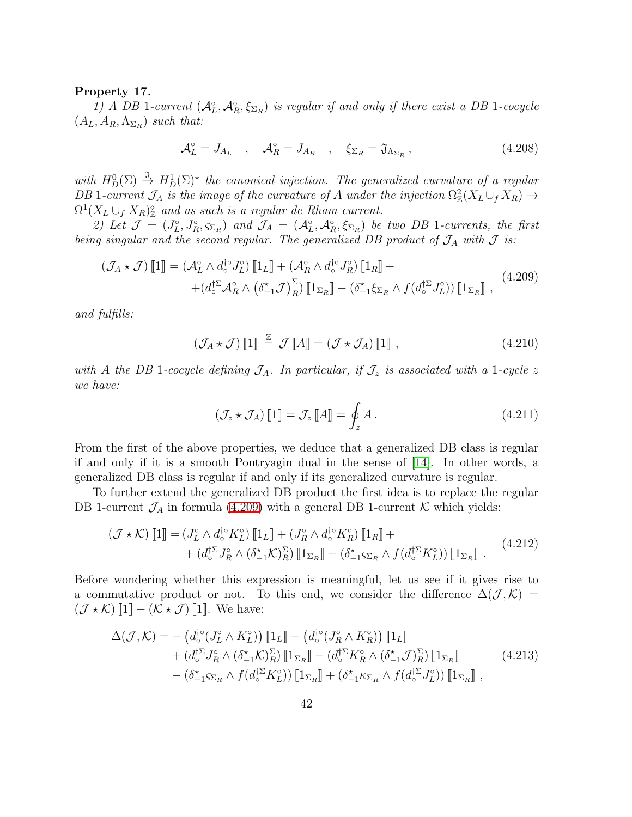### Property 17.

1) A DB 1-current  $(A_L^{\circ}, A_R^{\circ}, \xi_{\Sigma_R})$  is regular if and only if there exist a DB 1-cocycle  $(A_L, A_R, \Lambda_{\Sigma_R})$  such that:

$$
\mathcal{A}_L^\circ = J_{A_L} \quad , \quad \mathcal{A}_R^\circ = J_{A_R} \quad , \quad \xi_{\Sigma_R} = \mathfrak{J}_{\Lambda_{\Sigma_R}} , \tag{4.208}
$$

with  $H_D^0(\Sigma) \stackrel{\mathfrak{I}}{\rightarrow} H_D^1(\Sigma)$ <sup>\*</sup> the canonical injection. The generalized curvature of a regular DB 1-current  $\mathcal{J}_A$  is the image of the curvature of A under the injection  $\Omega_{\mathbb{Z}}^2(X_L \cup_f X_R) \to$  $\Omega^1(X_L \cup_f X_R)_{\mathbb{Z}}^{\diamond}$  and as such is a regular de Rham current.

2) Let  $\mathcal{J} = (J_L^{\circ}, J_R^{\circ}, s_{\Sigma_R})$  and  $\mathcal{J}_A = (\mathcal{A}_L^{\circ}, \mathcal{A}_R^{\circ}, \xi_{\Sigma_R})$  be two DB 1-currents, the first being singular and the second regular. The generalized DB product of  $\mathcal{J}_A$  with  $\mathcal J$  is:

<span id="page-42-0"></span>
$$
\begin{split} \left(\mathcal{J}_{A} \star \mathcal{J}\right) \llbracket 1 \rrbracket &= \left(\mathcal{A}_{L}^{\circ} \wedge d_{\circ}^{\dagger \circ} J_{L}^{\circ}\right) \llbracket 1_{L} \rrbracket + \left(\mathcal{A}_{R}^{\circ} \wedge d_{\circ}^{\dagger \circ} J_{R}^{\circ}\right) \llbracket 1_{R} \rrbracket + \\ &+ \left(d_{\circ}^{\dagger \Sigma} \mathcal{A}_{R}^{\circ} \wedge \left(\delta_{-1}^{\star} \mathcal{J}\right)_{R}^{\Sigma}\right) \llbracket 1_{\Sigma_{R}} \rrbracket - \left(\delta_{-1}^{\star} \xi_{\Sigma_{R}} \wedge f\left(d_{\circ}^{\dagger \Sigma} J_{L}^{\circ}\right)\right) \llbracket 1_{\Sigma_{R}} \rrbracket \end{split} \tag{4.209}
$$

and fulfills:

$$
\left(\mathcal{J}_A \star \mathcal{J}\right) \llbracket 1 \rrbracket \stackrel{\mathbb{Z}}{=} \mathcal{J} \llbracket A \rrbracket = \left(\mathcal{J} \star \mathcal{J}_A\right) \llbracket 1 \rrbracket \,, \tag{4.210}
$$

with A the DB 1-cocycle defining  $\mathcal{J}_A$ . In particular, if  $\mathcal{J}_z$  is associated with a 1-cycle z we have:

$$
\left(\mathcal{J}_z \star \mathcal{J}_A\right) [\![1]\!] = \mathcal{J}_z [\![A]\!] = \oint_z A \,. \tag{4.211}
$$

From the first of the above properties, we deduce that a generalized DB class is regular if and only if it is a smooth Pontryagin dual in the sense of [\[14\]](#page-58-13). In other words, a generalized DB class is regular if and only if its generalized curvature is regular.

To further extend the generalized DB product the first idea is to replace the regular DB 1-current  $\mathcal{J}_A$  in formula [\(4.209\)](#page-42-0) with a general DB 1-current K which yields:

$$
\begin{split} \left(\mathcal{J} \star \mathcal{K}\right) \llbracket 1 \rrbracket &= \left(J_L^{\circ} \wedge d_{\circ}^{\dagger \circ} K_L^{\circ}\right) \llbracket 1_L \rrbracket + \left(J_R^{\circ} \wedge d_{\circ}^{\dagger \circ} K_R^{\circ}\right) \llbracket 1_R \rrbracket + \\ &+ \left(d_{\circ}^{\dagger \Sigma} J_R^{\circ} \wedge \left(\delta_{-1}^{\star} \mathcal{K}\right)_{R}^{\Sigma}\right) \llbracket 1_{\Sigma_R} \rrbracket - \left(\delta_{-1}^{\star} \zeta_{\Sigma_R} \wedge f\left(d_{\circ}^{\dagger \Sigma} K_L^{\circ}\right)\right) \llbracket 1_{\Sigma_R} \rrbracket \ . \end{split} \tag{4.212}
$$

Before wondering whether this expression is meaningful, let us see if it gives rise to a commutative product or not. To this end, we consider the difference  $\Delta(\mathcal{J},\mathcal{K})$  =  $(\mathcal{J} \star \mathcal{K})$  [1] –  $(\mathcal{K} \star \mathcal{J})$  [1]. We have:

$$
\Delta(\mathcal{J}, \mathcal{K}) = - \left( d_{\circ}^{\dagger \circ} (J_{L}^{\circ} \wedge K_{L}^{\circ}) \right) \llbracket 1_{L} \rrbracket - \left( d_{\circ}^{\dagger \circ} (J_{R}^{\circ} \wedge K_{R}^{\circ}) \right) \llbracket 1_{L} \rrbracket + \left( d_{\circ}^{\dagger \Sigma} J_{R}^{\circ} \wedge (\delta_{-1}^{*} \mathcal{K})_{R}^{\Sigma} \right) \llbracket 1_{\Sigma_{R}} \rrbracket - \left( d_{\circ}^{\dagger \Sigma} K_{R}^{\circ} \wedge (\delta_{-1}^{*} \mathcal{J})_{R}^{\Sigma} \right) \llbracket 1_{\Sigma_{R}} \rrbracket
$$
\n
$$
- \left( \delta_{-1}^{*} \varsigma_{\Sigma_{R}} \wedge f(d_{\circ}^{\dagger \Sigma} K_{L}^{\circ}) \right) \llbracket 1_{\Sigma_{R}} \rrbracket + \left( \delta_{-1}^{*} \kappa_{\Sigma_{R}} \wedge f(d_{\circ}^{\dagger \Sigma} J_{L}^{\circ}) \right) \llbracket 1_{\Sigma_{R}} \rrbracket , \tag{4.213}
$$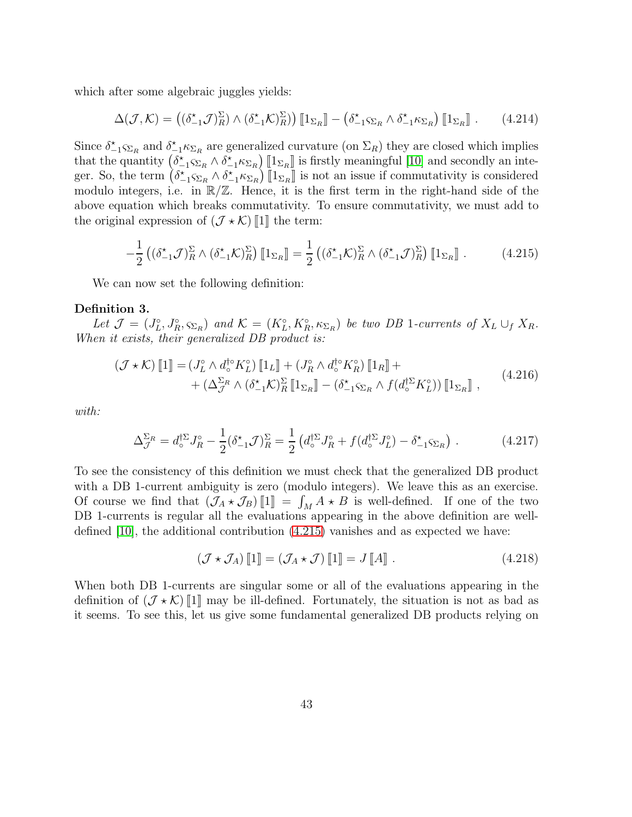which after some algebraic juggles yields:

$$
\Delta(\mathcal{J},\mathcal{K}) = \left( (\delta_{-1}^{\star}\mathcal{J})_R^{\Sigma} \right) \wedge (\delta_{-1}^{\star}\mathcal{K})_R^{\Sigma} \right) \left[ 1_{\Sigma_R} \right] - \left( \delta_{-1}^{\star} \varsigma_{\Sigma_R} \wedge \delta_{-1}^{\star} \kappa_{\Sigma_R} \right) \left[ 1_{\Sigma_R} \right] . \tag{4.214}
$$

Since  $\delta_{-1}^* \varsigma_{\Sigma_R}$  and  $\delta_{-1}^* \kappa_{\Sigma_R}$  are generalized curvature (on  $\Sigma_R$ ) they are closed which implies that the quantity  $(\delta_{-1}^* \varsigma_{\Sigma_R} \wedge \delta_{-1}^* \kappa_{\Sigma_R})$  [ $1_{\Sigma_R}$ ] is firstly meaningful [\[10\]](#page-58-9) and secondly an integer. So, the term  $(\delta_{-1}^* \varsigma_{\Sigma_R} \wedge \delta_{-1}^* \kappa_{\Sigma_R})$  [ $1_{\Sigma_R}$ ] is not an issue if commutativity is considered modulo integers, i.e. in  $\mathbb{R}/\mathbb{Z}$ . Hence, it is the first term in the right-hand side of the above equation which breaks commutativity. To ensure commutativity, we must add to the original expression of  $(\mathcal{J} \star \mathcal{K})$  [1] the term:

<span id="page-43-0"></span>
$$
-\frac{1}{2}\left( (\delta_{-1}^{\star}\mathcal{J})_R^{\Sigma} \wedge (\delta_{-1}^{\star}\mathcal{K})_R^{\Sigma} \right) \left[ \mathbb{1}_{\Sigma_R} \right] = \frac{1}{2} \left( (\delta_{-1}^{\star}\mathcal{K})_R^{\Sigma} \wedge (\delta_{-1}^{\star}\mathcal{J})_R^{\Sigma} \right) \left[ \mathbb{1}_{\Sigma_R} \right] . \tag{4.215}
$$

We can now set the following definition:

#### <span id="page-43-1"></span>Definition 3.

Let  $\mathcal{J} = (J_L^{\circ}, J_R^{\circ}, \varsigma_{\Sigma_R})$  and  $\mathcal{K} = (K_L^{\circ}, K_R^{\circ}, \kappa_{\Sigma_R})$  be two DB 1-currents of  $X_L \cup_f X_R$ . When it exists, their generalized DB product is:

$$
\begin{split} \left(\mathcal{J} \star \mathcal{K}\right) \left[\!\left[1\right]\!\right] &= \left(J_L^{\circ} \wedge d_{\circ}^{\dagger \circ} K_L^{\circ}\right) \left[\!\left[1_L\right]\!\right] + \left(J_R^{\circ} \wedge d_{\circ}^{\dagger \circ} K_R^{\circ}\right) \left[\!\left[1_R\right]\!\right] + \\ &+ \left(\Delta_{\mathcal{J}}^{\Sigma_R} \wedge (\delta_{-1}^{\star} \mathcal{K})_R^{\Sigma} \left[\!\left[1_{\Sigma_R}\right]\!\right] - \left(\delta_{-1}^{\star} \varsigma_{\Sigma_R} \wedge f\left(d_{\circ}^{\dagger \Sigma} K_L^{\circ}\right)\right) \left[\!\left[1_{\Sigma_R}\right]\!\right] \,, \end{split} \tag{4.216}
$$

with:

$$
\Delta_{\mathcal{J}}^{\Sigma_R} = d_{\circ}^{\dagger \Sigma} J_R^{\circ} - \frac{1}{2} (\delta_{-1}^{\star} \mathcal{J})_R^{\Sigma} = \frac{1}{2} \left( d_{\circ}^{\dagger \Sigma} J_R^{\circ} + f (d_{\circ}^{\dagger \Sigma} J_L^{\circ}) - \delta_{-1}^{\star} \varsigma_{\Sigma_R} \right) . \tag{4.217}
$$

To see the consistency of this definition we must check that the generalized DB product with a DB 1-current ambiguity is zero (modulo integers). We leave this as an exercise. Of course we find that  $(\mathcal{J}_A * \mathcal{J}_B)[1] = \int_M A * B$  is well-defined. If one of the two DB 1-currents is regular all the evaluations appearing in the above definition are welldefined [\[10\]](#page-58-9), the additional contribution [\(4.215\)](#page-43-0) vanishes and as expected we have:

$$
\left(\mathcal{J} \star \mathcal{J}_A\right) \llbracket 1 \rrbracket = \left(\mathcal{J}_A \star \mathcal{J}\right) \llbracket 1 \rrbracket = J \llbracket A \rrbracket \ . \tag{4.218}
$$

When both DB 1-currents are singular some or all of the evaluations appearing in the definition of  $(\mathcal{J} \star \mathcal{K})$  [1] may be ill-defined. Fortunately, the situation is not as bad as it seems. To see this, let us give some fundamental generalized DB products relying on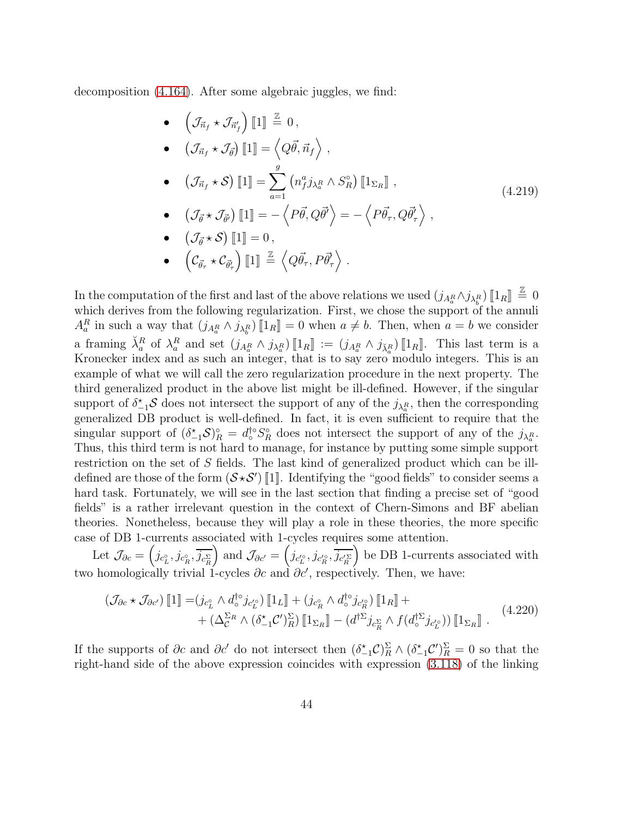decomposition [\(4.164\)](#page-33-1). After some algebraic juggles, we find:

\n- \n
$$
\begin{aligned}\n &\left(\mathcal{J}_{\vec{n}_f} \star \mathcal{J}_{\vec{n}'_f}\right) \llbracket 1 \rrbracket \stackrel{\mathbb{Z}}{=} 0, \\
 &\left(\mathcal{J}_{\vec{n}_f} \star \mathcal{J}_{\vec{\theta}}\right) \llbracket 1 \rrbracket = \left\langle Q\vec{\theta}, \vec{n}_f \right\rangle, \\
 &\left(\mathcal{J}_{\vec{n}_f} \star \mathcal{S}\right) \llbracket 1 \rrbracket = \sum_{a=1}^g \left(n_f^a j_{\lambda_a^R} \wedge S_R^\circ\right) \llbracket 1_{\Sigma_R} \rrbracket, \\
 &\left(\mathcal{J}_{\vec{\theta}} \star \mathcal{J}_{\vec{\theta}'}\right) \llbracket 1 \rrbracket = -\left\langle P\vec{\theta}, Q\vec{\theta}' \right\rangle = -\left\langle P\vec{\theta}_\tau, Q\vec{\theta}'_\tau \right\rangle, \\
 &\left(\mathcal{J}_{\vec{\theta}} \star \mathcal{S}\right) \llbracket 1 \rrbracket = 0, \\
 &\tag{4.219}\n \end{aligned}
$$
\n
\n

<span id="page-44-0"></span>
$$
\bullet \quad (\mathcal{C}_{\vec{\theta}_{\tau}} \star \mathcal{C}_{\vec{\theta}_{\tau}'} ) \llbracket 1 \rrbracket \stackrel{\mathbb{Z}}{=} \left\langle Q \vec{\theta}_{\tau}, P \vec{\theta}_{\tau}' \right\rangle.
$$

In the computation of the first and last of the above relations we used  $(j_{A_a^R} \wedge j_{\lambda_{b_a}^R})$   $\llbracket 1_R \rrbracket = 0$ which derives from the following regularization. First, we chose the support of the annuli  $A_a^R$  in such a way that  $(j_{A_a^R} \wedge j_{\lambda_b^R})$   $[1_R] = 0$  when  $a \neq b$ . Then, when  $a = b$  we consider a framing  $\check{\lambda}_a^R$  of  $\lambda_a^R$  and set  $(j_{A_a^R} \wedge j_{\lambda_a^R})$   $[1_R] := (j_{A_a^R} \wedge j_{\check{\lambda}_a^R})$   $[1_R]$ . This last term is a Kronecker index and as such an integer, that is to say zero modulo integers. This is an example of what we will call the zero regularization procedure in the next property. The third generalized product in the above list might be ill-defined. However, if the singular support of  $\delta_{-1}^* S$  does not intersect the support of any of the  $j_{\lambda_a^R}$ , then the corresponding generalized DB product is well-defined. In fact, it is even sufficient to require that the singular support of  $(\delta_{-1}^* S)_R^{\circ} = d_0^{\dagger} S_R^{\circ}$  does not intersect the support of any of the  $j_{\lambda_R^R}$ . Thus, this third term is not hard to manage, for instance by putting some simple support restriction on the set of S fields. The last kind of generalized product which can be illdefined are those of the form  $(S \star S')$  [1]. Identifying the "good fields" to consider seems a hard task. Fortunately, we will see in the last section that finding a precise set of "good fields" is a rather irrelevant question in the context of Chern-Simons and BF abelian theories. Nonetheless, because they will play a role in these theories, the more specific case of DB 1-currents associated with 1-cycles requires some attention.

Let  $\mathcal{J}_{\partial c} = \left(j_{c_L^{\circ}}, j_{c_R^{\circ}}, \overline{j_{c_R^{\Sigma}}} \right)$ and  $\mathcal{J}_{\partial c'} = \left(j_{c'_{L}}\text{, } j_{c'_{R}}\text{, } \overline{j_{c'_{R}}}\text{, } j_{c''_{R}}\right)$  be DB 1-currents associated with two homologically trivial 1-cycles  $\partial c$  and  $\partial c'$ , respectively. Then, we have:

$$
\begin{split} \left(\mathcal{J}_{\partial c} \star \mathcal{J}_{\partial c'}\right) \llbracket 1 \rrbracket &= \left(j_{c_L^{\circ}} \wedge d_{\circ}^{\dagger \circ} j_{c_L^{\prime \circ}}\right) \llbracket 1_L \rrbracket + \left(j_{c_R^{\circ}} \wedge d_{\circ}^{\dagger \circ} j_{c_R^{\prime \circ}}\right) \llbracket 1_R \rrbracket + \\ &+ \left(\Delta_c^{\Sigma_R} \wedge \left(\delta_{-1}^{\star} \mathcal{C}'\right)_R^{\Sigma} \right) \llbracket 1_{\Sigma_R} \rrbracket - \left(d^{\dagger \Sigma} j_{c_R^{\Sigma}} \wedge f\left(d_{\circ}^{\dagger \Sigma} j_{c_L^{\prime \circ}}\right)\right) \llbracket 1_{\Sigma_R} \rrbracket \ . \end{split} \tag{4.220}
$$

If the supports of  $\partial c$  and  $\partial c'$  do not intersect then  $(\delta_{-1}^* \mathcal{C})_R^{\Sigma} \wedge (\delta_{-1}^* \mathcal{C}')_R^{\Sigma} = 0$  so that the right-hand side of the above expression coincides with expression [\(3.118\)](#page-23-0) of the linking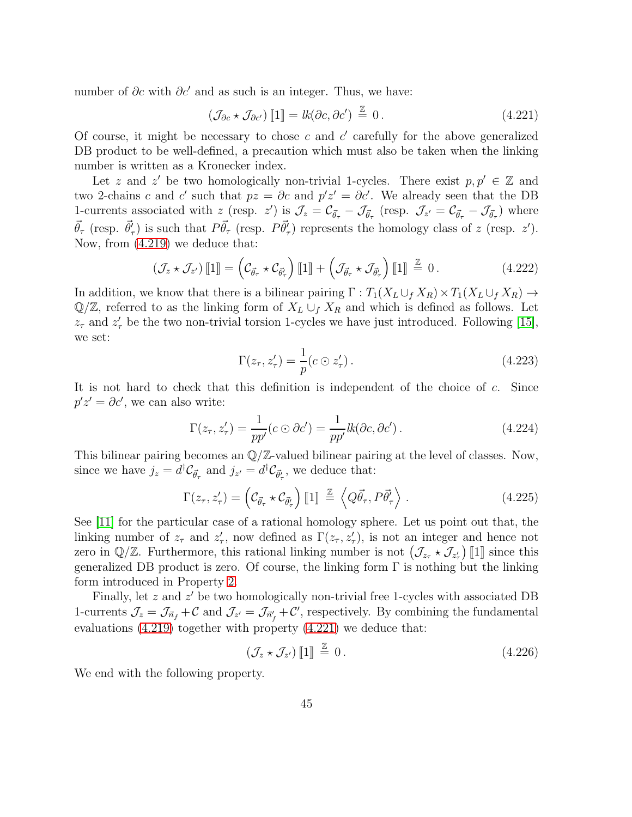number of  $\partial c$  with  $\partial c'$  and as such is an integer. Thus, we have:

<span id="page-45-0"></span>
$$
\left(\mathcal{J}_{\partial c} \star \mathcal{J}_{\partial c'}\right) [\![1]\!] = lk(\partial c, \partial c') \stackrel{\mathbb{Z}}{=} 0. \tag{4.221}
$$

Of course, it might be necessary to chose  $c$  and  $c'$  carefully for the above generalized DB product to be well-defined, a precaution which must also be taken when the linking number is written as a Kronecker index.

Let z and z' be two homologically non-trivial 1-cycles. There exist  $p, p' \in \mathbb{Z}$  and two 2-chains c and c' such that  $pz = \partial c$  and  $p'z' = \partial c'$ . We already seen that the DB 1-currents associated with z (resp. z') is  $\mathcal{J}_z = \mathcal{C}_{\vec{\theta}_{\tau}} - \mathcal{J}_{\vec{\theta}_{\tau}}$  (resp.  $\mathcal{J}_{z'} = \mathcal{C}_{\vec{\theta}_{\tau}} - \mathcal{J}_{\vec{\theta}_{\tau}}$ ) where  $\vec{\theta}_{\tau}$  (resp.  $\vec{\theta}'_{\tau}$ ) is such that  $P\vec{\theta}_{\tau}$  (resp.  $P\vec{\theta}'_{\tau}$ ) represents the homology class of z (resp. z'). Now, from [\(4.219\)](#page-44-0) we deduce that:

$$
\left(\mathcal{J}_z \star \mathcal{J}_{z'}\right) \llbracket 1 \rrbracket = \left(\mathcal{C}_{\vec{\theta}_{\tau}} \star \mathcal{C}_{\vec{\theta}_{\tau}'}\right) \llbracket 1 \rrbracket + \left(\mathcal{J}_{\vec{\theta}_{\tau}} \star \mathcal{J}_{\vec{\theta}_{\tau}'}\right) \llbracket 1 \rrbracket \stackrel{\mathbb{Z}}{=} 0. \tag{4.222}
$$

In addition, we know that there is a bilinear pairing  $\Gamma: T_1(X_L \cup_f X_R) \times T_1(X_L \cup_f X_R) \to$  $\mathbb{Q}/\mathbb{Z}$ , referred to as the linking form of  $X_L \cup_f X_R$  and which is defined as follows. Let  $z_{\tau}$  and  $z'_{\tau}$  be the two non-trivial torsion 1-cycles we have just introduced. Following [\[15\]](#page-59-0), we set:

$$
\Gamma(z_{\tau}, z_{\tau}') = \frac{1}{p}(c \odot z_{\tau}'). \tag{4.223}
$$

It is not hard to check that this definition is independent of the choice of c. Since  $p'z' = \partial c'$ , we can also write:

$$
\Gamma(z_{\tau}, z_{\tau}') = \frac{1}{pp'}(c \odot \partial c') = \frac{1}{pp'}lk(\partial c, \partial c').
$$
\n(4.224)

This bilinear pairing becomes an  $\mathbb{Q}/\mathbb{Z}$ -valued bilinear pairing at the level of classes. Now, since we have  $j_z = d^{\dagger} \mathcal{C}_{\vec{\theta}_{\tau}}$  and  $j_{z'} = d^{\dagger} \mathcal{C}_{\vec{\theta}_{\tau}'}$ , we deduce that:

$$
\Gamma(z_{\tau}, z_{\tau}') = \left( \mathcal{C}_{\vec{\theta}_{\tau}} \star \mathcal{C}_{\vec{\theta}_{\tau}'} \right) \llbracket 1 \rrbracket \stackrel{\mathbb{Z}}{=} \left\langle Q \vec{\theta}_{\tau}, P \vec{\theta}_{\tau}' \right\rangle. \tag{4.225}
$$

See [\[11\]](#page-58-10) for the particular case of a rational homology sphere. Let us point out that, the linking number of  $z_{\tau}$  and  $z'_{\tau}$ , now defined as  $\Gamma(z_{\tau}, z'_{\tau})$ , is not an integer and hence not zero in  $\mathbb{Q}/\mathbb{Z}$ . Furthermore, this rational linking number is not  $(\mathcal{J}_{z_{\tau}} \star \mathcal{J}_{z'_{\tau}})$  [1] since this generalized DB product is zero. Of course, the linking form  $\Gamma$  is nothing but the linking form introduced in Property [2.](#page-9-0)

Finally, let  $z$  and  $z'$  be two homologically non-trivial free 1-cycles with associated DB 1-currents  $\mathcal{J}_z = \mathcal{J}_{\vec{n}_f} + \mathcal{C}$  and  $\mathcal{J}_{z'} = \mathcal{J}_{\vec{n}'_f} + \mathcal{C}'$ , respectively. By combining the fundamental evaluations [\(4.219\)](#page-44-0) together with property [\(4.221\)](#page-45-0) we deduce that:

$$
\left(\mathcal{J}_z \star \mathcal{J}_{z'}\right) \llbracket 1 \rrbracket \stackrel{\mathbb{Z}}{=} 0. \tag{4.226}
$$

We end with the following property.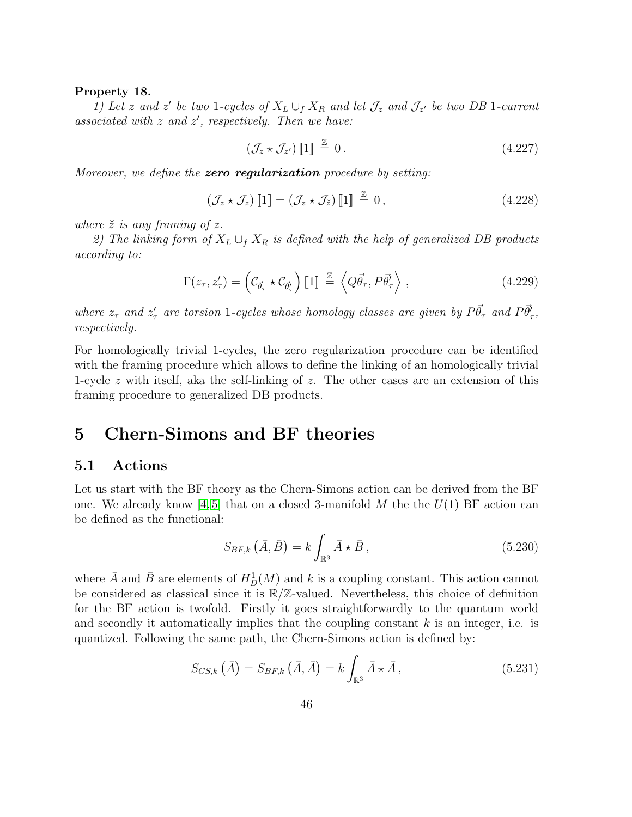### Property 18.

1) Let z and z' be two 1-cycles of  $X_L \cup_f X_R$  and let  $\mathcal{J}_z$  and  $\mathcal{J}_{z'}$  be two DB 1-current associated with  $z$  and  $z'$ , respectively. Then we have:

$$
\left(\mathcal{J}_z \star \mathcal{J}_{z'}\right) \llbracket 1 \rrbracket \stackrel{\mathbb{Z}}{=} 0. \tag{4.227}
$$

Moreover, we define the **zero regularization** procedure by setting:

$$
\left(\mathcal{J}_z \star \mathcal{J}_z\right) \llbracket 1 \rrbracket = \left(\mathcal{J}_z \star \mathcal{J}_z\right) \llbracket 1 \rrbracket \stackrel{\mathbb{Z}}{=} 0\,,\tag{4.228}
$$

where  $\ddot{z}$  is any framing of z.

2) The linking form of  $X_L \cup_f X_R$  is defined with the help of generalized DB products according to:

$$
\Gamma(z_{\tau}, z_{\tau}') = \left( \mathcal{C}_{\vec{\theta}_{\tau}} \star \mathcal{C}_{\vec{\theta}_{\tau}'} \right) \llbracket 1 \rrbracket \stackrel{\mathbb{Z}}{=} \left\langle Q \vec{\theta}_{\tau}, P \vec{\theta}_{\tau}' \right\rangle, \tag{4.229}
$$

where  $z_{\tau}$  and  $z'_{\tau}$  are torsion 1-cycles whose homology classes are given by  $P\vec{\theta}_{\tau}$  and  $P\vec{\theta}'_{\tau}$ , respectively.

For homologically trivial 1-cycles, the zero regularization procedure can be identified with the framing procedure which allows to define the linking of an homologically trivial 1-cycle z with itself, aka the self-linking of z. The other cases are an extension of this framing procedure to generalized DB products.

## 5 Chern-Simons and BF theories

## 5.1 Actions

Let us start with the BF theory as the Chern-Simons action can be derived from the BF one. We already know [\[4,](#page-58-5)5] that on a closed 3-manifold M the the  $U(1)$  BF action can be defined as the functional:

$$
S_{BF,k}(\bar{A}, \bar{B}) = k \int_{\mathbb{R}^3} \bar{A} \star \bar{B}, \qquad (5.230)
$$

where  $\overline{A}$  and  $\overline{B}$  are elements of  $H_D^1(M)$  and k is a coupling constant. This action cannot be considered as classical since it is  $\mathbb{R}/\mathbb{Z}$ -valued. Nevertheless, this choice of definition for the BF action is twofold. Firstly it goes straightforwardly to the quantum world and secondly it automatically implies that the coupling constant  $k$  is an integer, i.e. is quantized. Following the same path, the Chern-Simons action is defined by:

$$
S_{CS,k}(\bar{A}) = S_{BF,k}(\bar{A}, \bar{A}) = k \int_{\mathbb{R}^3} \bar{A} \star \bar{A}, \qquad (5.231)
$$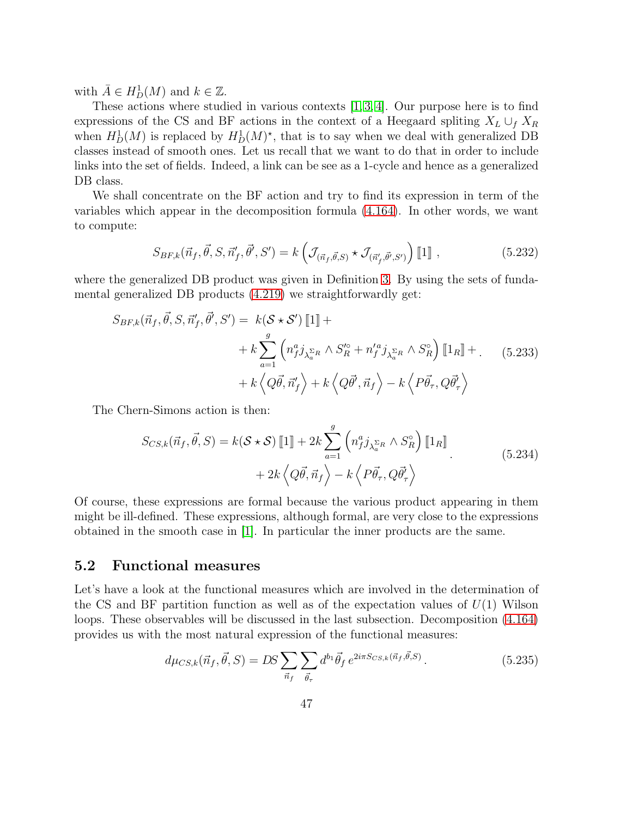with  $\bar{A} \in H_D^1(M)$  and  $k \in \mathbb{Z}$ .

These actions where studied in various contexts [\[1,](#page-58-0) [3,](#page-58-8) [4\]](#page-58-5). Our purpose here is to find expressions of the CS and BF actions in the context of a Heegaard spliting  $X_L \cup_f X_R$ when  $H_D^1(M)$  is replaced by  $H_D^1(M)^*$ , that is to say when we deal with generalized DB classes instead of smooth ones. Let us recall that we want to do that in order to include links into the set of fields. Indeed, a link can be see as a 1-cycle and hence as a generalized DB class.

We shall concentrate on the BF action and try to find its expression in term of the variables which appear in the decomposition formula [\(4.164\)](#page-33-1). In other words, we want to compute:

$$
S_{BF,k}(\vec{n}_f, \vec{\theta}, S, \vec{n}'_f, \vec{\theta}', S') = k \left( \mathcal{J}_{(\vec{n}_f, \vec{\theta}, S)} \star \mathcal{J}_{(\vec{n}'_f, \vec{\theta}', S')} \right) [\![1]\!],
$$
\n(5.232)

where the generalized DB product was given in Definition [3.](#page-43-1) By using the sets of fundamental generalized DB products [\(4.219\)](#page-44-0) we straightforwardly get:

<span id="page-47-1"></span>
$$
S_{BF,k}(\vec{n}_f, \vec{\theta}, S, \vec{n}'_f, \vec{\theta}', S') = k(S * S') \llbracket 1 \rrbracket + k \sum_{a=1}^g \left( n_f^a j_{\lambda_a^{E_R}} \wedge S_R^{\prime \circ} + n_f^{\prime a} j_{\lambda_a^{E_R}} \wedge S_R^{\circ} \right) \llbracket 1_R \rrbracket + \dots \quad (5.233)
$$

$$
+ k \left\langle Q\vec{\theta}, \vec{n}'_f \right\rangle + k \left\langle Q\vec{\theta}', \vec{n}_f \right\rangle - k \left\langle P\vec{\theta}_\tau, Q\vec{\theta}'_\tau \right\rangle
$$

The Chern-Simons action is then:

<span id="page-47-0"></span>
$$
S_{CS,k}(\vec{n}_f, \vec{\theta}, S) = k(\mathcal{S} \star \mathcal{S}) \left[1\right] + 2k \sum_{a=1}^{g} \left(n_f^a j_{\lambda_a^{\Sigma_R}} \wedge S_R^{\circ}\right) \left[1_R\right] + 2k \left\langle Q\vec{\theta}, \vec{n}_f \right\rangle - k \left\langle P\vec{\theta}_\tau, Q\vec{\theta}_\tau'\right\rangle \tag{5.234}
$$

Of course, these expressions are formal because the various product appearing in them might be ill-defined. These expressions, although formal, are very close to the expressions obtained in the smooth case in  $|1|$ . In particular the inner products are the same.

## 5.2 Functional measures

Let's have a look at the functional measures which are involved in the determination of the CS and BF partition function as well as of the expectation values of  $U(1)$  Wilson loops. These observables will be discussed in the last subsection. Decomposition [\(4.164\)](#page-33-1) provides us with the most natural expression of the functional measures:

$$
d\mu_{CS,k}(\vec{n}_f, \vec{\theta}, S) = DS \sum_{\vec{n}_f} \sum_{\vec{\theta}_\tau} d^{b_1} \vec{\theta}_f \, e^{2i\pi S_{CS,k}(\vec{n}_f, \vec{\theta}, S)} \,. \tag{5.235}
$$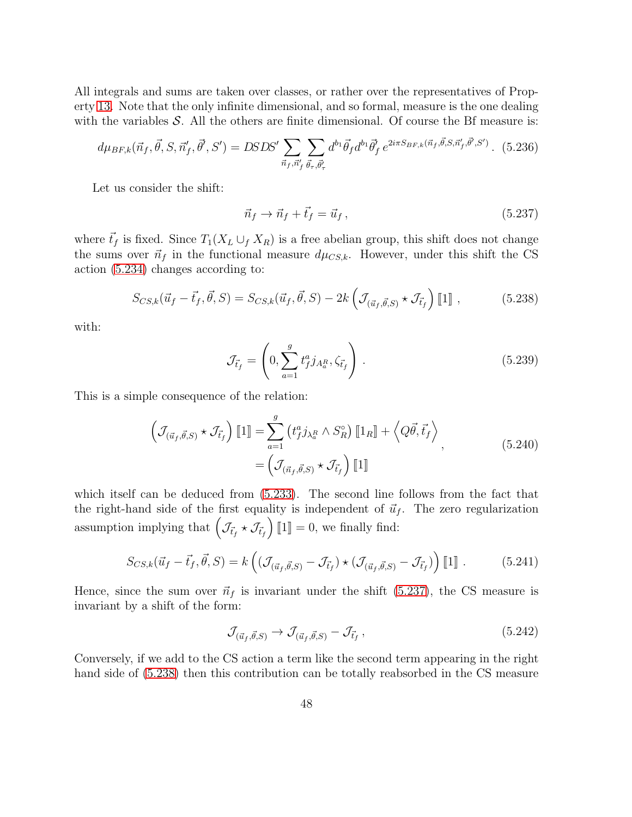All integrals and sums are taken over classes, or rather over the representatives of Property [13.](#page-33-0) Note that the only infinite dimensional, and so formal, measure is the one dealing with the variables  $S$ . All the others are finite dimensional. Of course the Bf measure is:

$$
d\mu_{BF,k}(\vec{n}_f, \vec{\theta}, S, \vec{n}'_f, \vec{\theta}', S') = DSDS' \sum_{\vec{n}_f, \vec{n}'_f} \sum_{\vec{\theta}_\tau, \vec{\theta}'_\tau} d^{b_1} \vec{\theta}_f d^{b_1} \vec{\theta}'_f e^{2i\pi S_{BF,k}(\vec{n}_f, \vec{\theta}, S, \vec{n}'_f, \vec{\theta}', S')}.
$$
(5.236)

Let us consider the shift:

<span id="page-48-0"></span>
$$
\vec{n}_f \to \vec{n}_f + \vec{t}_f = \vec{u}_f, \qquad (5.237)
$$

where  $\vec{t}_f$  is fixed. Since  $T_1(X_L \cup_f X_R)$  is a free abelian group, this shift does not change the sums over  $\vec{n}_f$  in the functional measure  $d\mu_{CS,k}$ . However, under this shift the CS action [\(5.234\)](#page-47-0) changes according to:

<span id="page-48-1"></span>
$$
S_{CS,k}(\vec{u}_f - \vec{t}_f, \vec{\theta}, S) = S_{CS,k}(\vec{u}_f, \vec{\theta}, S) - 2k \left( \mathcal{J}_{(\vec{u}_f, \vec{\theta}, S)} \star \mathcal{J}_{\vec{t}_f} \right) [\![1]\!],
$$
 (5.238)

with:

$$
\mathcal{J}_{\vec{t}_f} = \left( 0, \sum_{a=1}^g t_f^a j_{A_a^R}, \zeta_{\vec{t}_f} \right). \tag{5.239}
$$

This is a simple consequence of the relation:

$$
\left(\mathcal{J}_{(\vec{u}_f, \vec{\theta}, S)} \star \mathcal{J}_{\vec{t}_f}\right) \llbracket 1 \rrbracket = \sum_{a=1}^g \left(t_f^a j_{\lambda_a^R} \wedge S_R^\circ\right) \llbracket 1_R \rrbracket + \left\langle Q\vec{\theta}, \vec{t}_f\right\rangle
$$
\n
$$
= \left(\mathcal{J}_{(\vec{n}_f, \vec{\theta}, S)} \star \mathcal{J}_{\vec{t}_f}\right) \llbracket 1 \rrbracket
$$
\n(5.240)

which itself can be deduced from [\(5.233\)](#page-47-1). The second line follows from the fact that the right-hand side of the first equality is independent of  $\vec{u}_f$ . The zero regularization assumption implying that  $(\mathcal{J}_{\vec{t}_f} \star \mathcal{J}_{\vec{t}_f})$  [1] = 0, we finally find:

$$
S_{CS,k}(\vec{u}_f - \vec{t}_f, \vec{\theta}, S) = k \left( \left( \mathcal{J}_{(\vec{u}_f, \vec{\theta}, S)} - \mathcal{J}_{\vec{t}_f} \right) \star \left( \mathcal{J}_{(\vec{u}_f, \vec{\theta}, S)} - \mathcal{J}_{\vec{t}_f} \right) \right) [\![1]\!] . \tag{5.241}
$$

Hence, since the sum over  $\vec{n}_f$  is invariant under the shift [\(5.237\)](#page-48-0), the CS measure is invariant by a shift of the form:

$$
\mathcal{J}_{(\vec{u}_f, \vec{\theta}, S)} \to \mathcal{J}_{(\vec{u}_f, \vec{\theta}, S)} - \mathcal{J}_{\vec{t}_f}, \qquad (5.242)
$$

Conversely, if we add to the CS action a term like the second term appearing in the right hand side of [\(5.238\)](#page-48-1) then this contribution can be totally reabsorbed in the CS measure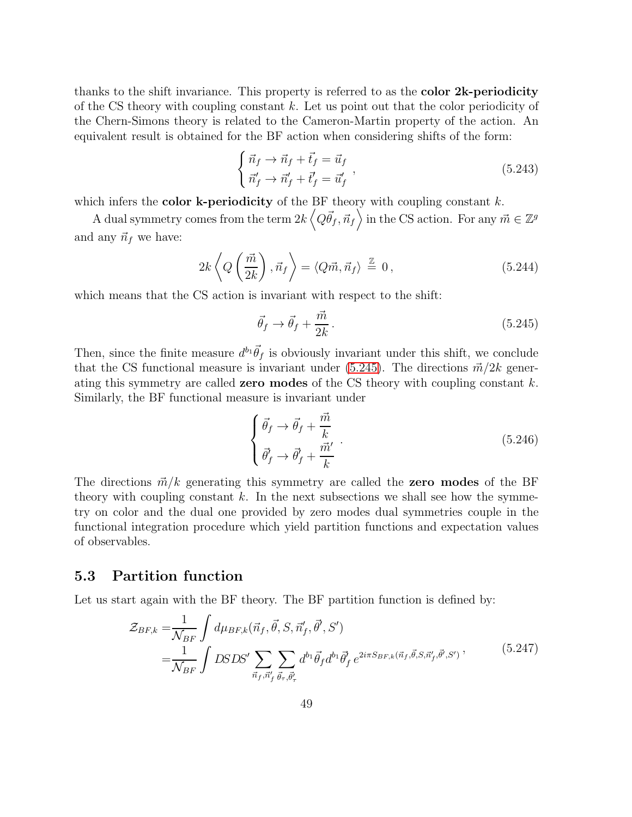thanks to the shift invariance. This property is referred to as the color 2k-periodicity of the CS theory with coupling constant  $k$ . Let us point out that the color periodicity of the Chern-Simons theory is related to the Cameron-Martin property of the action. An equivalent result is obtained for the BF action when considering shifts of the form:

$$
\begin{cases} \n\vec{n}_f \rightarrow \vec{n}_f + \vec{t}_f = \vec{u}_f \\ \n\vec{n}'_f \rightarrow \vec{n}'_f + \vec{t}'_f = \vec{u}'_f \n\end{cases} \n\tag{5.243}
$$

which infers the color k-periodicity of the BF theory with coupling constant  $k$ .

A dual symmetry comes from the term  $2k\left< Q \vec{\theta}_f, \vec{n}_f \right>$  in the CS action. For any  $\vec{m} \in \mathbb{Z}^g$ and any  $\vec{n}_f$  we have:

$$
2k\left\langle Q\left(\frac{\vec{m}}{2k}\right), \vec{n}_f \right\rangle = \left\langle Q\vec{m}, \vec{n}_f \right\rangle \stackrel{\mathbb{Z}}{=} 0, \tag{5.244}
$$

which means that the CS action is invariant with respect to the shift:

<span id="page-49-0"></span>
$$
\vec{\theta}_f \to \vec{\theta}_f + \frac{\vec{m}}{2k} \,. \tag{5.245}
$$

Then, since the finite measure  $d^{b_1} \vec{\theta}_f$  is obviously invariant under this shift, we conclude that the CS functional measure is invariant under [\(5.245\)](#page-49-0). The directions  $\vec{m}/2k$  generating this symmetry are called **zero modes** of the CS theory with coupling constant  $k$ . Similarly, the BF functional measure is invariant under

$$
\begin{cases}\n\vec{\theta}_f \to \vec{\theta}_f + \frac{\vec{m}}{k} \\
\vec{\theta}_f' \to \vec{\theta}_f' + \frac{\vec{m}'}{k}\n\end{cases} (5.246)
$$

The directions  $\vec{m}/k$  generating this symmetry are called the **zero modes** of the BF theory with coupling constant  $k$ . In the next subsections we shall see how the symmetry on color and the dual one provided by zero modes dual symmetries couple in the functional integration procedure which yield partition functions and expectation values of observables.

## 5.3 Partition function

Let us start again with the BF theory. The BF partition function is defined by:

$$
\mathcal{Z}_{BF,k} = \frac{1}{\mathcal{N}_{BF}} \int d\mu_{BF,k}(\vec{n}_f, \vec{\theta}, S, \vec{n}'_f, \vec{\theta}', S')
$$
  
= 
$$
\frac{1}{\mathcal{N}_{BF}} \int DSDS' \sum_{\vec{n}_f, \vec{n}'_f} \sum_{\vec{\theta}_\tau, \vec{\theta}'_\tau} d^{b_1} \vec{\theta}_f d^{b_1} \vec{\theta}_f' e^{2i\pi S_{BF,k}(\vec{n}_f, \vec{\theta}, S, \vec{n}'_f, \vec{\theta}', S')} ,
$$
(5.247)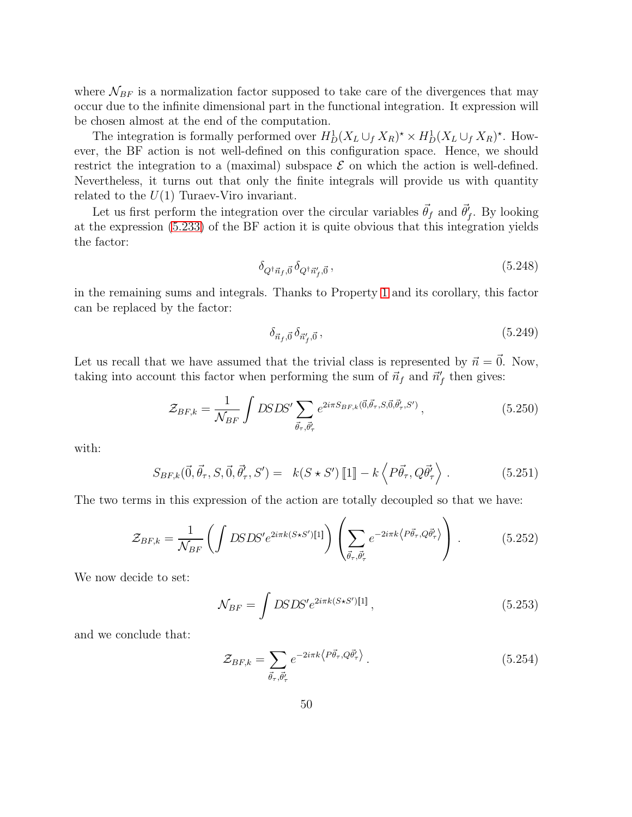where  $\mathcal{N}_{BF}$  is a normalization factor supposed to take care of the divergences that may occur due to the infinite dimensional part in the functional integration. It expression will be chosen almost at the end of the computation.

The integration is formally performed over  $H_D^1(X_L \cup_f X_R)^* \times H_D^1(X_L \cup_f X_R)^*$ . However, the BF action is not well-defined on this configuration space. Hence, we should restrict the integration to a (maximal) subspace  $\mathcal E$  on which the action is well-defined. Nevertheless, it turns out that only the finite integrals will provide us with quantity related to the  $U(1)$  Turaev-Viro invariant.

Let us first perform the integration over the circular variables  $\vec{\theta}_f$  and  $\vec{\theta}'_f$ . By looking at the expression [\(5.233\)](#page-47-1) of the BF action it is quite obvious that this integration yields the factor:

$$
\delta_{Q^{\dagger}\vec{n}_f,\vec{0}}\,\delta_{Q^{\dagger}\vec{n}'_f,\vec{0}}\,,\tag{5.248}
$$

in the remaining sums and integrals. Thanks to Property [1](#page-7-1) and its corollary, this factor can be replaced by the factor:

$$
\delta_{\vec{n}_f, \vec{0}} \, \delta_{\vec{n}'_f, \vec{0}} \,, \tag{5.249}
$$

Let us recall that we have assumed that the trivial class is represented by  $\vec{n} = \vec{0}$ . Now, taking into account this factor when performing the sum of  $\vec{n}_f$  and  $\vec{n}'_f$  then gives:

$$
\mathcal{Z}_{BF,k} = \frac{1}{\mathcal{N}_{BF}} \int \text{DSDS}' \sum_{\vec{\theta}_{\tau}, \vec{\theta}_{\tau}'} e^{2i\pi S_{BF,k}(\vec{0}, \vec{\theta}_{\tau}, S, \vec{0}, \vec{\theta}_{\tau}', S')} , \qquad (5.250)
$$

with:

$$
S_{BF,k}(\vec{0}, \vec{\theta}_{\tau}, S, \vec{0}, \vec{\theta}'_{\tau}, S') = k(S \star S') [\![1]\!] - k \left\langle P\vec{\theta}_{\tau}, Q\vec{\theta}'_{\tau} \right\rangle. \tag{5.251}
$$

The two terms in this expression of the action are totally decoupled so that we have:

$$
\mathcal{Z}_{BF,k} = \frac{1}{\mathcal{N}_{BF}} \left( \int DSDS' e^{2i\pi k (S \star S')}[\mathbf{1}] \right) \left( \sum_{\vec{\theta}_{\tau}, \vec{\theta}_{\tau}'} e^{-2i\pi k \left\langle P\vec{\theta}_{\tau}, Q\vec{\theta}_{\tau}' \right\rangle} \right) . \tag{5.252}
$$

We now decide to set:

$$
\mathcal{N}_{BF} = \int DSDS'e^{2i\pi k(S\star S')[1]},\tag{5.253}
$$

and we conclude that:

$$
\mathcal{Z}_{BF,k} = \sum_{\vec{\theta}_{\tau}, \vec{\theta}_{\tau}'} e^{-2i\pi k \left\langle P\vec{\theta}_{\tau}, Q\vec{\theta}_{\tau}'} \right\rangle.
$$
\n(5.254)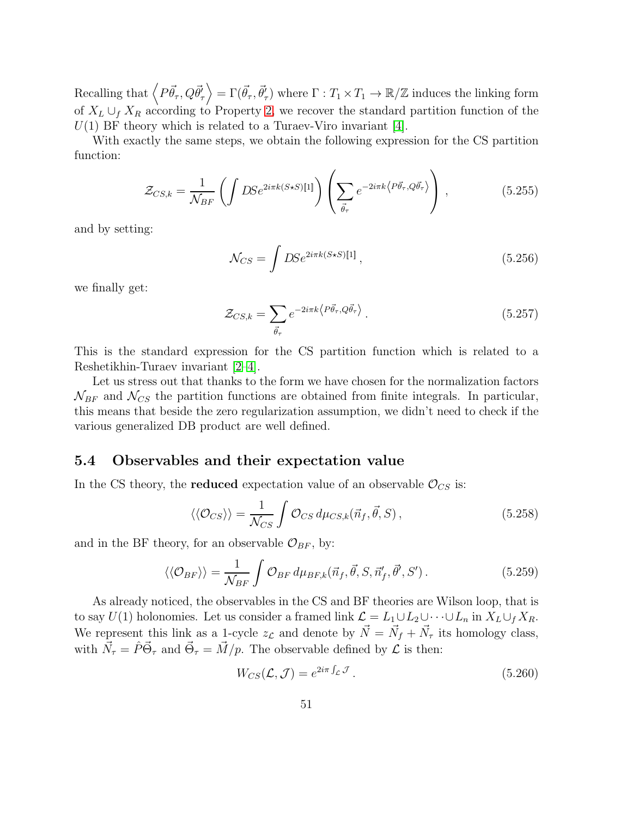Recalling that  $\left\langle P\vec{\theta}_{\tau},Q\vec{\theta}_{\tau}'\right\rangle =\Gamma(\vec{\theta}_{\tau},\vec{\theta}_{\tau}')$  where  $\Gamma:T_1\times T_1\to\mathbb{R}/\mathbb{Z}$  induces the linking form of  $X_L \cup_f X_R$  according to Property [2,](#page-9-0) we recover the standard partition function of the  $U(1)$  BF theory which is related to a Turaev-Viro invariant [\[4\]](#page-58-5).

With exactly the same steps, we obtain the following expression for the CS partition function:

$$
\mathcal{Z}_{CS,k} = \frac{1}{\mathcal{N}_{BF}} \left( \int DSe^{2i\pi k(S \star S)} \left[1\right] \right) \left( \sum_{\vec{\theta}_{\tau}} e^{-2i\pi k \left\langle P\vec{\theta}_{\tau}, Q\vec{\theta}_{\tau} \right\rangle} \right), \tag{5.255}
$$

and by setting:

$$
\mathcal{N}_{CS} = \int DSe^{2i\pi k(S \star S)[1]},\tag{5.256}
$$

we finally get:

$$
\mathcal{Z}_{CS,k} = \sum_{\vec{\theta}_{\tau}} e^{-2i\pi k \left\langle P\vec{\theta}_{\tau}, Q\vec{\theta}_{\tau} \right\rangle}.
$$
\n(5.257)

This is the standard expression for the CS partition function which is related to a Reshetikhin-Turaev invariant [\[2](#page-58-1)[–4\]](#page-58-5).

Let us stress out that thanks to the form we have chosen for the normalization factors  $\mathcal{N}_{BF}$  and  $\mathcal{N}_{CS}$  the partition functions are obtained from finite integrals. In particular, this means that beside the zero regularization assumption, we didn't need to check if the various generalized DB product are well defined.

## 5.4 Observables and their expectation value

In the CS theory, the **reduced** expectation value of an observable  $\mathcal{O}_{CS}$  is:

$$
\langle \langle \mathcal{O}_{CS} \rangle \rangle = \frac{1}{\mathcal{N}_{CS}} \int \mathcal{O}_{CS} d\mu_{CS,k}(\vec{n}_f, \vec{\theta}, S) , \qquad (5.258)
$$

and in the BF theory, for an observable  $\mathcal{O}_{BF}$ , by:

$$
\langle \langle \mathcal{O}_{BF} \rangle \rangle = \frac{1}{\mathcal{N}_{BF}} \int \mathcal{O}_{BF} d\mu_{BF,k}(\vec{n}_f, \vec{\theta}, S, \vec{n}'_f, \vec{\theta}', S') \,. \tag{5.259}
$$

As already noticed, the observables in the CS and BF theories are Wilson loop, that is to say  $U(1)$  holonomies. Let us consider a framed link  $\mathcal{L} = L_1 \cup L_2 \cup \cdots \cup L_n$  in  $X_L \cup_f X_R$ . We represent this link as a 1-cycle  $z_c$  and denote by  $\vec{N} = \vec{N}_f + \vec{N}_\tau$  its homology class, with  $\vec{N}_{\tau} = \hat{P} \vec{\Theta}_{\tau}$  and  $\vec{\Theta}_{\tau} = \vec{M}/p$ . The observable defined by  $\mathcal{L}$  is then:

$$
W_{CS}(\mathcal{L}, \mathcal{J}) = e^{2i\pi \int_{\mathcal{L}} \mathcal{J}}.
$$
\n(5.260)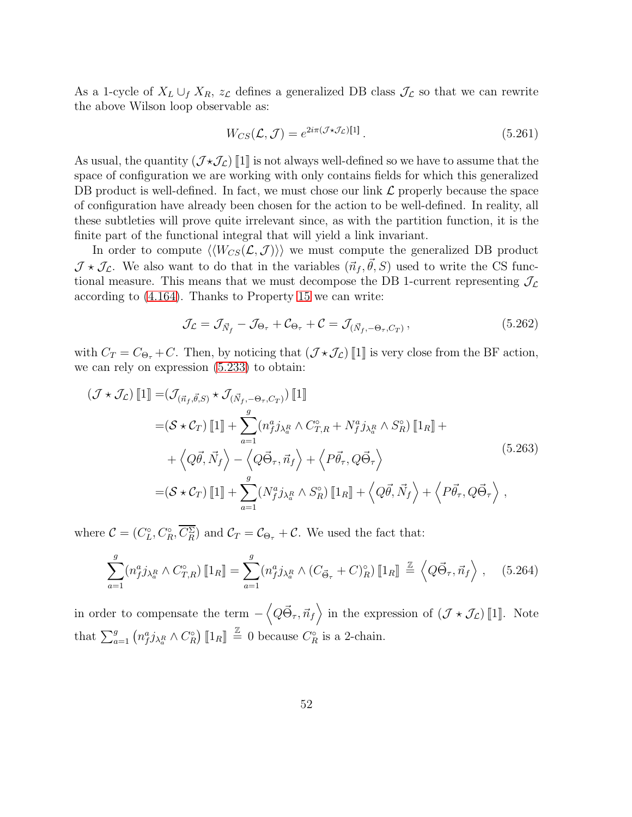As a 1-cycle of  $X_L \cup_f X_R$ ,  $z_L$  defines a generalized DB class  $\mathcal{J}_L$  so that we can rewrite the above Wilson loop observable as:

$$
W_{CS}(\mathcal{L}, \mathcal{J}) = e^{2i\pi(\mathcal{J} \star \mathcal{J}_{\mathcal{L}})[1]}.
$$
\n(5.261)

As usual, the quantity  $(\mathcal{J} \star \mathcal{J}_c)$  [1] is not always well-defined so we have to assume that the space of configuration we are working with only contains fields for which this generalized DB product is well-defined. In fact, we must chose our link  $\mathcal L$  properly because the space of configuration have already been chosen for the action to be well-defined. In reality, all these subtleties will prove quite irrelevant since, as with the partition function, it is the finite part of the functional integral that will yield a link invariant.

In order to compute  $\langle \langle W_{CS}(\mathcal{L}, \mathcal{J}) \rangle \rangle$  we must compute the generalized DB product  $\mathcal{J} \star \mathcal{J}_L$ . We also want to do that in the variables  $(\vec{n}_f, \vec{\theta}, S)$  used to write the CS functional measure. This means that we must decompose the DB 1-current representing  $\mathcal{J}_{\mathcal{L}}$ according to [\(4.164\)](#page-33-1). Thanks to Property [15](#page-37-1) we can write:

$$
\mathcal{J}_{\mathcal{L}} = \mathcal{J}_{\vec{N}_f} - \mathcal{J}_{\Theta_\tau} + \mathcal{C}_{\Theta_\tau} + \mathcal{C} = \mathcal{J}_{(\vec{N}_f, -\Theta_\tau, C_T)},\tag{5.262}
$$

with  $C_T = C_{\Theta_\tau} + C$ . Then, by noticing that  $(\mathcal{J} \star \mathcal{J}_\mathcal{L})$  [1] is very close from the BF action, we can rely on expression [\(5.233\)](#page-47-1) to obtain:

$$
\begin{split}\n(\mathcal{J} \star \mathcal{J}_{\mathcal{L}}) \left[ \mathbbm{1} \right] &= (\mathcal{J}_{(\vec{n}_f, \vec{\theta}, S)} \star \mathcal{J}_{(\vec{N}_f, -\Theta_\tau, C_T)}) \left[ \mathbbm{1} \right] \\
&= (\mathcal{S} \star C_T) \left[ \mathbbm{1} \right] + \sum_{a=1}^g (n_f^a j_{\lambda_a^R} \wedge C_{T,R}^c + N_f^a j_{\lambda_a^R} \wedge S_R^c) \left[ \mathbbm{1}_R \right] + \\
&\quad + \left\langle Q\vec{\theta}, \vec{N}_f \right\rangle - \left\langle Q\vec{\Theta}_\tau, \vec{n}_f \right\rangle + \left\langle P\vec{\theta}_\tau, Q\vec{\Theta}_\tau \right\rangle \\
&= (\mathcal{S} \star C_T) \left[ \mathbbm{1} \right] + \sum_{a=1}^g (N_f^a j_{\lambda_a^R} \wedge S_R^c) \left[ \mathbbm{1}_R \right] + \left\langle Q\vec{\theta}, \vec{N}_f \right\rangle + \left\langle P\vec{\theta}_\tau, Q\vec{\Theta}_\tau \right\rangle ,\n\end{split} \tag{5.263}
$$

where  $\mathcal{C} = (C_L^{\circ}, C_R^{\circ}, C_R^{\Sigma})$  and  $\mathcal{C}_T = \mathcal{C}_{\Theta_{\tau}} + \mathcal{C}$ . We used the fact that:

$$
\sum_{a=1}^{g} (n_f^a j_{\lambda_a^R} \wedge C_{T,R}^\circ) \left[ 1_R \right] = \sum_{a=1}^{g} (n_f^a j_{\lambda_a^R} \wedge (C_{\vec{\Theta}_\tau} + C)_{R}^\circ) \left[ 1_R \right] \stackrel{\mathbb{Z}}{=} \left\langle Q \vec{\Theta}_\tau, \vec{n}_f \right\rangle, \quad (5.264)
$$

in order to compensate the term  $-\left\langle Q\vec{\Theta}_\tau,\vec{n}_f\right\rangle$  in the expression of  $(\mathcal{J}\star\mathcal{J}_\mathcal{L})$  [1]. Note that  $\sum_{a=1}^{g}$   $\left(n_f^a j_{\lambda_a^R} \wedge C_R^{\circ}\right)$   $\left[\!\left[1_R\right]\right] \stackrel{\mathbb{Z}}{=} 0$  because  $C_R^{\circ}$  is a 2-chain.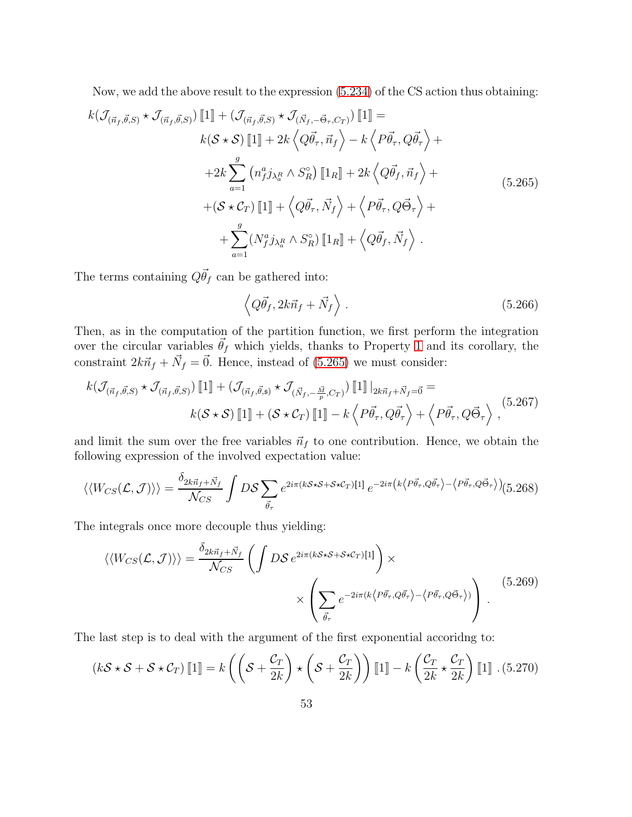Now, we add the above result to the expression [\(5.234\)](#page-47-0) of the CS action thus obtaining:

<span id="page-53-0"></span>
$$
k(\mathcal{J}_{(\vec{n}_f, \vec{\theta}, S)} \star \mathcal{J}_{(\vec{n}_f, \vec{\theta}, S)}) \llbracket 1 \rrbracket + (\mathcal{J}_{(\vec{n}_f, \vec{\theta}, S)} \star \mathcal{J}_{(\vec{N}_f, -\vec{\Theta}_\tau, C_T)}) \llbracket 1 \rrbracket =
$$
\n
$$
k(S \star S) \llbracket 1 \rrbracket + 2k \left\langle Q\vec{\theta}_\tau, \vec{n}_f \right\rangle - k \left\langle P\vec{\theta}_\tau, Q\vec{\theta}_\tau \right\rangle +
$$
\n
$$
+ 2k \sum_{a=1}^g \left( n_f^a j_{\lambda_a^R} \wedge S_R^{\circ} \right) \llbracket 1_R \rrbracket + 2k \left\langle Q\vec{\theta}_f, \vec{n}_f \right\rangle +
$$
\n
$$
+ (S \star C_T) \llbracket 1 \rrbracket + \left\langle Q\vec{\theta}_\tau, \vec{N}_f \right\rangle + \left\langle P\vec{\theta}_\tau, Q\vec{\Theta}_\tau \right\rangle +
$$
\n
$$
+ \sum_{a=1}^g (N_f^a j_{\lambda_a^R} \wedge S_R^{\circ}) \llbracket 1_R \rrbracket + \left\langle Q\vec{\theta}_f, \vec{N}_f \right\rangle.
$$
\n(5.265)

The terms containing  $Q\vec{\theta}_f$  can be gathered into:

$$
\left\langle Q\vec{\theta}_f, 2k\vec{n}_f + \vec{N}_f \right\rangle. \tag{5.266}
$$

Then, as in the computation of the partition function, we first perform the integration over the circular variables  $\vec{\theta}_f$  which yields, thanks to Property [1](#page-7-1) and its corollary, the constraint  $2k\vec{n}_f + \vec{N}_f = \vec{0}$ . Hence, instead of [\(5.265\)](#page-53-0) we must consider:

$$
k(\mathcal{J}_{(\vec{n}_f, \vec{\theta}, S)} \star \mathcal{J}_{(\vec{n}_f, \vec{\theta}, S)}) \llbracket 1 \rrbracket + (\mathcal{J}_{(\vec{n}_f, \vec{\theta}, \vec{s})} \star \mathcal{J}_{(\vec{N}_f, -\frac{\vec{M}}{p}, C_T)}) \llbracket 1 \rrbracket |_{2k\vec{n}_f + \vec{N}_f = \vec{0}} =
$$
  
 
$$
k(\mathcal{S} \star \mathcal{S}) \llbracket 1 \rrbracket + (\mathcal{S} \star C_T) \llbracket 1 \rrbracket - k \left\langle P\vec{\theta}_\tau, Q\vec{\theta}_\tau \right\rangle + \left\langle P\vec{\theta}_\tau, Q\vec{\theta}_\tau \right\rangle,
$$
 (5.267)

and limit the sum over the free variables  $\vec{n}_f$  to one contribution. Hence, we obtain the following expression of the involved expectation value:

$$
\langle\langle W_{CS}(\mathcal{L}, \mathcal{J})\rangle\rangle = \frac{\delta_{2k\vec{n}_f + \vec{N}_f}}{\mathcal{N}_{CS}} \int D\mathcal{S} \sum_{\vec{\theta}_{\tau}} e^{2i\pi(k\mathcal{S}\star\mathcal{S} + \mathcal{S}\star\mathcal{C}_T)[1]} e^{-2i\pi \left(k\langle P\vec{\theta}_{\tau}, Q\vec{\theta}_{\tau}\rangle - \langle P\vec{\theta}_{\tau}, Q\vec{\Theta}_{\tau}\rangle\right)} (5.268)
$$

The integrals once more decouple thus yielding:

$$
\langle\langle W_{CS}(\mathcal{L}, \mathcal{J})\rangle\rangle = \frac{\delta_{2k\vec{n}_f + \vec{N}_f}}{\mathcal{N}_{CS}} \left( \int D\mathcal{S} e^{2i\pi(k\mathcal{S}\star\mathcal{S} + \mathcal{S}\star\mathcal{C}_T)[1]} \right) \times \times \left( \sum_{\vec{\theta}_{\tau}} e^{-2i\pi(k\langle P\vec{\theta}_{\tau}, Q\vec{\theta}_{\tau}\rangle - \langle P\vec{\theta}_{\tau}, Q\vec{\theta}_{\tau}\rangle)} \right). \tag{5.269}
$$

The last step is to deal with the argument of the first exponential accoridng to:

$$
(k\mathcal{S}\star\mathcal{S}+\mathcal{S}\star\mathcal{C}_T)\left[\!\left[1\right]\!\right]=k\left(\left(\mathcal{S}+\frac{\mathcal{C}_T}{2k}\right)\star\left(\mathcal{S}+\frac{\mathcal{C}_T}{2k}\right)\right)\left[\!\left[1\right]\!\right]-k\left(\frac{\mathcal{C}_T}{2k}\star\frac{\mathcal{C}_T}{2k}\right)\left[\!\left[1\right]\!\right]\,. (5.270)
$$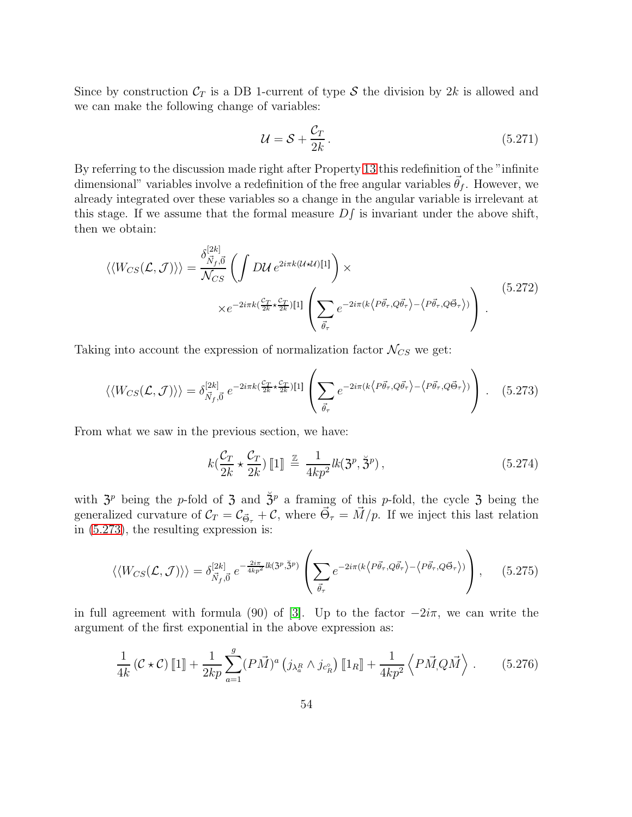Since by construction  $\mathcal{C}_T$  is a DB 1-current of type S the division by 2k is allowed and we can make the following change of variables:

$$
\mathcal{U} = \mathcal{S} + \frac{\mathcal{C}_T}{2k} \,. \tag{5.271}
$$

By referring to the discussion made right after Property [13](#page-33-0) this redefinition of the "infinite dimensional" variables involve a redefinition of the free angular variables  $\vec{\theta}_f$ . However, we already integrated over these variables so a change in the angular variable is irrelevant at this stage. If we assume that the formal measure  $Df$  is invariant under the above shift, then we obtain:

$$
\langle\langle W_{CS}(\mathcal{L}, \mathcal{J})\rangle\rangle = \frac{\delta_{\vec{N}_f, \vec{0}}^{[2k]}}{\mathcal{N}_{CS}} \left( \int D\mathcal{U} \, e^{2i\pi k (\mathcal{U} \star \mathcal{U})[1]} \right) \times \times e^{-2i\pi k (\frac{c_T}{2k} \star \frac{c_T}{2k})[1]} \left( \sum_{\vec{\theta}_\tau} e^{-2i\pi (k \langle P\vec{\theta}_\tau, Q\vec{\theta}_\tau \rangle - \langle P\vec{\theta}_\tau, Q\vec{\theta}_\tau \rangle)} \right).
$$
\n(5.272)

Taking into account the expression of normalization factor  $\mathcal{N}_{CS}$  we get:

<span id="page-54-0"></span>
$$
\langle\langle W_{CS}(\mathcal{L}, \mathcal{J})\rangle\rangle = \delta_{\vec{N}_f, \vec{0}}^{[2k]} e^{-2i\pi k(\frac{C_T}{2k} \times \frac{C_T}{2k})[1]} \left( \sum_{\vec{\theta}_\tau} e^{-2i\pi (k \langle P\vec{\theta}_\tau, Q\vec{\theta}_\tau \rangle - \langle P\vec{\theta}_\tau, Q\vec{\theta}_\tau \rangle)} \right).
$$
 (5.273)

From what we saw in the previous section, we have:

$$
k\left(\frac{\mathcal{C}_T}{2k} \star \frac{\mathcal{C}_T}{2k}\right) \llbracket 1 \rrbracket \stackrel{\mathbb{Z}}{=} \frac{1}{4kp^2} lk(3^p, \mathfrak{F}^p),\tag{5.274}
$$

with  $\mathfrak{Z}^p$  being the p-fold of 3 and  $\mathfrak{Z}^p$  a framing of this p-fold, the cycle 3 being the generalized curvature of  $C_T = C_{\vec{\Theta}_T} + C$ , where  $\vec{\Theta}_T = \vec{M}/p$ . If we inject this last relation in [\(5.273\)](#page-54-0), the resulting expression is:

$$
\langle\langle W_{CS}(\mathcal{L}, \mathcal{J})\rangle\rangle = \delta_{\vec{N}_f, \vec{0}}^{[2k]} e^{-\frac{2i\pi}{4kp^2}lk(\mathfrak{Z}^p, \mathfrak{Z}^p)} \left( \sum_{\vec{\theta}_\tau} e^{-2i\pi(k\langle P\vec{\theta}_\tau, Q\vec{\theta}_\tau \rangle - \langle P\vec{\theta}_\tau, Q\vec{\theta}_\tau \rangle)} \right), \quad (5.275)
$$

in full agreement with formula (90) of [\[3\]](#page-58-8). Up to the factor  $-2i\pi$ , we can write the argument of the first exponential in the above expression as:

<span id="page-54-1"></span>
$$
\frac{1}{4k} \left( \mathcal{C} \star \mathcal{C} \right) \left[ \mathbb{1} \right] + \frac{1}{2kp} \sum_{a=1}^{g} (P\vec{M})^a \left( j_{\lambda_a^R} \wedge j_{c_R^{\circ}} \right) \left[ \mathbb{1}_R \right] + \frac{1}{4kp^2} \left\langle P\vec{M}, Q\vec{M} \right\rangle. \tag{5.276}
$$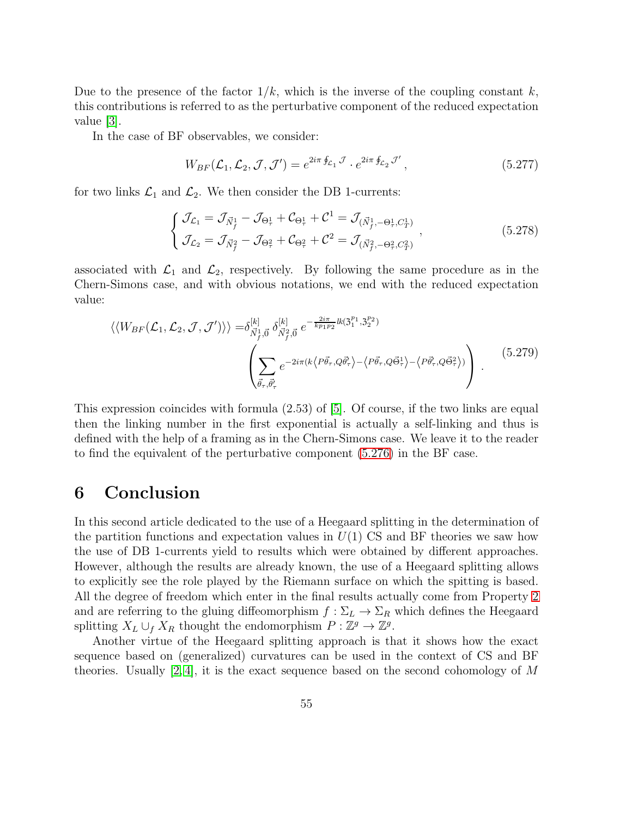Due to the presence of the factor  $1/k$ , which is the inverse of the coupling constant k, this contributions is referred to as the perturbative component of the reduced expectation value [\[3\]](#page-58-8).

In the case of BF observables, we consider:

$$
W_{BF}(\mathcal{L}_1, \mathcal{L}_2, \mathcal{J}, \mathcal{J}') = e^{2i\pi \oint_{\mathcal{L}_1} \mathcal{J}} \cdot e^{2i\pi \oint_{\mathcal{L}_2} \mathcal{J}'}, \qquad (5.277)
$$

for two links  $\mathcal{L}_1$  and  $\mathcal{L}_2$ . We then consider the DB 1-currents:

$$
\begin{cases}\n\mathcal{J}_{\mathcal{L}_{1}} = \mathcal{J}_{\vec{N}_{f}^{1}} - \mathcal{J}_{\Theta_{\tau}^{1}} + \mathcal{C}_{\Theta_{\tau}^{1}} + \mathcal{C}^{1} = \mathcal{J}_{(\vec{N}_{f}^{1}, -\Theta_{\tau}^{1}, C_{T}^{1})} \\
\mathcal{J}_{\mathcal{L}_{2}} = \mathcal{J}_{\vec{N}_{f}^{2}} - \mathcal{J}_{\Theta_{\tau}^{2}} + \mathcal{C}_{\Theta_{\tau}^{2}} + \mathcal{C}^{2} = \mathcal{J}_{(\vec{N}_{f}^{2}, -\Theta_{\tau}^{2}, C_{T}^{2})}\n\end{cases}
$$
\n(5.278)

associated with  $\mathcal{L}_1$  and  $\mathcal{L}_2$ , respectively. By following the same procedure as in the Chern-Simons case, and with obvious notations, we end with the reduced expectation value:

$$
\langle \langle W_{BF}(\mathcal{L}_1, \mathcal{L}_2, \mathcal{J}, \mathcal{J}') \rangle \rangle = \delta_{\vec{N}_f^1, \vec{0}}^{[k]} \delta_{\vec{N}_f^2, \vec{0}}^{[k]} e^{-\frac{2i\pi}{k p_1 p_2} k(\mathfrak{Z}_1^{p_1}, \mathfrak{Z}_2^{p_2})} \left( \sum_{\vec{\theta}_\tau, \vec{\theta}_\tau'} e^{-2i\pi (k \langle P\vec{\theta}_\tau, Q\vec{\theta}_\tau' \rangle - \langle P\vec{\theta}_\tau, Q\vec{\theta}_\tau' \rangle - \langle P\vec{\theta}_\tau', Q\vec{\theta}_\tau^2 \rangle)} \right). \tag{5.279}
$$

This expression coincides with formula (2.53) of [\[5\]](#page-58-2). Of course, if the two links are equal then the linking number in the first exponential is actually a self-linking and thus is defined with the help of a framing as in the Chern-Simons case. We leave it to the reader to find the equivalent of the perturbative component [\(5.276\)](#page-54-1) in the BF case.

## 6 Conclusion

In this second article dedicated to the use of a Heegaard splitting in the determination of the partition functions and expectation values in  $U(1)$  CS and BF theories we saw how the use of DB 1-currents yield to results which were obtained by different approaches. However, although the results are already known, the use of a Heegaard splitting allows to explicitly see the role played by the Riemann surface on which the spitting is based. All the degree of freedom which enter in the final results actually come from Property [2](#page-9-0) and are referring to the gluing diffeomorphism  $f : \Sigma_L \to \Sigma_R$  which defines the Heegaard splitting  $X_L \cup_f X_R$  thought the endomorphism  $P: \mathbb{Z}^g \to \mathbb{Z}^g$ .

Another virtue of the Heegaard splitting approach is that it shows how the exact sequence based on (generalized) curvatures can be used in the context of CS and BF theories. Usually  $[2, 4]$  $[2, 4]$ , it is the exact sequence based on the second cohomology of M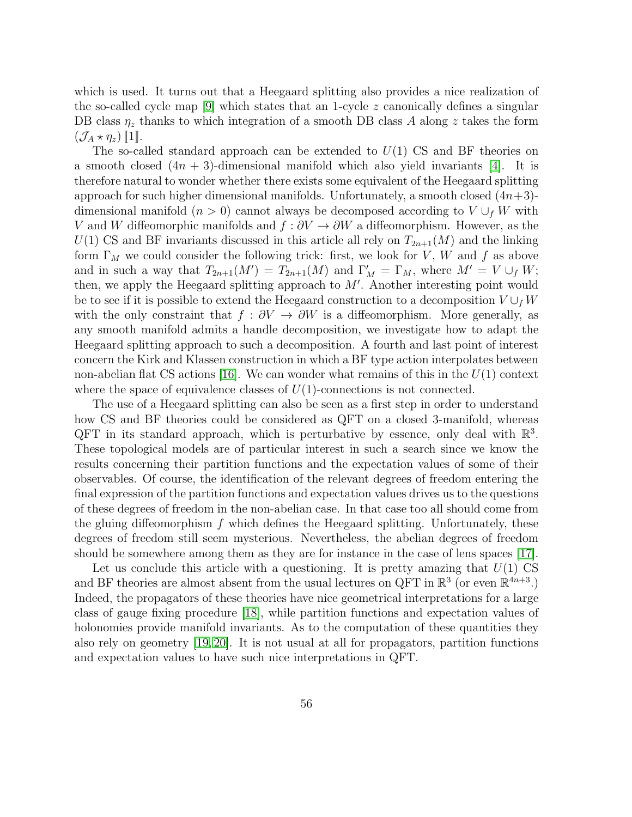which is used. It turns out that a Heegaard splitting also provides a nice realization of the so-called cycle map  $[9]$  which states that an 1-cycle z canonically defines a singular DB class  $\eta_z$  thanks to which integration of a smooth DB class A along z takes the form  $(\mathcal{J}_A \star \eta_z)$  [1].

The so-called standard approach can be extended to  $U(1)$  CS and BF theories on a smooth closed  $(4n + 3)$ -dimensional manifold which also yield invariants [\[4\]](#page-58-5). It is therefore natural to wonder whether there exists some equivalent of the Heegaard splitting approach for such higher dimensional manifolds. Unfortunately, a smooth closed  $(4n+3)$ dimensional manifold ( $n > 0$ ) cannot always be decomposed according to  $V \cup_{f} W$  with V and W diffeomorphic manifolds and  $f : \partial V \to \partial W$  a diffeomorphism. However, as the  $U(1)$  CS and BF invariants discussed in this article all rely on  $T_{2n+1}(M)$  and the linking form  $\Gamma_M$  we could consider the following trick: first, we look for V, W and f as above and in such a way that  $T_{2n+1}(M') = T_{2n+1}(M)$  and  $\Gamma'_{M} = \Gamma_{M}$ , where  $M' = V \cup_{f} W$ ; then, we apply the Heegaard splitting approach to  $M'$ . Another interesting point would be to see if it is possible to extend the Heegaard construction to a decomposition  $V \cup_f W$ with the only constraint that  $f : \partial V \to \partial W$  is a diffeomorphism. More generally, as any smooth manifold admits a handle decomposition, we investigate how to adapt the Heegaard splitting approach to such a decomposition. A fourth and last point of interest concern the Kirk and Klassen construction in which a BF type action interpolates between non-abelian flat CS actions [\[16\]](#page-59-1). We can wonder what remains of this in the  $U(1)$  context where the space of equivalence classes of  $U(1)$ -connections is not connected.

The use of a Heegaard splitting can also be seen as a first step in order to understand how CS and BF theories could be considered as QFT on a closed 3-manifold, whereas QFT in its standard approach, which is perturbative by essence, only deal with  $\mathbb{R}^3$ . These topological models are of particular interest in such a search since we know the results concerning their partition functions and the expectation values of some of their observables. Of course, the identification of the relevant degrees of freedom entering the final expression of the partition functions and expectation values drives us to the questions of these degrees of freedom in the non-abelian case. In that case too all should come from the gluing diffeomorphism  $f$  which defines the Heegaard splitting. Unfortunately, these degrees of freedom still seem mysterious. Nevertheless, the abelian degrees of freedom should be somewhere among them as they are for instance in the case of lens spaces [\[17\]](#page-59-2).

Let us conclude this article with a questioning. It is pretty amazing that  $U(1)$  CS and BF theories are almost absent from the usual lectures on QFT in  $\mathbb{R}^3$  (or even  $\mathbb{R}^{4n+3}$ .) Indeed, the propagators of these theories have nice geometrical interpretations for a large class of gauge fixing procedure [\[18\]](#page-59-3), while partition functions and expectation values of holonomies provide manifold invariants. As to the computation of these quantities they also rely on geometry [\[19,](#page-59-4) [20\]](#page-59-5). It is not usual at all for propagators, partition functions and expectation values to have such nice interpretations in QFT.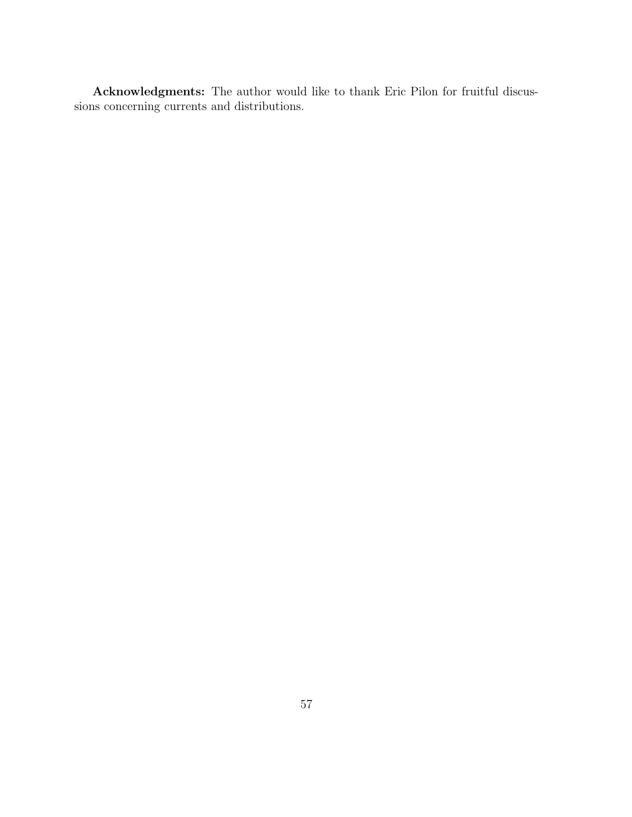Acknowledgments: The author would like to thank Eric Pilon for fruitful discussions concerning currents and distributions.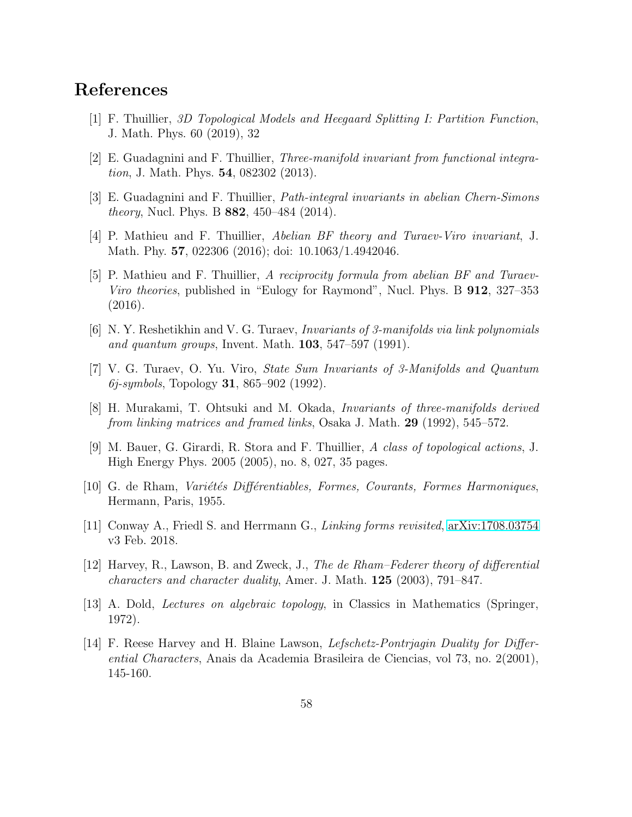## <span id="page-58-0"></span>References

- <span id="page-58-1"></span>[1] F. Thuillier, 3D Topological Models and Heegaard Splitting I: Partition Function, J. Math. Phys. 60 (2019), 32
- <span id="page-58-8"></span>[2] E. Guadagnini and F. Thuillier, Three-manifold invariant from functional integration, J. Math. Phys. 54, 082302 (2013).
- <span id="page-58-5"></span>[3] E. Guadagnini and F. Thuillier, Path-integral invariants in abelian Chern-Simons theory, Nucl. Phys. B 882, 450–484 (2014).
- <span id="page-58-2"></span>[4] P. Mathieu and F. Thuillier, Abelian BF theory and Turaev-Viro invariant, J. Math. Phy. 57, 022306 (2016); doi: 10.1063/1.4942046.
- [5] P. Mathieu and F. Thuillier, A reciprocity formula from abelian BF and Turaev-Viro theories, published in "Eulogy for Raymond", Nucl. Phys. B 912, 327–353 (2016).
- <span id="page-58-3"></span>[6] N. Y. Reshetikhin and V. G. Turaev, Invariants of 3-manifolds via link polynomials and quantum groups, Invent. Math.  $103$ ,  $547-597$  (1991).
- <span id="page-58-4"></span>[7] V. G. Turaev, O. Yu. Viro, State Sum Invariants of 3-Manifolds and Quantum  $6j$ -symbols, Topology **31**, 865–902 (1992).
- <span id="page-58-7"></span><span id="page-58-6"></span>[8] H. Murakami, T. Ohtsuki and M. Okada, Invariants of three-manifolds derived from linking matrices and framed links, Osaka J. Math. 29 (1992), 545–572.
- [9] M. Bauer, G. Girardi, R. Stora and F. Thuillier, A class of topological actions, J. High Energy Phys. 2005 (2005), no. 8, 027, 35 pages.
- <span id="page-58-10"></span><span id="page-58-9"></span>[10] G. de Rham, *Variétés Différentiables, Formes, Courants, Formes Harmoniques*, Hermann, Paris, 1955.
- <span id="page-58-11"></span>[11] Conway A., Friedl S. and Herrmann G., Linking forms revisited, [arXiv:1708.03754](http://arxiv.org/abs/1708.03754) v3 Feb. 2018.
- [12] Harvey, R., Lawson, B. and Zweck, J., The de Rham–Federer theory of differential *characters and character duality, Amer. J. Math.*  $125$  (2003), 791–847.
- <span id="page-58-12"></span>[13] A. Dold, Lectures on algebraic topology, in Classics in Mathematics (Springer, 1972).
- <span id="page-58-13"></span>[14] F. Reese Harvey and H. Blaine Lawson, Lefschetz-Pontrjagin Duality for Differential Characters, Anais da Academia Brasileira de Ciencias, vol 73, no. 2(2001), 145-160.